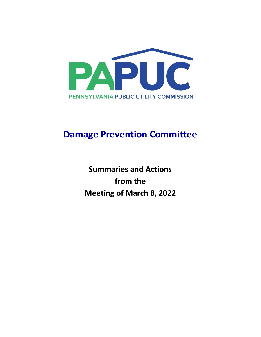

# **Damage Prevention Committee**

**Summaries and Actions from the Meeting of March 8, 2022**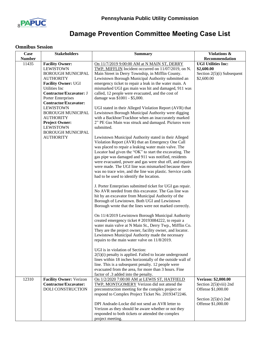

# **Damage Prevention Committee Meeting Case List**

## **Omnibus Session**

| Case          | <b>Stakeholders</b>                                                                                                   | <b>Summary</b>                                                                                                                                                                                                                                                                                                                                                                                                                                                                                                     | Violations &                                                                                    |
|---------------|-----------------------------------------------------------------------------------------------------------------------|--------------------------------------------------------------------------------------------------------------------------------------------------------------------------------------------------------------------------------------------------------------------------------------------------------------------------------------------------------------------------------------------------------------------------------------------------------------------------------------------------------------------|-------------------------------------------------------------------------------------------------|
| <b>Number</b> |                                                                                                                       |                                                                                                                                                                                                                                                                                                                                                                                                                                                                                                                    | Recommendation                                                                                  |
| 11435         | <b>Facility Owner:</b>                                                                                                | On 11/7/2019 9:00:00 AM at N MAIN ST, DERRY                                                                                                                                                                                                                                                                                                                                                                                                                                                                        | <b>UGI Utilities Inc:</b>                                                                       |
|               | <b>LEWISTOWN</b><br><b>BOROUGH MUNICIPAL</b><br><b>AUTHORITY</b><br><b>Facility Owner: UGI</b><br>Utilities Inc       | TWP, MIFFLIN Incident occurred on 11/07/2019, on N.<br>Main Street in Derry Township, in Mifflin County.<br>Lewistown Borough Municipal Authority submitted an<br>emergency ticket to repair a leak in the water main. A<br>mismarked UGI gas main was hit and damaged, 911 was                                                                                                                                                                                                                                    | \$2,600.00<br>Section 2(5)(i) Subsequent<br>\$2,600.00                                          |
|               | Contractor/Excavator: J<br>Porter Enterprises<br>Contractor/Excavator:<br><b>LEWISTOWN</b>                            | called, 12 people were evacuated, and the cost of<br>damage was \$1001 - \$5,000.<br>UGI stated in their Alleged Violation Report (AVR) that                                                                                                                                                                                                                                                                                                                                                                       |                                                                                                 |
|               | <b>BOROUGH MUNICIPAL</b><br><b>AUTHORITY</b><br><b>Project Owner:</b><br><b>LEWISTOWN</b><br><b>BOROUGH MUNICIPAL</b> | Lewistown Borough Municipal Authority were digging<br>with a Backhoe/Trackhoe when an inaccurately marked<br>2" PE Gas Main was struck and damaged. Pictures were<br>submitted.                                                                                                                                                                                                                                                                                                                                    |                                                                                                 |
|               | <b>AUTHORITY</b>                                                                                                      | Lewistown Municipal Authority stated in their Alleged<br>Violation Report (AVR) that an Emergency One Call<br>was placed to repair a leaking water main valve. The<br>Locator had given the "OK" to start the excavating. The<br>gas pipe was damaged and 911 was notified, residents<br>were evacuated, power and gas were shut off, and repairs<br>were made. The UGI line was mismarked because there<br>was no trace wire, and the line was plastic. Service cards<br>had to be used to identify the location. |                                                                                                 |
|               |                                                                                                                       | J. Porter Enterprises submitted ticket for UGI gas repair.<br>No AVR needed from this excavator. The Gas line was<br>hit by an excavator from Municipal Authority of the<br>Borough of Lewistown. Both UGI and Lewistown<br>Borough wrote that the lines were not marked correctly.                                                                                                                                                                                                                                |                                                                                                 |
|               |                                                                                                                       | On 11/4/2019 Lewistown Borough Municipal Authority<br>created emergency ticket #20193084222, to repair a<br>water main valve at N Main St., Derry Twp., Mifflin Co.<br>They are the project owner, facility owner, and locator.<br>Lewistown Municipal Authority made the necessary<br>repairs to the main water valve on 11/8/2019.                                                                                                                                                                               |                                                                                                 |
|               |                                                                                                                       | UGI is in violation of Section:<br>$2(5)(i)$ penalty is applied. Failed to locate underground<br>lines within 18 inches horizontally of the outside wall of<br>line. This is a subsequent penalty. 12 people were<br>evacuated from the area, for more than 3 hours. Fine<br>factor of .3 added into the penalty.                                                                                                                                                                                                  |                                                                                                 |
| 12310         | <b>Facility Owner: Verizon</b><br><b>Contractor/Excavator:</b><br><b>DOLI CONSTRUCTION</b>                            | On 1/2/2020 7:00:00 AM at LEWIS ST, HATFIELD<br>TWP, MONTGOMERY Verizon did not attend the<br>preconstruction meeting for the complex project or<br>respond to Complex Project Ticket No. 20193472246.                                                                                                                                                                                                                                                                                                             | Verizon: \$2,000.00<br>Section $2(5)$ (viii) 2nd<br>Offense \$1,000.00<br>Section $2(5)(v)$ 2nd |
|               |                                                                                                                       | DPI Andrade-Locke did not send an AVR letter to<br>Verizon as they should be aware whether or not they<br>responded to both tickets or attended the complex<br>project meeting.                                                                                                                                                                                                                                                                                                                                    | Offense \$1,000.00                                                                              |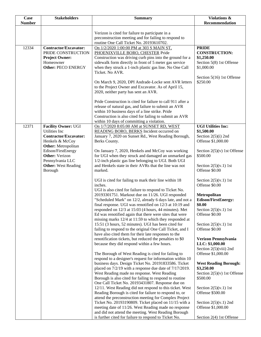| Case          | <b>Stakeholders</b>                                                                                                   | <b>Summary</b>                                                                                                                                                                                                                                                                                                                                                                                                                        | Violations &                                                                                                              |
|---------------|-----------------------------------------------------------------------------------------------------------------------|---------------------------------------------------------------------------------------------------------------------------------------------------------------------------------------------------------------------------------------------------------------------------------------------------------------------------------------------------------------------------------------------------------------------------------------|---------------------------------------------------------------------------------------------------------------------------|
| <b>Number</b> |                                                                                                                       |                                                                                                                                                                                                                                                                                                                                                                                                                                       | Recommendation                                                                                                            |
|               |                                                                                                                       | Verizon is cited for failure to participate in a<br>preconstruction meeting and for failing to respond to<br>routine One Call Ticket No. 20193610702.                                                                                                                                                                                                                                                                                 |                                                                                                                           |
| 12334         | <b>Contractor/Excavator:</b><br>PRIDE CONSTRUCTION<br><b>Project Owner:</b><br>Homeowner<br><b>Other: PECO ENERGY</b> | On 1/2/2020 1:00:00 PM at 303 S MAIN ST,<br>PHOENIXVILLE BORO, CHESTER Pride<br>Construction was driving curb pins into the ground for a<br>sidewalk form directly in front of 5 meter gas service<br>when they struck a 1-inch plastic gas line. No One Call<br>Ticket. No AVR.                                                                                                                                                      | <b>PRIDE</b><br><b>CONSTRUCTION:</b><br>\$1,250.00<br>Section 5(8) 1st Offense<br>\$1,000.00<br>Section 5(16) 1st Offense |
|               |                                                                                                                       | On March 9, 2020, DPI Andrade-Locke sent AVR letters<br>to the Project Owner and Excavator. As of April 15,<br>2020, neither party has sent an AVR.<br>Pride Construction is cited for failure to call 911 after a<br>release of natural gas, and failure to submit an AVR<br>within 10 business days of a line strike. Pride<br>Construction is also cited for failing to submit an AVR<br>within 10 days of committing a violation. | \$250.00                                                                                                                  |
| 12371         | <b>Facility Owner: UGI</b><br>Utilities Inc<br><b>Contractor/Excavator:</b><br>Henkels & McCoy                        | On 1/7/2020 8:05:00 AM at SUNSET RD, WEST<br>READING BORO, BERKS Incident occurred on<br>January 7, 2020 on Sunset Rd., West Reading Borough,<br>Berks County.                                                                                                                                                                                                                                                                        | <b>UGI Utilities Inc:</b><br>\$1,500.00<br>Section 2(5)(i) 2nd<br>Offense \$1,000.00                                      |
|               | <b>Other:</b> Metropolitan<br>Edison/FirstEnergy<br><b>Other:</b> Verizon<br>Pennsylvania LLC                         | On January 7, 2020, Henkels and McCoy was working<br>for UGI when they struck and damaged an unmarked gas<br>1/2-inch plastic gas line belonging to UGI. Both UGI                                                                                                                                                                                                                                                                     | Section $2(5)(v)$ 1st Offense<br>\$500.00                                                                                 |
|               | <b>Other:</b> West Reading<br>Borough                                                                                 | and Henkels state in their AVRs that the line was not<br>marked.                                                                                                                                                                                                                                                                                                                                                                      | Section $2(5)(v.1)$ 1st<br>Offense \$0.00                                                                                 |
|               |                                                                                                                       | UGI is cited for failing to mark their line within 18<br>inches.<br>UGI is also cited for failure to respond to Ticket No.                                                                                                                                                                                                                                                                                                            | Section $2(5)(v.1)$ 1st<br>Offense \$0.00                                                                                 |
|               |                                                                                                                       | 20193301751. Markout due on 11/26. UGI responded<br>"Scheduled Mark" on 12/2, already 6 days late, and not a<br>final response. UGI was renotified on 12/3 at 10:19 and                                                                                                                                                                                                                                                               | Metropolitan<br><b>Edison/FirstEnergy:</b><br>\$0.00                                                                      |
|               |                                                                                                                       | responded on 12/3 at 15:03 (4 hours, 44 minutes). Met<br>Ed was renotified again that there were sites that were<br>missing marks 12/4 at 11:59 to which they responded at                                                                                                                                                                                                                                                            | Section $2(5)(v.1)$ 1st<br>Offense \$0.00                                                                                 |
|               |                                                                                                                       | 15:51 (3 hours, 52 minutes). UGI has been cited for<br>failing to respond to the original One Call Ticket, and I<br>have also cited them for their late responses to the                                                                                                                                                                                                                                                              | Section $2(5)(v.1)$ 1st<br>Offense \$0.00                                                                                 |
|               |                                                                                                                       | renotification tickets, but reduced the penalties to \$0<br>because they did respond within a few hours.                                                                                                                                                                                                                                                                                                                              | Verizon Pennsylvania<br>LLC: \$1,000.00<br>Section $2(5)$ (viii) 2nd                                                      |
|               |                                                                                                                       | The Borough of West Reading is cited for failing to<br>respond to a designer's request for information within 10                                                                                                                                                                                                                                                                                                                      | Offense \$1,000.00                                                                                                        |
|               |                                                                                                                       | business days. Design Ticket No. 20191833586. Ticket<br>placed on $7/2/19$ with a response due date of $7/17/2019$ .<br>West Reading made no response. West Reading                                                                                                                                                                                                                                                                   | <b>West Reading Borough:</b><br>\$3,250.00<br>Section $2(5)(v)$ 1st Offense                                               |
|               |                                                                                                                       | Borough is also cited for failing to respond to routine<br>One Call Ticket No. 20193431807. Response due on                                                                                                                                                                                                                                                                                                                           | \$500.00                                                                                                                  |
|               |                                                                                                                       | 12/11. West Reading did not respond to this ticket. West<br>Reading Borough is cited for failure to respond to, or<br>attend the preconstruction meeting for Complex Project                                                                                                                                                                                                                                                          | Section $2(5)(v.1)$ 1st<br>Offense \$500.00                                                                               |
|               |                                                                                                                       | Ticket No. 20193190809. Ticket placed on 11/15 with a<br>meeting date of 11/26. West Reading made no response                                                                                                                                                                                                                                                                                                                         | Section $2(5)(v.1)$ 2nd<br>Offense \$1,000.00                                                                             |
|               |                                                                                                                       | and did not attend the meeting. West Reading Borough<br>is further cited for failure to respond to Ticket No.                                                                                                                                                                                                                                                                                                                         | Section 2(4) 1st Offense                                                                                                  |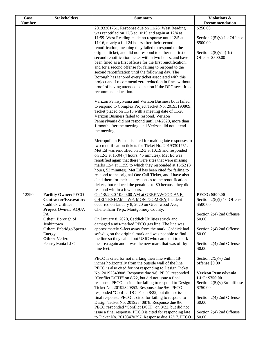| Case          | <b>Stakeholders</b>                                                                                                                                                                       | <b>Summary</b>                                                                                                                                                                                                                                                                                                                                                                                                                                                                                                                                                                                                                                                                                                                                                                                | <b>Violations &amp;</b>                                                                                                              |
|---------------|-------------------------------------------------------------------------------------------------------------------------------------------------------------------------------------------|-----------------------------------------------------------------------------------------------------------------------------------------------------------------------------------------------------------------------------------------------------------------------------------------------------------------------------------------------------------------------------------------------------------------------------------------------------------------------------------------------------------------------------------------------------------------------------------------------------------------------------------------------------------------------------------------------------------------------------------------------------------------------------------------------|--------------------------------------------------------------------------------------------------------------------------------------|
| <b>Number</b> |                                                                                                                                                                                           |                                                                                                                                                                                                                                                                                                                                                                                                                                                                                                                                                                                                                                                                                                                                                                                               | Recommendation                                                                                                                       |
|               |                                                                                                                                                                                           | 20193301751. Response due on 11/26. West Reading<br>was renotified on 12/3 at 10:19 and again at 12/4 at<br>11:59. West Reading made no response until 12/5 at<br>11:16, nearly a full 24 hours after their second<br>renotification, meaning they failed to respond to the<br>original ticket, and did not respond to either the first or<br>second renotification ticket within two hours, and have<br>been fined as a first offense for the first renotification,<br>and for a second offense for failing to respond to the<br>second renotification until the following day. The<br>Borough has ignored every ticket associated with this<br>project and I recommend zero reduction in fines without<br>proof of having attended education if the DPC sees fit to<br>recommend education. | \$250.00<br>Section $2(5)(v)$ 1st Offense<br>\$500.00<br>Section $2(5)(viii)$ 1st<br>Offense \$500.00                                |
|               |                                                                                                                                                                                           | Verizon Pennsylvania and Verizon Business both failed<br>to respond to Complex Project Ticket No. 20193190809.<br>Ticket placed on 11/15 with a meeting date of 11/26.<br>Verizon Business failed to respond. Verizon<br>Pennsylvania did not respond until 1/4/2020, more than<br>1 month after the meeting, and Verizon did not attend<br>the meeting.                                                                                                                                                                                                                                                                                                                                                                                                                                      |                                                                                                                                      |
|               |                                                                                                                                                                                           | Metropolitan Edison is cited for making late responses to<br>two renotification tickets for Ticket No. 20193301751.<br>Met Ed was renotified on 12/3 at 10:19 and responded<br>on 12/3 at 15:04 (4 hours, 45 minutes). Met Ed was<br>renotified again that there were sites that were missing<br>marks 12/4 at 11:59 to which they responded at 15:52 (3)<br>hours, 53 minutes). Met Ed has been cited for failing to<br>respond to the original One Call Ticket, and I have also<br>cited them for their late responses to the renotification<br>tickets, but reduced the penalties to \$0 because they did<br>respond within a few hours.                                                                                                                                                   |                                                                                                                                      |
| 12390         | <b>Facility Owner: PECO</b><br><b>Contractor/Excavator:</b><br><b>Caddick Utilities</b><br>Project Owner: AQUA<br>PA<br>Other: Borough of<br>Jenkintown<br><b>Other:</b> Enbridge/Spectra | On 1/8/2020 10:00:00 AM at GREENWOOD AVE,<br>CHELTENHAM TWP, MONTGOMERY Incident<br>occurred on January 8, 2020 on Greenwood Ave,<br>Cheltenham Twp., Montgomery County.<br>On January 8, 2020, Caddick Utilities struck and<br>damaged a mis-marked PECO gas line. The line was<br>approximately 9-feet away from the mark. Caddick had                                                                                                                                                                                                                                                                                                                                                                                                                                                      | <b>PECO: \$500.00</b><br>Section $2(5)(i)$ 1st Offense<br>\$500.00<br>Section 2(4) 2nd Offense<br>\$0.00<br>Section 2(4) 2nd Offense |
|               | Energy<br>Other: Verizon<br>Pennsylvania LLC                                                                                                                                              | soft-dug on the original mark and was not able to find<br>the line so they called out USIC who came out to mark<br>the area again and it was the new mark that was off by<br>nine feet.                                                                                                                                                                                                                                                                                                                                                                                                                                                                                                                                                                                                       | \$0.00<br>Section 2(4) 2nd Offense<br>\$0.00                                                                                         |
|               |                                                                                                                                                                                           | PECO is cited for not marking their line within 18-<br>inches horizontally from the outside wall of the line.<br>PECO is also cited for not responding to Design Ticket<br>No. 20192340808. Response due 9/6. PECO responded                                                                                                                                                                                                                                                                                                                                                                                                                                                                                                                                                                  | Section $2(5)(v)$ 2nd<br>offense \$0.00<br>Verizon Pennsylvania                                                                      |
|               |                                                                                                                                                                                           | "Conflict DCTF" on 8/22, but did not issue a final<br>response. PECO is cited for failing to respond to Design<br>Ticket No. 20192340853. Response due 9/6. PECO                                                                                                                                                                                                                                                                                                                                                                                                                                                                                                                                                                                                                              | LLC: \$750.00<br>Section $2(5)(v)$ 3rd offense<br>\$750.00                                                                           |
|               |                                                                                                                                                                                           | responded "Conflict DCTF" on 8/22, but did not issue a<br>final response. PECO is cited for failing to respond to<br>Design Ticket No. 20192340878. Response due 9/6.<br>PECO responded "Conflict DCTF" on 8/22, but did not                                                                                                                                                                                                                                                                                                                                                                                                                                                                                                                                                                  | Section 2(4) 2nd Offense<br>\$0.00                                                                                                   |
|               |                                                                                                                                                                                           | issue a final response. PECO is cited for responding late<br>to Ticket No. 20193470397. Response due 12/17. PECO                                                                                                                                                                                                                                                                                                                                                                                                                                                                                                                                                                                                                                                                              | Section 2(4) 2nd Offense<br>\$0.00                                                                                                   |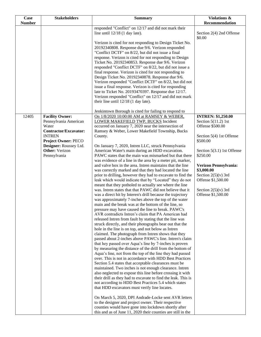| Case          | <b>Stakeholders</b>                             | <b>Summary</b>                                                                                                                                                     | Violations &                                       |
|---------------|-------------------------------------------------|--------------------------------------------------------------------------------------------------------------------------------------------------------------------|----------------------------------------------------|
| <b>Number</b> |                                                 |                                                                                                                                                                    | <b>Recommendation</b>                              |
|               |                                                 | responded "Conflict" on 12/17 and did not mark their<br>line until $12/18$ (1 day late).                                                                           | Section 2(4) 2nd Offense<br>\$0.00                 |
|               |                                                 | Verizon is cited for not responding to Design Ticket No.<br>20192340808. Response due 9/6. Verizon responded<br>"Conflict DCTF" on 8/22, but did not issue a final |                                                    |
|               |                                                 | response. Verizon is cited for not responding to Design                                                                                                            |                                                    |
|               |                                                 | Ticket No. 20192340853. Response due 9/6. Verizon<br>responded "Conflict DCTF" on 8/22, but did not issue a                                                        |                                                    |
|               |                                                 | final response. Verizon is cited for not responding to<br>Design Ticket No. 20192340878. Response due 9/6.                                                         |                                                    |
|               |                                                 | Verizon responded "Conflict DCTF" on 8/22, but did not                                                                                                             |                                                    |
|               |                                                 | issue a final response. Verizon is cited for responding<br>late to Ticket No. 20193470397. Response due 12/17.                                                     |                                                    |
|               |                                                 | Verizon responded "Conflict" on 12/17 and did not mark<br>their line until $12/18$ (1 day late).                                                                   |                                                    |
|               |                                                 |                                                                                                                                                                    |                                                    |
|               |                                                 | Jenkintown Borough is cited for failing to respond to                                                                                                              |                                                    |
| 12405         | <b>Facility Owner:</b><br>Pennsylvania American | On 1/8/2020 10:00:00 AM at RAMSEY & WEBER,<br>LOWER MAKEFIELD TWP, BUCKS Incident                                                                                  | <b>INTREN: \$1,250.00</b><br>Section $5(11.2)$ 1st |
|               | Water                                           | occurred on January 7, 2020 near the intersection of                                                                                                               | Offense \$500.00                                   |
|               | Contractor/Excavator:                           | Ramsey & Weber, Lower Makefield Township, Bucks                                                                                                                    |                                                    |
|               | <b>INTREN</b><br>Project Owner: PECO            | County.                                                                                                                                                            | Section 5(4) 1st Offense<br>\$500.00               |
|               | Designer: Roussey Ltd.                          | On January 7, 2020, Intren LLC, struck Pennsylvania                                                                                                                |                                                    |
|               | <b>Other:</b> Verizon                           | American Water's main during an HDD excavation.                                                                                                                    | Section 5(3.1) 1st Offense                         |
|               | Pennsylvania                                    | PAWC states that the main was mismarked but that there<br>was evidence of a line in the area by a meter pit, marker,                                               | \$250.00                                           |
|               |                                                 | and valve box in the area. Intren maintains that the line                                                                                                          | Verizon Pennsylvania:                              |
|               |                                                 | was correctly marked and that they had located the line                                                                                                            | \$3,000.00                                         |
|               |                                                 | prior to drilling, however they had to excavate to find the<br>leak which would indicate that by "Located" they do not                                             | Section $2(5)(v)$ 3rd<br>Offense \$1,500.00        |
|               |                                                 | meant that they potholed to actually see where the line                                                                                                            |                                                    |
|               |                                                 | was. Intren states that that PAWC did not believe that it                                                                                                          | Section $2(5)(v)$ 3rd                              |
|               |                                                 | was a direct hit by Interen's drill because the trajectory<br>was approximately 7-inches above the top of the water                                                | Offense \$1,500.00                                 |
|               |                                                 | main and the break was at the bottom of the line, so                                                                                                               |                                                    |
|               |                                                 | pressure may have caused the line to break. PAWC's                                                                                                                 |                                                    |
|               |                                                 | AVR contradicts Intren's claim that PA American had                                                                                                                |                                                    |
|               |                                                 | released Intren from fault by stating that the line was<br>struck directly, and their photographs bear out that the                                                |                                                    |
|               |                                                 | hole in the line is on top, and not below as Intren                                                                                                                |                                                    |
|               |                                                 | claimed. The photograph from Intren shows that they                                                                                                                |                                                    |
|               |                                                 | passed about 2-inches above PAWC's line. Intren's claim                                                                                                            |                                                    |
|               |                                                 | that hey passed over Aqua's line by 7-inches is proven<br>by measuring the distance of the drill from the bottom of                                                |                                                    |
|               |                                                 | Aqua's line, not from the top of the line they had passed                                                                                                          |                                                    |
|               |                                                 | over. This is not in accordance with HDD Best Practices                                                                                                            |                                                    |
|               |                                                 | Section 5.4 states that acceptable clearances must be<br>maintained. Two inches is not enough clearance. Intren                                                    |                                                    |
|               |                                                 | also neglected to expose this line before crossing it with                                                                                                         |                                                    |
|               |                                                 | their drill as they had to excavate to find the leak. This is                                                                                                      |                                                    |
|               |                                                 | not according to HDD Best Practices 5.4 which states<br>that HDD excavators must verify line locates.                                                              |                                                    |
|               |                                                 | On March 5, 2020, DPI Andrade-Locke sent AVR letters                                                                                                               |                                                    |
|               |                                                 | to the designer and project owner. Their respective                                                                                                                |                                                    |
|               |                                                 |                                                                                                                                                                    |                                                    |
|               |                                                 | counties would have gone into lockdown shortly after<br>this and as of June 11, 2020 their counties are still in the                                               |                                                    |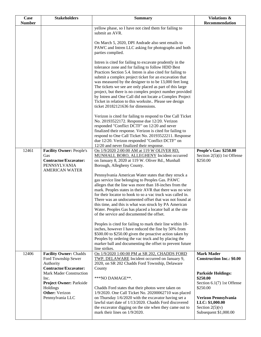| Case          | <b>Stakeholders</b>                                                                                             | <b>Summary</b>                                                                                                                                                                                                                                                                                                                                                                                                                                                                                                                                                                    | Violations &                                                                          |
|---------------|-----------------------------------------------------------------------------------------------------------------|-----------------------------------------------------------------------------------------------------------------------------------------------------------------------------------------------------------------------------------------------------------------------------------------------------------------------------------------------------------------------------------------------------------------------------------------------------------------------------------------------------------------------------------------------------------------------------------|---------------------------------------------------------------------------------------|
| <b>Number</b> |                                                                                                                 |                                                                                                                                                                                                                                                                                                                                                                                                                                                                                                                                                                                   | Recommendation                                                                        |
|               |                                                                                                                 | yellow phase, so I have not cited them for failing to<br>submit an AVR.<br>On March 5, 2020, DPI Andrade also sent emails to                                                                                                                                                                                                                                                                                                                                                                                                                                                      |                                                                                       |
|               |                                                                                                                 | PAWC and Intren LLC asking for photographs and both<br>parties complied.                                                                                                                                                                                                                                                                                                                                                                                                                                                                                                          |                                                                                       |
|               |                                                                                                                 | Intren is cited for failing to excavate prudently in the<br>tolerance zone and for failing to follow HDD Best<br>Practices Section 5.4. Intren is also cited for failing to<br>submit a complex project ticket for an excavation that<br>was measured by the designer to to be 13,000 feet long<br>The tickets we see are only placed as part of this large<br>project, but there is no complex project number provided<br>by Intren and One Call did not locate a Complex Project<br>Ticket in relation to this worksite Please see design<br>ticket 20182121636 for dimensions. |                                                                                       |
|               |                                                                                                                 | Verizon is cited for failing to respond to One Call Ticket<br>No. 20193522172. Response due 12/20. Verizon<br>responded "Conflict DCTF" on 12/20 and never<br>finalized their response. Verizon is cited for failing to<br>respond to One Call Ticket No. 20193522211. Response<br>due 12/20. Verizon responded "Conflict DCTF" on<br>12/20 and never finalized their response.                                                                                                                                                                                                   |                                                                                       |
| 12461         | <b>Facility Owner: People's</b><br>Gas<br>Contractor/Excavator:<br><b>PENNSYLVANIA</b><br><b>AMERICAN WATER</b> | On 1/9/2020 2:00:00 AM at 119 W OLIVER RD,<br>MUNHALL BORO, ALLEGHENY Incident occurred<br>on January 8, 2020 at 119 W. Oliver Rd., Munhall<br>Borough, Allegheny County.                                                                                                                                                                                                                                                                                                                                                                                                         | <b>People's Gas: \$250.00</b><br>Section $2(5)(i)$ 1st Offense<br>\$250.00            |
|               |                                                                                                                 | Pennsylvania American Water states that they struck a<br>gas service line belonging to Peoples Gas. PAWC<br>alleges that the line was more than 18-inches from the<br>mark. Peoples states in their AVR that there was no wire<br>for their locator to hook to so a vac truck was called in.<br>There was an undocumented offset that was not found at<br>this time, and this is what was struck by PA American<br>Water. Peoples Gas has placed a locator ball at the site<br>of the service and documented the offset.                                                          |                                                                                       |
|               |                                                                                                                 | Peoples is cited for failing to mark their line within 18-<br>inches, however I have reduced the fine by 50% from<br>\$500.00 to \$250.00 given the proactive action taken by<br>Peoples by ordering the vac truck and by placing the<br>marker ball and documenting the offset to prevent future<br>line strikes.                                                                                                                                                                                                                                                                |                                                                                       |
| 12406         | <b>Facility Owner: Chadds</b><br>Ford Township Sewer<br>Authority<br><b>Contractor/Excavator:</b>               | On 1/9/2020 1:00:00 PM at SR 202, CHADDS FORD<br>TWP, DELAWARE Incident occurred on January 9,<br>2020, on SR 202 Chadds Ford Township, Delaware<br>County                                                                                                                                                                                                                                                                                                                                                                                                                        | <b>Mark Mader</b><br><b>Construction Inc.: \$0.00</b>                                 |
|               | <b>Mark Mader Construction</b><br>Inc.<br><b>Project Owner: Parkside</b><br>Holdings<br><b>Other:</b> Verizon   | ***NO DAMAGE**.<br>Chadds Ford states that their photos were taken on<br>1/9/2020. One Call Ticket No. 20200062710 was placed                                                                                                                                                                                                                                                                                                                                                                                                                                                     | <b>Parkside Holdings:</b><br>\$250.00<br>Section 6.1(7) 1st Offense<br>\$250.00       |
|               | Pennsylvania LLC                                                                                                | on Thursday 1/6/2020 with the excavator having set a<br>lawful start date of 1/13/2020. Chadds Ford discovered<br>the excavator digging on the site when they came out to<br>mark their lines on 1/9/2020.                                                                                                                                                                                                                                                                                                                                                                        | Verizon Pennsylvania<br>LLC: \$1,000.00<br>Section $2(5)(v)$<br>Subsequent \$1,000.00 |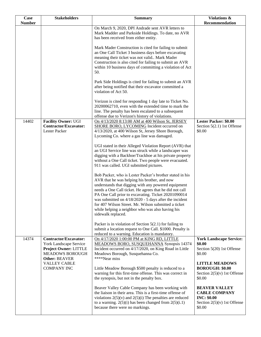| Case          | <b>Stakeholders</b>                                                                                                               | <b>Summary</b>                                                                                                                                                                                                                                                                                                                                                                                                                                                                  | Violations &                                                                                                  |
|---------------|-----------------------------------------------------------------------------------------------------------------------------------|---------------------------------------------------------------------------------------------------------------------------------------------------------------------------------------------------------------------------------------------------------------------------------------------------------------------------------------------------------------------------------------------------------------------------------------------------------------------------------|---------------------------------------------------------------------------------------------------------------|
| <b>Number</b> |                                                                                                                                   |                                                                                                                                                                                                                                                                                                                                                                                                                                                                                 | Recommendation                                                                                                |
|               |                                                                                                                                   | On March 9, 2020, DPI Andrade sent AVR letters to<br>Mark Madder and Parkside Holdings. To date, no AVR<br>has been received from either entity.                                                                                                                                                                                                                                                                                                                                |                                                                                                               |
|               |                                                                                                                                   | Mark Mader Construction is cited for failing to submit<br>an One Call Ticket 3 business days before excavating<br>meaning their ticket was not valid Mark Mader<br>Construction is also cited for failing to submit an AVR<br>within 10 business days of committing a violation of Act<br>50.                                                                                                                                                                                   |                                                                                                               |
|               |                                                                                                                                   | Park Side Holdings is cited for failing to submit an AVR<br>after being notified that their excavator committed a<br>violation of Act 50.                                                                                                                                                                                                                                                                                                                                       |                                                                                                               |
|               |                                                                                                                                   | Verizon is cited for responding 1 day late to Ticket No.<br>20200062710, even with the extended time to mark the<br>line. The penalty has been escalated to a subsequent<br>offense due to Verizon's history of violations.                                                                                                                                                                                                                                                     |                                                                                                               |
| 14402         | <b>Facility Owner: UGI</b><br><b>Contractor/Excavator:</b><br>Lester Packer                                                       | On 4/13/2020 8:13:00 AM at 400 Wilson St, JERSEY<br>SHORE BORO, LYCOMING Incident occurred on<br>4/13/2020, at 400 Wilson St, Jersey Shore Borough,<br>Lycoming Co. where a gas line was damaged.                                                                                                                                                                                                                                                                               | <b>Lester Packer: \$0.00</b><br>Section $5(2.1)$ 1st Offense<br>\$0.00                                        |
|               |                                                                                                                                   | UGI stated in their Alleged Violation Report (AVR) that<br>an UGI Service line was struck while a landscaper was<br>digging with a Backhoe/Trackhoe at his private property<br>without a One Call ticket. Two people were evacuated.<br>911 was called. UGI submitted pictures.                                                                                                                                                                                                 |                                                                                                               |
|               |                                                                                                                                   | Bob Packer, who is Lester Packer's brother stated in his<br>AVR that he was helping his brother, and now<br>understands that digging with any powered equipment<br>needs a One Call ticket. He agrees that he did not call<br>PA One Call prior to excavating. Ticket 20201090014<br>was submitted on $4/18/2020 - 5$ days after the incident<br>for 407 Wilson Street. Mr. Wilson submitted a ticket<br>while helping a neighbor who was also having his<br>sidewalk replaced. |                                                                                                               |
|               |                                                                                                                                   | Packer is in violation of Section $5(2.1)$ for failing to<br>submit a location request to One Call. \$1000. Penalty is<br>reduced to a warning. Education is mandatory.                                                                                                                                                                                                                                                                                                         |                                                                                                               |
| 14374         | <b>Contractor/Excavator:</b><br>York Landscape Service<br>Project Owner: LITTLE<br><b>MEADOWS BOROUGH</b><br><b>Other: BEAVER</b> | On 4/17/2020 1:00:00 PM at KING RD, LITTLE<br>MEADOWS BORO, SUSQUEHANNA Synopsis 14374<br>Incident occurred on 4/17/2020, on King Road in Little<br>Meadows Borough, Susquehanna Co.<br>****Near miss                                                                                                                                                                                                                                                                           | <b>York Landscape Service:</b><br>\$0.00<br>Section 5(20) 1st Offense<br>\$0.00                               |
|               | <b>VALLEY CABLE</b><br><b>COMPANY INC</b>                                                                                         | Little Meadow Borough \$500 penalty is reduced to a<br>warning for this first-time offense. This was correct in<br>the synopsis, but not in the penalty box.                                                                                                                                                                                                                                                                                                                    | <b>LITTLE MEADOWS</b><br><b>BOROUGH: \$0.00</b><br>Section $2(5)(v)$ 1st Offense<br>\$0.00                    |
|               |                                                                                                                                   | Beaver Valley Cable Company has been working with<br>the liaison in their area. This is a first-time offense of<br>violations $2(5)(v)$ and $2(5)(i)$ The penalties are reduced<br>to a warning. $2(5)(i)$ has been changed from $2(5)(i.1)$<br>because there were no markings.                                                                                                                                                                                                 | <b>BEAVER VALLEY</b><br><b>CABLE COMPANY</b><br><b>INC: \$0.00</b><br>Section $2(5)(v)$ 1st Offense<br>\$0.00 |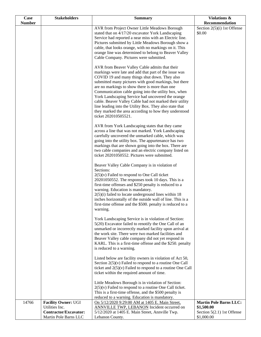| Case          | <b>Stakeholders</b>                          | <b>Summary</b>                                                                                                                                                                                                                                                                                                                                                                                                                                                                                                                                                                          | Violations &                                |
|---------------|----------------------------------------------|-----------------------------------------------------------------------------------------------------------------------------------------------------------------------------------------------------------------------------------------------------------------------------------------------------------------------------------------------------------------------------------------------------------------------------------------------------------------------------------------------------------------------------------------------------------------------------------------|---------------------------------------------|
| <b>Number</b> |                                              |                                                                                                                                                                                                                                                                                                                                                                                                                                                                                                                                                                                         | Recommendation                              |
|               |                                              | AVR from Project Owner Little Meadows Borough<br>stated that on 4/17/20 excavator York Landscaping<br>Service had reported a near miss with an Electric line.<br>Pictures submitted by Little Meadows Borough show a<br>cable, that looks orange, with no markings on it. This<br>orange line was determined to belong to Beaver Valley<br>Cable Company. Pictures were submitted.                                                                                                                                                                                                      | Section $2(5)(i)$ 1st Offense<br>\$0.00     |
|               |                                              | AVR from Beaver Valley Cable admits that their<br>markings were late and add that part of the issue was<br>COVID 19 and many things shut down. They also<br>submitted many pictures with good markings, but there<br>are no markings to show there is more than one<br>Communication cable going into the utility box, when<br>York Landscaping Service had uncovered the orange<br>cable. Beaver Valley Cable had not marked their utility<br>line leading into the Utility Box. They also state that<br>they marked the area according to how they understood<br>ticket 202010505521. |                                             |
|               |                                              | AVR from York Landscaping states that they came<br>across a line that was not marked. York Landscaping<br>carefully uncovered the unmarked cable, which was<br>going into the utility box. The appurtenance has two<br>markings that are shown going into the box. There are<br>two cable companies and an electric company listed on<br>ticket 20201050552. Pictures were submitted.                                                                                                                                                                                                   |                                             |
|               |                                              | Beaver Valley Cable Company is in violation of<br>Sections:<br>$2(5)(v)$ Failed to respond to One Call ticket<br>20201050552. The responses took 10 days. This is a<br>first-time offenses and \$250 penalty is reduced to a<br>warning. Education is mandatory.<br>$2(5)(i)$ failed to locate underground lines within 18<br>inches horizontally of the outside wall of line. This is a<br>first-time offense and the \$500, penalty is reduced to a<br>warning.                                                                                                                       |                                             |
|               |                                              | York Landscaping Service is in violation of Section:<br>5(20) Excavator failed to renotify the One Call of an<br>unmarked or incorrectly marked facility upon arrival at<br>the work site. There were two marked facilities and<br>Beaver Valley cable company did not yet respond in<br>KARL. This is a first-time offense and the \$250. penalty<br>is reduced to a warning.                                                                                                                                                                                                          |                                             |
|               |                                              | Listed below are facility owners in violation of Act 50,<br>Section $2(5)(v)$ Failed to respond to a routine One Call<br>ticket and $2(5)(v)$ Failed to respond to a routine One Call<br>ticket within the required amount of time.                                                                                                                                                                                                                                                                                                                                                     |                                             |
|               |                                              | Little Meadows Borough is in violation of Section:<br>$2(5)(v)$ Failed to respond to a routine One Call ticket.<br>This is a first-time offense, and the \$500 penalty is<br>reduced to a warning. Education is mandatory.                                                                                                                                                                                                                                                                                                                                                              |                                             |
| 14766         | <b>Facility Owner: UGI</b><br>Utilities Inc. | On 5/12/2020 9:29:00 AM at 1405 E. Main Street,<br><b>ANNVILLE TWP, LEBANON Incident occurred on</b>                                                                                                                                                                                                                                                                                                                                                                                                                                                                                    | <b>Martin Pole Barns LLC:</b><br>\$1,500.00 |
|               | Contractor/Excavator:                        | 5/12/2020 at 1405 E. Main Street, Annville Twp.                                                                                                                                                                                                                                                                                                                                                                                                                                                                                                                                         | Section 5(2.1) 1st Offense                  |
|               | Martin Pole Barns LLC                        | Lebanon County.                                                                                                                                                                                                                                                                                                                                                                                                                                                                                                                                                                         | \$1,000.00                                  |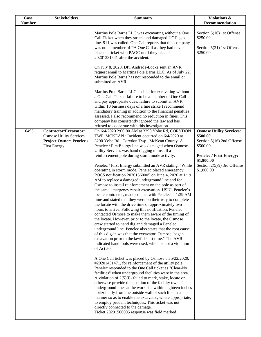| Case          | <b>Stakeholders</b>                                                                                               | <b>Summary</b>                                                                                                                                                                                                                                                                                                                                                                                                                                                                                                                                                                                                                                                                                                                                                                                                                                                                                                                                                                                                                                                                                                                                                                                                                                                                                                                                                                                                                                                                                                                                                                                                                                       | Violations &                                                                                                           |
|---------------|-------------------------------------------------------------------------------------------------------------------|------------------------------------------------------------------------------------------------------------------------------------------------------------------------------------------------------------------------------------------------------------------------------------------------------------------------------------------------------------------------------------------------------------------------------------------------------------------------------------------------------------------------------------------------------------------------------------------------------------------------------------------------------------------------------------------------------------------------------------------------------------------------------------------------------------------------------------------------------------------------------------------------------------------------------------------------------------------------------------------------------------------------------------------------------------------------------------------------------------------------------------------------------------------------------------------------------------------------------------------------------------------------------------------------------------------------------------------------------------------------------------------------------------------------------------------------------------------------------------------------------------------------------------------------------------------------------------------------------------------------------------------------------|------------------------------------------------------------------------------------------------------------------------|
| <b>Number</b> |                                                                                                                   |                                                                                                                                                                                                                                                                                                                                                                                                                                                                                                                                                                                                                                                                                                                                                                                                                                                                                                                                                                                                                                                                                                                                                                                                                                                                                                                                                                                                                                                                                                                                                                                                                                                      | Recommendation                                                                                                         |
|               |                                                                                                                   | Martins Pole Barns LLC was excavating without a One<br>Call Ticket when they struck and damaged UGI's gas<br>line. 911 was called. One Call reports that this company<br>was not a member of PA One Call as they had never<br>placed a ticket with PAOC until they placed<br>20201331541 after the accident.                                                                                                                                                                                                                                                                                                                                                                                                                                                                                                                                                                                                                                                                                                                                                                                                                                                                                                                                                                                                                                                                                                                                                                                                                                                                                                                                         | Section 5(16) 1st Offense<br>\$250.00<br>Section 5(21) 1st Offense<br>\$250.00                                         |
|               |                                                                                                                   | On July 8, 2020, DPI Andrade-Locke sent an AVR<br>request email to Martins Pole Barns LLC. As of July 22,<br>Martins Pole Barns has not responded to the email or<br>submitted an AVR.                                                                                                                                                                                                                                                                                                                                                                                                                                                                                                                                                                                                                                                                                                                                                                                                                                                                                                                                                                                                                                                                                                                                                                                                                                                                                                                                                                                                                                                               |                                                                                                                        |
|               |                                                                                                                   | Martins Pole Barns LLC is cited for excavating without<br>a One Call Ticket, failure to be a member of One Call<br>and pay appropriate dues, failure to submit an AVR<br>within 10 business days of a line strike I recommend<br>mandatory training in addition to the financial penalties<br>assessed. I also recommend no reduction in fines. This<br>company has consistently ignored the law and has<br>refused to cooperate with this investigation.                                                                                                                                                                                                                                                                                                                                                                                                                                                                                                                                                                                                                                                                                                                                                                                                                                                                                                                                                                                                                                                                                                                                                                                            |                                                                                                                        |
| 16495         | <b>Contractor/Excavator:</b><br><b>Osmose Utility Services</b><br>Project Owner: Penelec /<br><b>First Energy</b> | On 6/4/2020 2:00:00 AM at 3290 Yohe Rd, CORYDON<br>TWP, MCKEAN ~Incident occurred on 6/4/2020 at<br>3290 Yohe Rd., Corydon Twp., McKean County. A<br>Penelec / FirstEnergy line was damaged when Osmose<br>Utility Services was hand digging to install a<br>reinforcement pole during storm mode activity.                                                                                                                                                                                                                                                                                                                                                                                                                                                                                                                                                                                                                                                                                                                                                                                                                                                                                                                                                                                                                                                                                                                                                                                                                                                                                                                                          | <b>Osmose Utility Services:</b><br>\$500.00<br>Section 5(16) 2nd Offense<br>\$500.00<br><b>Penelec / First Energy:</b> |
|               |                                                                                                                   | Penelec / First Energy submitted an AVR stating, "While<br>operating in storm mode, Penelec placed emergency<br>POCS notification 20201560005 on June 4, 2020 at 1:19<br>AM to replace a damaged underground line and for<br>Osmose to install reinforcement on the pole as part of<br>the same emergency repair excavation. USIC, Penelec's<br>locate contractor, made contact with Penelec at 1:39 AM<br>time and stated that they were on their way to complete<br>the locate with the drive time of approximately two<br>hours to arrive. Following this notification, Penelec<br>contacted Osmose to make them aware of the timing of<br>the locate. However, prior to the locate, the Osmose<br>crew started to hand dig and damaged a Penelec<br>underground line. Penelec also states that the root cause<br>of this dig-in was that the excavator, Osmose, began<br>excavation prior to the lawful start time." The AVR<br>indicated hand tools were used, which is not a violation<br>of Act 50.<br>A One Call ticket was placed by Osmose on 5/22/2020,<br>#20201431471, for reinforcement of the utility pole.<br>Penelec responded to the One Call ticket as "Clear-No<br>facilities" when underground facilities were in the area.<br>A violation of $2(5)(i)$ - failed to mark, stake, locate or<br>otherwise provide the position of the facility owner's<br>underground lines at the work site within eighteen inches<br>horizontally from the outside wall of such line in a<br>manner so as to enable the excavator, where appropriate,<br>to employ prudent techniques. This ticket was not<br>directly connected to the damage. | \$1,800.00<br>Section 2(5)(i) 3rd Offense<br>\$1,800.00                                                                |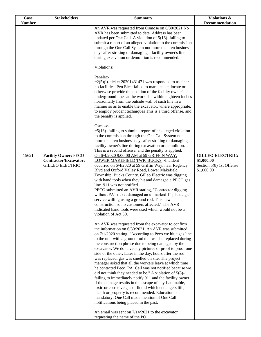| Case          | <b>Stakeholders</b>                                                                   | <b>Summary</b>                                                                                                                                                                                                                                                                                                                                                                                                                                                                                                                                                                                                                                                                                                                                                                                                                                                                                                                                                                                                                                                            | Violations &                                                                    |
|---------------|---------------------------------------------------------------------------------------|---------------------------------------------------------------------------------------------------------------------------------------------------------------------------------------------------------------------------------------------------------------------------------------------------------------------------------------------------------------------------------------------------------------------------------------------------------------------------------------------------------------------------------------------------------------------------------------------------------------------------------------------------------------------------------------------------------------------------------------------------------------------------------------------------------------------------------------------------------------------------------------------------------------------------------------------------------------------------------------------------------------------------------------------------------------------------|---------------------------------------------------------------------------------|
| <b>Number</b> |                                                                                       |                                                                                                                                                                                                                                                                                                                                                                                                                                                                                                                                                                                                                                                                                                                                                                                                                                                                                                                                                                                                                                                                           | Recommendation                                                                  |
|               |                                                                                       | An AVR was requested from Osmose on 6/30/2021 No<br>AVR has been submitted to date. Address has been<br>updated per One Call. A violation of $5(16)$ -failing to<br>submit a report of an alleged violation to the commission<br>through the One Call System not more than ten business<br>days after striking or damaging a facility owner's line<br>during excavation or demolition is recommended.                                                                                                                                                                                                                                                                                                                                                                                                                                                                                                                                                                                                                                                                     |                                                                                 |
|               |                                                                                       | Violations:                                                                                                                                                                                                                                                                                                                                                                                                                                                                                                                                                                                                                                                                                                                                                                                                                                                                                                                                                                                                                                                               |                                                                                 |
|               |                                                                                       | Penelec-<br>$\sim$ 2(5)(i)- ticket 20201431471 was responded to as clear<br>no facilities. Pen Elect failed to mark, stake, locate or<br>otherwise provide the position of the facility owner's<br>underground lines at the work site within eighteen inches<br>horizontally from the outside wall of such line in a<br>manner so as to enable the excavator, where appropriate,<br>to employ prudent techniques This is a third offense, and<br>the penalty is applied.                                                                                                                                                                                                                                                                                                                                                                                                                                                                                                                                                                                                  |                                                                                 |
|               |                                                                                       | Osmose-<br>$\sim$ 5(16)-failing to submit a report of an alleged violation<br>to the commission through the One Call System not<br>more than ten business days after striking or damaging a<br>facility owner's line during excavation or demolition.<br>This is a second offense, and the penalty is applied.                                                                                                                                                                                                                                                                                                                                                                                                                                                                                                                                                                                                                                                                                                                                                            |                                                                                 |
| 15621         | <b>Facility Owner: PECO</b><br><b>Contractor/Excavator:</b><br><b>GILLEO ELECTRIC</b> | On 6/4/2020 9:00:00 AM at 59 GRIFFIN WAY,<br>LOWER MAKEFIELD TWP, BUCKS ~Incident<br>occurred on 6/4/2020 at 59 Griffin Way, near Regency<br>Blvd and Oxford Valley Road, Lower Makefield<br>Township, Bucks County. Gilleo Electric was digging<br>with hand tools when they hit and damaged a PECO gas<br>line. 911 was not notified.<br>PECO submitted an AVR stating, "Contractor digging<br>without PA1 ticket damaged an unmarked 1" plastic gas<br>service willing using a ground rod. This new<br>construction so no customers affected." The AVR<br>indicated hand tools were used which would not be a<br>violation of Act 50.                                                                                                                                                                                                                                                                                                                                                                                                                                  | <b>GILLEO ELECTRIC:</b><br>\$1,000.00<br>Section 5(8) 1st Offense<br>\$1,000.00 |
|               |                                                                                       | An AVR was requested from the excavator to confirm<br>the information on 6/30/2021. An AVR was submitted<br>on 7/1/2020 stating, "According to Peco we hit a gas line<br>to the unit with a ground rod that was be replaced during<br>the construction phrase due to being damaged by the<br>excavator. We do have any pictures or proof to proof one<br>side or the other. Later in the day, hours after the rod<br>was replaced, gas was smelled on site. The project<br>manager asked that all the workers leave at which time<br>he contacted Peco. PA1Call was not notified because we<br>did not think they needed to be." A violation of $5(8)$ -<br>failing to immediately notify 911 and the facility owner<br>if the damage results in the escape of any flammable,<br>toxic or corrosive gas or liquid which endangers life,<br>health or property is recommended. Education is<br>mandatory. One Call made mention of One Call<br>notifications being placed in the past.<br>An email was sent on 7/14/2021 to the excavator<br>requesting the name of the PO |                                                                                 |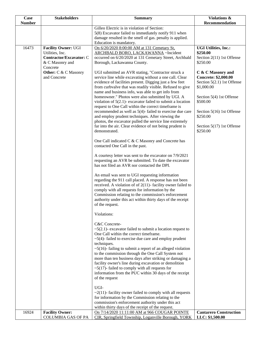| Case          | <b>Stakeholders</b>         | <b>Summary</b>                                                                                              | <b>Violations &amp;</b>               |
|---------------|-----------------------------|-------------------------------------------------------------------------------------------------------------|---------------------------------------|
| <b>Number</b> |                             |                                                                                                             | Recommendation                        |
|               |                             | Gilleo Electric is in violation of Section:                                                                 |                                       |
|               |                             | 5(8) Excavator failed to immediately notify 911 when                                                        |                                       |
|               |                             | damage resulted in the smell of gas. penalty is applied.<br>Education is mandatory.                         |                                       |
| 16473         | <b>Facility Owner: UGI</b>  | On 6/20/2020 8:00:00 AM at 131 Cemetary St,                                                                 | <b>UGI Utilities, Inc.:</b>           |
|               | Utilities, Inc.             | ARCHBALD BORO, LACKAWANNA ~Incident                                                                         | \$250.00                              |
|               | Contractor/Excavator: C     | occurred on 6/20/2020 at 131 Cemetary Street, Archbald                                                      | Section 2(11) 1st Offense             |
|               | & C Masonry and             | Borough, Lackawanna County.                                                                                 | \$250.00                              |
|               | Concrete                    |                                                                                                             |                                       |
|               | <b>Other:</b> C & C Masonry | UGI submitted an AVR stating, "Contractor struck a                                                          | C & C Masonry and                     |
|               | and Concrete                | service line while excavating without a one call. Clear                                                     | <b>Concrete: \$2,000.00</b>           |
|               |                             | evidence of facilities present. Digging just a few feet                                                     | Section 5(2.1) 1st Offense            |
|               |                             | from curbvalve that was readily visible. Refused to give                                                    | \$1,000.00                            |
|               |                             | name and business info, was able to get info from                                                           |                                       |
|               |                             | homeowner." Photos were also submitted by UGI. A                                                            | Section 5(4) 1st Offense              |
|               |                             | violation of $5(2.1)$ - excavator failed to submit a location                                               | \$500.00                              |
|               |                             | request to One Call within the correct timeframe is                                                         |                                       |
|               |                             | recommended as well as 5(4)-failed to exercise due care<br>and employ prudent techniques. After viewing the | Section 5(16) 1st Offense<br>\$250.00 |
|               |                             | photos, the excavator pulled the service line extremely                                                     |                                       |
|               |                             | far into the air. Clear evidence of not being prudent is                                                    | Section 5(17) 1st Offense             |
|               |                             | demonstrated.                                                                                               | \$250.00                              |
|               |                             |                                                                                                             |                                       |
|               |                             | One Call indicated C & C Masonry and Concrete has                                                           |                                       |
|               |                             | contacted One Call in the past.                                                                             |                                       |
|               |                             |                                                                                                             |                                       |
|               |                             | A courtesy letter was sent to the excavator on 7/9/2021                                                     |                                       |
|               |                             | requesting an AVR be submitted. To date the excavator                                                       |                                       |
|               |                             | has not filed an AVR nor contacted the DPI.                                                                 |                                       |
|               |                             | An email was sent to UGI requesting information                                                             |                                       |
|               |                             | regarding the 911 call placed. A response has not been                                                      |                                       |
|               |                             | received. A violation of of $2(11)$ - facility owner failed to                                              |                                       |
|               |                             | comply with all requests for information by the                                                             |                                       |
|               |                             | Commission relating to the commission's enforcement                                                         |                                       |
|               |                             | authority under this act within thirty days of the receipt                                                  |                                       |
|               |                             | of the request.                                                                                             |                                       |
|               |                             |                                                                                                             |                                       |
|               |                             | Violations:                                                                                                 |                                       |
|               |                             | C&C Concrete-                                                                                               |                                       |
|               |                             | $\sim$ 5(2.1)- excavator failed to submit a location request to                                             |                                       |
|               |                             | One Call within the correct timeframe.                                                                      |                                       |
|               |                             | $\sim$ 5(4)-failed to exercise due care and employ prudent                                                  |                                       |
|               |                             | techniques.                                                                                                 |                                       |
|               |                             | $\sim$ 5(16)-failing to submit a report of an alleged violation                                             |                                       |
|               |                             | to the commission through the One Call System not                                                           |                                       |
|               |                             | more than ten business days after striking or damaging a                                                    |                                       |
|               |                             | facility owner's line during excavation or demolition                                                       |                                       |
|               |                             | $\sim$ 5(17)- failed to comply with all requests for                                                        |                                       |
|               |                             | information from the PUC within 30 days of the receipt                                                      |                                       |
|               |                             | of the request                                                                                              |                                       |
|               |                             | UGI-                                                                                                        |                                       |
|               |                             | $\sim$ 2(11)-facility owner failed to comply with all requests                                              |                                       |
|               |                             | for information by the Commission relating to the                                                           |                                       |
|               |                             | commission's enforcement authority under this act                                                           |                                       |
|               |                             | within thirty days of the receipt of the request.                                                           |                                       |
| 16924         | <b>Facility Owner:</b>      | On 7/14/2020 11:11:00 AM at 966 COUGAR POINTE                                                               | <b>Cantarero Construction</b>         |
|               | <b>COLUMBIA GAS OF PA</b>   | CIR, Springfield Township, Loganville Borough, YORK                                                         | LLC: \$1,500.00                       |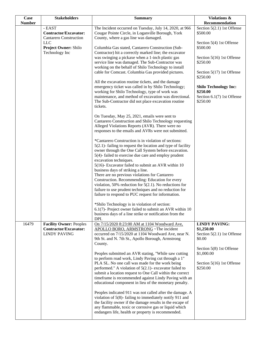| <b>Case</b>   | <b>Stakeholders</b>             | <b>Summary</b>                                                                                                     | Violations &                           |
|---------------|---------------------------------|--------------------------------------------------------------------------------------------------------------------|----------------------------------------|
| <b>Number</b> |                                 |                                                                                                                    | Recommendation                         |
|               | - EAST<br>Contractor/Excavator: | The Incident occurred on Tuesday, July 14, 2020, at 966                                                            | Section 5(2.1) 1st Offense             |
|               | <b>Cantarero Construction</b>   | Cougar Pointe Circle, in Loganville Borough, York<br>County, where a gas line was damaged.                         | \$500.00                               |
|               | <b>LLC</b>                      |                                                                                                                    | Section 5(4) 1st Offense               |
|               | Project Owner: Shilo            | Columbia Gas stated, Cantarero Construction (Sub-                                                                  | \$500.00                               |
|               | Technology Inc                  | Contractor) hit a correctly marked line; the excavator                                                             |                                        |
|               |                                 | was swinging a pickaxe when a 1-inch plastic gas                                                                   | Section 5(16) 1st Offense              |
|               |                                 | service line was damaged. The Sub-Contractor was                                                                   | \$250.00                               |
|               |                                 | working on the behalf of Shilo Technology to install                                                               |                                        |
|               |                                 | cable for Comcast. Columbia Gas provided pictures.                                                                 | Section 5(17) 1st Offense              |
|               |                                 |                                                                                                                    | \$250.00                               |
|               |                                 | All the excavation routine tickets, and the damage                                                                 |                                        |
|               |                                 | emergency ticket was called in by Shilo Technology;                                                                | <b>Shilo Technology Inc:</b>           |
|               |                                 | working for Shilo Technology, type of work was                                                                     | \$250.00                               |
|               |                                 | maintenance, and method of excavation was directional.                                                             | Section 6.1(7) 1st Offense<br>\$250.00 |
|               |                                 | The Sub-Contractor did not place excavation routine<br>tickets.                                                    |                                        |
|               |                                 |                                                                                                                    |                                        |
|               |                                 | On Tuesday, May 25, 2021, emails were sent to                                                                      |                                        |
|               |                                 | Cantarero Construction and Shilo Technology requesting                                                             |                                        |
|               |                                 | Alleged Violations Reports (AVR). There were no                                                                    |                                        |
|               |                                 | responses to the emails and AVRs were not submitted.                                                               |                                        |
|               |                                 |                                                                                                                    |                                        |
|               |                                 | *Cantarero Construction is in violation of sections:                                                               |                                        |
|               |                                 | $5(2.1)$ - failing to request the location and type of facility                                                    |                                        |
|               |                                 | owner through the One Call System before excavation.<br>5(4)-failed to exercise due care and employ prudent        |                                        |
|               |                                 | excavation techniques.                                                                                             |                                        |
|               |                                 | 5(16)- Excavator failed to submit an AVR within 10                                                                 |                                        |
|               |                                 | business days of striking a line.                                                                                  |                                        |
|               |                                 | There are no previous violations for Cantarero                                                                     |                                        |
|               |                                 | Construction. Recommending: Education for every                                                                    |                                        |
|               |                                 | violation, 50% reduction for $5(2.1)$ . No reductions for                                                          |                                        |
|               |                                 | failure to use prudent techniques and no reduction for                                                             |                                        |
|               |                                 | failure to respond to PUC request for information.                                                                 |                                        |
|               |                                 | *Shilo Technology is in violation of section:                                                                      |                                        |
|               |                                 | 6.1(7)- Project owner failed to submit an AVR within 10                                                            |                                        |
|               |                                 | business days of a line strike or notification from the                                                            |                                        |
|               |                                 | DPI.                                                                                                               |                                        |
| 16479         | <b>Facility Owner: Peoples</b>  | On 7/15/2020 8:23:00 AM at 1104 Woodward Ave,                                                                      | <b>LINDY PAVING:</b>                   |
|               | <b>Contractor/Excavator:</b>    | APOLLO BORO, ARMSTRONG ~ The incident                                                                              | \$1,250.00                             |
|               | <b>LINDY PAVING</b>             | occurred on 7/15/2020 at 1104 Woodward Ave, near N.                                                                | Section $5(2.1)$ 1st Offense           |
|               |                                 | 9th St. and N. 7th St., Apollo Borough, Armstrong                                                                  | \$0.00                                 |
|               |                                 | County.                                                                                                            | Section 5(8) 1st Offense               |
|               |                                 | Peoples submitted an AVR stating, "While saw cutting                                                               | \$1,000.00                             |
|               |                                 | to perform road work, Lindy Paving cut through a 1"                                                                |                                        |
|               |                                 | PLA SL. No one call was made for the work being                                                                    | Section 5(16) 1st Offense              |
|               |                                 | performed." A violation of $5(2.1)$ - excavator failed to                                                          | \$250.00                               |
|               |                                 | submit a location request to One Call within the correct                                                           |                                        |
|               |                                 | timeframe is recommended against Lindy Paving with an                                                              |                                        |
|               |                                 | educational component in lieu of the monetary penalty.                                                             |                                        |
|               |                                 |                                                                                                                    |                                        |
|               |                                 | Peoples indicated 911 was not called after the damage. A                                                           |                                        |
|               |                                 | violation of 5(8)-failing to immediately notify 911 and                                                            |                                        |
|               |                                 | the facility owner if the damage results in the escape of<br>any flammable, toxic or corrosive gas or liquid which |                                        |
|               |                                 | endangers life, health or property is recommended.                                                                 |                                        |
|               |                                 |                                                                                                                    |                                        |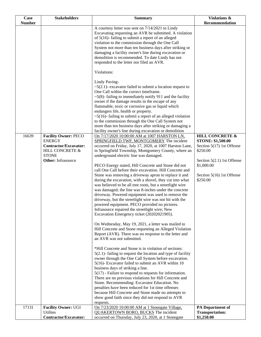| <b>Case</b>            | <b>Stakeholders</b>                                                                                    | <b>Summary</b>                                                                                                                                                                                                                                                                                                                                                                                                                                                                                                                                                                                                                                                                                                                                                                                                                                                                                                                                                                                                                                                                                                                                                                                                                                                                                                               | Violations &                                                                                                                                           |
|------------------------|--------------------------------------------------------------------------------------------------------|------------------------------------------------------------------------------------------------------------------------------------------------------------------------------------------------------------------------------------------------------------------------------------------------------------------------------------------------------------------------------------------------------------------------------------------------------------------------------------------------------------------------------------------------------------------------------------------------------------------------------------------------------------------------------------------------------------------------------------------------------------------------------------------------------------------------------------------------------------------------------------------------------------------------------------------------------------------------------------------------------------------------------------------------------------------------------------------------------------------------------------------------------------------------------------------------------------------------------------------------------------------------------------------------------------------------------|--------------------------------------------------------------------------------------------------------------------------------------------------------|
|                        |                                                                                                        |                                                                                                                                                                                                                                                                                                                                                                                                                                                                                                                                                                                                                                                                                                                                                                                                                                                                                                                                                                                                                                                                                                                                                                                                                                                                                                                              |                                                                                                                                                        |
| <b>Number</b><br>16639 | <b>Facility Owner: PECO</b>                                                                            | A courtesy letter was sent on 7/14/2021 to Lindy<br>Excavating requesting an AVR be submitted. A violation<br>of 5(16)-failing to submit a report of an alleged<br>violation to the commission through the One Call<br>System not more than ten business days after striking or<br>damaging a facility owner's line during excavation or<br>demolition is recommended. To date Lindy has not<br>responded to the letter nor filed an AVR.<br>Violations:<br>Lindy Paving-<br>$\sim$ 5(2.1)- excavator failed to submit a location request to<br>One Call within the correct timeframe.<br>$\sim$ 5(8)-failing to immediately notify 911 and the facility<br>owner if the damage results in the escape of any<br>flammable, toxic or corrosive gas or liquid which<br>endangers life, health or property.<br>$\sim$ 5(16)-failing to submit a report of an alleged violation<br>to the commission through the One Call System not<br>more than ten business days after striking or damaging a<br>facility owner's line during excavation or demolition<br>On 7/17/2020 10:00:00 AM at 1007 HARSTON LN,                                                                                                                                                                                                                        | Recommendation<br><b>HILL CONCRETE &amp;</b>                                                                                                           |
|                        | <b>ENERGY</b><br>Contractor/Excavator:<br>HILL CONCRETE &<br><b>STONE</b><br><b>Other:</b> Infrasource | SPRINGFIELD TWP, MONTGOMERY The incident<br>occurred on Friday, July 17, 2020, at 1007 Harston Lane,<br>in Springfield Township, Montgomery County, where an<br>underground electric line was damaged.<br>PECO Energy stated, Hill Concrete and Stone did not<br>call One Call before their excavation. Hill Concrete and<br>Stone was removing a driveway apron to replace it and<br>during the excavation, with a shovel, they cut into what<br>was believed to be all tree roots, but a streetlight wire<br>was damaged; the line was 8-inches under the concrete<br>driveway. Powered equipment was used to remove the<br>driveway, but the streetlight wire was not hit with the<br>powered equipment. PECO provided no pictures.<br>Infrasource repaired the streetlight wire; New<br>Excavation Emergency ticket (20202021905).<br>On Wednesday, May 19, 2021, a letter was mailed to<br>Hill Concrete and Stone requesting an Alleged Violation<br>Report (AVR). There was no response to the letter and<br>an AVR was not submitted.<br>*Hill Concrete and Stone is in violation of sections:<br>$5(2.1)$ - failing to request the location and type of facility<br>owner through the One Call System before excavation.<br>5(16)- Excavator failed to submit an AVR within 10<br>business days of striking a line. | <b>STONE: \$1,500.00</b><br>Section 5(17) 1st Offense<br>\$250.00<br>Section 5(2.1) 1st Offense<br>\$1,000.00<br>Section 5(16) 1st Offense<br>\$250.00 |
|                        |                                                                                                        | $5(17)$ - Failure to respond to requests for information.<br>There are no previous violations for Hill Concrete and<br>Stone. Recommending: Excavator Education. No<br>penalties have been reduced for 1st time offenses<br>because Hill Concrete and Stone made no attempts to<br>show good faith since they did not respond to AVR<br>requests.                                                                                                                                                                                                                                                                                                                                                                                                                                                                                                                                                                                                                                                                                                                                                                                                                                                                                                                                                                            |                                                                                                                                                        |
| 17131                  | <b>Facility Owner: UGI</b>                                                                             | On 7/23/2020 10:00:00 AM at 1 Stonegate Village,                                                                                                                                                                                                                                                                                                                                                                                                                                                                                                                                                                                                                                                                                                                                                                                                                                                                                                                                                                                                                                                                                                                                                                                                                                                                             | <b>PA</b> Department of                                                                                                                                |
|                        | Utilites                                                                                               | <b>QUAKERTOWN BORO, BUCKS The incident</b>                                                                                                                                                                                                                                                                                                                                                                                                                                                                                                                                                                                                                                                                                                                                                                                                                                                                                                                                                                                                                                                                                                                                                                                                                                                                                   | <b>Transportation:</b>                                                                                                                                 |
|                        | Contractor/Excavator:                                                                                  | occurred on Thursday, July 23, 2020, at 1 Stonegate                                                                                                                                                                                                                                                                                                                                                                                                                                                                                                                                                                                                                                                                                                                                                                                                                                                                                                                                                                                                                                                                                                                                                                                                                                                                          | \$1,250.00                                                                                                                                             |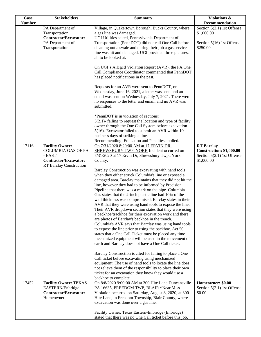| <b>Case</b>   | <b>Stakeholders</b>                                                                                                      | <b>Summary</b>                                                                                                                                                                                                                                                                                                                                                                                                                                                                                                                                                                                                                              | Violations &                                                                                       |
|---------------|--------------------------------------------------------------------------------------------------------------------------|---------------------------------------------------------------------------------------------------------------------------------------------------------------------------------------------------------------------------------------------------------------------------------------------------------------------------------------------------------------------------------------------------------------------------------------------------------------------------------------------------------------------------------------------------------------------------------------------------------------------------------------------|----------------------------------------------------------------------------------------------------|
| <b>Number</b> |                                                                                                                          |                                                                                                                                                                                                                                                                                                                                                                                                                                                                                                                                                                                                                                             | Recommendation                                                                                     |
|               | PA Department of<br>Transportation<br><b>Contractor/Excavator:</b>                                                       | Village, in Quakertown Borough, Bucks County, where<br>a gas line was damaged.<br>UGI Utilities stated, Pennsylvania Department of                                                                                                                                                                                                                                                                                                                                                                                                                                                                                                          | Section $5(2.1)$ 1st Offense<br>\$1,000.00                                                         |
|               | PA Department of<br>Transportation                                                                                       | Transportation (PennDOT) did not call One Call before<br>cleaning out a swale and during their job a gas service<br>line was hit and damaged. UGI provided three pictures,<br>all to be looked at.                                                                                                                                                                                                                                                                                                                                                                                                                                          | Section 5(16) 1st Offense<br>\$250.00                                                              |
|               |                                                                                                                          | On UGI's Alleged Violation Report (AVR), the PA One<br>Call Compliance Coordinator commented that PennDOT<br>has placed notifications in the past.                                                                                                                                                                                                                                                                                                                                                                                                                                                                                          |                                                                                                    |
|               |                                                                                                                          | Requests for an AVR were sent to PennDOT, on<br>Wednesday, June 16, 2021, a letter was sent, and an<br>email was sent on Wednesday, July 7, 2021. There were<br>no responses to the letter and email, and no AVR was<br>submitted.                                                                                                                                                                                                                                                                                                                                                                                                          |                                                                                                    |
|               |                                                                                                                          | *PennDOT is in violation of sections:<br>$5(2.1)$ - failing to request the location and type of facility<br>owner through the One Call System before excavation.<br>5(16)- Excavator failed to submit an AVR within 10<br>business days of striking a line.<br>Recommending: Education and Penalties applied.                                                                                                                                                                                                                                                                                                                               |                                                                                                    |
| 17116         | <b>Facility Owner:</b><br><b>COLUMBIA GAS OF PA</b><br>- EAST<br><b>Contractor/Excavator:</b><br>RT Barclay Construction | On 7/31/2020 8:29:00 AM at 17 ERVIN DR,<br><b>SHREWSBURY TWP, YORK</b> Incident occurred on<br>7/31/2020 at 17 Ervin Dr, Shrewsbury Twp., York<br>County.<br>Barclay Construction was excavating with hand tools<br>when they either struck Columbia's line or exposed a<br>damaged area. Barclay maintains that they did not hit the<br>line, however they had to be informed by Precision<br>Pipeline that there was a mark on the pipe. Columbia                                                                                                                                                                                         | <b>RT</b> Barclay<br><b>Construction: \$1,000.00</b><br>Section $5(2.1)$ 1st Offense<br>\$1,000.00 |
|               |                                                                                                                          | Gas states that the 2-inch plastic line had 10% of the<br>wall thickness was compromised. Barclay states in their<br>AVR that they were using hand tools to expose the line.<br>Their AVR dropdown section states that they were using<br>a backhoe/trackhoe for their excavation work and there<br>are photos of Barclay's backhoe in the trench.<br>Columbia's AVR says that Barclay was using hand tools<br>to expose the line prior to using the backhoe. Act 50<br>states that a One Call Ticket must be placed any time<br>mechanized equipment will be used in the movement of<br>earth and Barclay does not have a One Call ticket. |                                                                                                    |
|               |                                                                                                                          | Barclay Construction is cited for failing to place a One<br>Call ticket before excavating using mechanized<br>equipment. The use of hand tools to locate the line does<br>not relieve them of the responsibility to place their own<br>ticket for an excavation they knew they would use a<br>backhoe to complete.                                                                                                                                                                                                                                                                                                                          |                                                                                                    |
| 17452         | <b>Facility Owner: TEXAS</b><br>EASTERN/Enbridge<br><b>Contractor/Excavator:</b><br>Homeowner                            | On 8/8/2020 9:00:00 AM at 300 Hite Lane Duncansville<br>PA 16635, FREEDOM TWP, BLAIR *Near Miss<br>Violation occurred on Saturday, August 8, 2020, at 300<br>Hite Lane, in Freedom Township, Blair County, where<br>excavation was done over a gas line.                                                                                                                                                                                                                                                                                                                                                                                    | Homeowner: \$0.00<br>Section $5(2.1)$ 1st Offense<br>\$0.00                                        |
|               |                                                                                                                          | Facility Owner, Texas Eastern-Enbridge (Enbridge)<br>stated that there was no One Call ticket before this job.                                                                                                                                                                                                                                                                                                                                                                                                                                                                                                                              |                                                                                                    |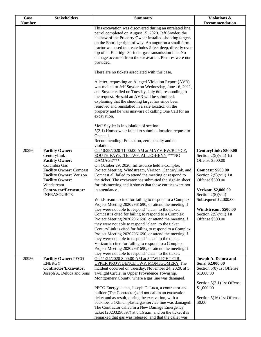| <b>Case</b>   | <b>Stakeholders</b>                                                                                                                                                                                                                               | <b>Summary</b>                                                                                                                                                                                                                                                                                                                                                                                                                                                                                                                                                                                                                                                                                                                                                                                                                                                                                                                                                                                                                                                         | Violations &                                                                                                                                                                                                                                                                                      |
|---------------|---------------------------------------------------------------------------------------------------------------------------------------------------------------------------------------------------------------------------------------------------|------------------------------------------------------------------------------------------------------------------------------------------------------------------------------------------------------------------------------------------------------------------------------------------------------------------------------------------------------------------------------------------------------------------------------------------------------------------------------------------------------------------------------------------------------------------------------------------------------------------------------------------------------------------------------------------------------------------------------------------------------------------------------------------------------------------------------------------------------------------------------------------------------------------------------------------------------------------------------------------------------------------------------------------------------------------------|---------------------------------------------------------------------------------------------------------------------------------------------------------------------------------------------------------------------------------------------------------------------------------------------------|
| <b>Number</b> |                                                                                                                                                                                                                                                   |                                                                                                                                                                                                                                                                                                                                                                                                                                                                                                                                                                                                                                                                                                                                                                                                                                                                                                                                                                                                                                                                        | Recommendation                                                                                                                                                                                                                                                                                    |
|               |                                                                                                                                                                                                                                                   | This excavation was discovered during an unrelated line<br>patrol completed on August 15, 2020. Jeff Snyder, the<br>nephew of the Property Owner installed shooting targets<br>on the Enbridge right of way. An augur on a small farm<br>tractor was used to create holes 2-feet deep, directly over<br>top of an Enbridge 30-inch- gas transmission line. No<br>damage occurred from the excavation. Pictures were not<br>provided.                                                                                                                                                                                                                                                                                                                                                                                                                                                                                                                                                                                                                                   |                                                                                                                                                                                                                                                                                                   |
|               |                                                                                                                                                                                                                                                   | There are no tickets associated with this case.                                                                                                                                                                                                                                                                                                                                                                                                                                                                                                                                                                                                                                                                                                                                                                                                                                                                                                                                                                                                                        |                                                                                                                                                                                                                                                                                                   |
|               |                                                                                                                                                                                                                                                   | A letter, requesting an Alleged Violation Report (AVR),<br>was mailed to Jeff Snyder on Wednesday, June 16, 2021,<br>and Snyder called on Tuesday, July 6th, responding to<br>the request. He said an AVR will be submitted,<br>explaining that the shooting target has since been<br>removed and reinstalled in a safe location on the<br>property and he was unaware of calling One Call for an<br>excavation.                                                                                                                                                                                                                                                                                                                                                                                                                                                                                                                                                                                                                                                       |                                                                                                                                                                                                                                                                                                   |
|               |                                                                                                                                                                                                                                                   | *Jeff Snyder is in violation of section:<br>5(2.1) Homeowner failed to submit a location request to<br>One call.<br>Recommending: Education, zero penalty and no<br>violation.                                                                                                                                                                                                                                                                                                                                                                                                                                                                                                                                                                                                                                                                                                                                                                                                                                                                                         |                                                                                                                                                                                                                                                                                                   |
| 20296         | <b>Facility Owner:</b><br>CenturyLink<br><b>Facility Owner:</b><br>Columbia Gas<br><b>Facility Owner: Comcast</b><br><b>Facility Owner: Verizon</b><br><b>Facility Owner:</b><br>Windstream<br><b>Contractor/Excavator:</b><br><b>INFRASOURCE</b> | On 10/29/2020 11:00:00 AM at MAYVIEW/BOYCE,<br>SOUTH FAYETTE TWP, ALLEGHENY *** NO<br>DAMAGE***<br>On October 29, 2020, Infrasource held a Complex<br>Project Meeting. Windstream, Verizon, Centurylink, and<br>Comcast all failed to attend the meeting or respond to<br>the ticket. The excavator has submitted the sign-in sheet<br>for this meeting and it shows that these entities were not<br>in attendance.<br>Windstream is cited for failing to respond to a Complex<br>Project Meeting 20202961690, or attend the meeting if<br>they were not able to respond "clear" to the ticket.<br>Comcast is cited for failing to respond to a Complex<br>Project Meeting 20202961690, or attend the meeting if<br>they were not able to respond "clear" to the ticket.<br>CenturyLink is cited for failing to respond to a Complex<br>Project Meeting 20202961690, or attend the meeting if<br>they were not able to respond "clear" to the ticket.<br>Verizon is cited for failing to respond to a Complex<br>Project Meeting 20202961690, or attend the meeting if | CenturyLink: \$500.00<br>Section $2(5)(viii)$ 1st<br>Offense \$500.00<br><b>Comcast: \$500.00</b><br>Section $2(5)(viii)$ 1st<br>Offense \$500.00<br>Verizon: \$2,000.00<br>Section $2(5)(viii)$<br>Subsequent \$2,000.00<br>Windstream: \$500.00<br>Section $2(5)(viii)$ 1st<br>Offense \$500.00 |
| 20956         | <b>Facility Owner: PECO</b><br><b>ENERGY</b><br><b>Contractor/Excavator:</b><br>Joseph A. Deluca and Sons                                                                                                                                         | they were not able to respond "clear" to the ticket.<br>On 11/24/2020 8:00:00 AM at 5 TWILIGHT CIR,<br>UPPER PROVIDENCE TWP, MONTGOMERY The<br>incident occurred on Tuesday, November 24, 2020, at 5<br>Twilight Circle, in Upper Providence Township,<br>Montgomery County, where a gas line was damaged.<br>PECO Energy stated, Joseph DeLuca, a contractor and<br>builder (The Contractor) did not call in an excavation<br>ticket and as result, during the excavation, with a<br>backhoe, a 1/2inch plastic gas service line was damaged.<br>The Contractor called in a New Damage Emergency<br>ticket $(20203290397)$ at 8:16 a.m. and on the ticket it is<br>remarked that gas was released, and that the caller was                                                                                                                                                                                                                                                                                                                                            | Joseph A. Deluca and<br>Sons: \$2,000.00<br>Section 5(8) 1st Offense<br>\$1,000.00<br>Section 5(2.1) 1st Offense<br>\$1,000.00<br>Section 5(16) 1st Offense<br>\$0.00                                                                                                                             |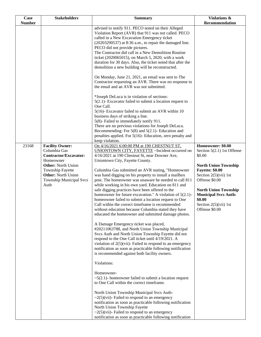| Case          | <b>Stakeholders</b>                                                                                                                                                                                                | <b>Summary</b>                                                                                                                                                                                                                                                                                                                                                                                                                                                                                                                                                                                                                                                                                                                                                                                                                                                                                                                                                                                                                                                                                                                                                                                                                                                                                                                                                                                                                                                                                                                                       | Violations &                                                                                                                                                                                                                                                                            |
|---------------|--------------------------------------------------------------------------------------------------------------------------------------------------------------------------------------------------------------------|------------------------------------------------------------------------------------------------------------------------------------------------------------------------------------------------------------------------------------------------------------------------------------------------------------------------------------------------------------------------------------------------------------------------------------------------------------------------------------------------------------------------------------------------------------------------------------------------------------------------------------------------------------------------------------------------------------------------------------------------------------------------------------------------------------------------------------------------------------------------------------------------------------------------------------------------------------------------------------------------------------------------------------------------------------------------------------------------------------------------------------------------------------------------------------------------------------------------------------------------------------------------------------------------------------------------------------------------------------------------------------------------------------------------------------------------------------------------------------------------------------------------------------------------------|-----------------------------------------------------------------------------------------------------------------------------------------------------------------------------------------------------------------------------------------------------------------------------------------|
| <b>Number</b> |                                                                                                                                                                                                                    |                                                                                                                                                                                                                                                                                                                                                                                                                                                                                                                                                                                                                                                                                                                                                                                                                                                                                                                                                                                                                                                                                                                                                                                                                                                                                                                                                                                                                                                                                                                                                      | Recommendation                                                                                                                                                                                                                                                                          |
|               |                                                                                                                                                                                                                    | advised to notify 911. PECO noted on their Alleged<br>Violation Report (AVR) that 911 was not called. PECO<br>called in a New Excavation Emergency ticket<br>(20203290537) at 8:36 a.m., to repair the damaged line.<br>PECO did not provide pictures.<br>The Contractor did call in a New Demolition Routine<br>ticket (2020065015), on March 5, 2020, with a work<br>duration for 30 days. Also, the ticket noted that after the<br>demolition a new building will be reconstructed.                                                                                                                                                                                                                                                                                                                                                                                                                                                                                                                                                                                                                                                                                                                                                                                                                                                                                                                                                                                                                                                               |                                                                                                                                                                                                                                                                                         |
|               |                                                                                                                                                                                                                    | On Monday, June 21, 2021, an email was sent to The<br>Contractor requesting an AVR. There was no response to<br>the email and an AVR was not submitted.                                                                                                                                                                                                                                                                                                                                                                                                                                                                                                                                                                                                                                                                                                                                                                                                                                                                                                                                                                                                                                                                                                                                                                                                                                                                                                                                                                                              |                                                                                                                                                                                                                                                                                         |
|               |                                                                                                                                                                                                                    | *Joseph DeLuca is in violation of sections:<br>$5(2.1)$ - Excavator failed to submit a location request to<br>One Call.<br>5(16)- Excavator failed to submit an AVR within 10<br>business days of striking a line.<br>5(8)- Failed to immediately notify 911.<br>There are no previous violations for Joseph DeLuca.<br>Recommending: For $5(8)$ and $5(2.1)$ - Education and<br>penalties applied. For 5(16)- Education, zero penalty and<br>keep violation.                                                                                                                                                                                                                                                                                                                                                                                                                                                                                                                                                                                                                                                                                                                                                                                                                                                                                                                                                                                                                                                                                        |                                                                                                                                                                                                                                                                                         |
| 23168         | <b>Facility Owner:</b><br>Columbia Gas<br><b>Contractor/Excavator:</b><br>Homeowner<br><b>Other:</b> North Union<br><b>Township Fayette</b><br><b>Other: North Union</b><br><b>Township Municipal Svcs</b><br>Auth | On 4/16/2021 6:00:00 PM at 190 CHESTNUT ST,<br>UNIONTOWN CITY, FAYETTE ~Incident occurred on<br>4/16/2021 at 190 Chestnut St, near Downer Ave,<br>Uniontown City, Fayette County.<br>Columbia Gas submitted an AVR stating, "Homeowner<br>was hand digging on his property to install a mailbox<br>post. The homeowner was unaware he needed to call 811<br>while working in his own yard. Education on 811 and<br>safe digging practices have been offered to the<br>homeowner for future excavation." A violation of $5(2.1)$ -<br>homeowner failed to submit a location request to One<br>Call within the correct timeframe is recommended<br>without education because Columbia stated they have<br>educated the homeowner and submitted damage photos.<br>A Damage Emergency ticket was placed,<br>#20211063788, and North Union Township Municipal<br>Svcs Auth and North Union Township Fayette did not<br>respond to the One Call ticket until 4/19/2021. A<br>violation of $2(5)$ (vii)- Failed to respond to an emergency<br>notification as soon as practicable following notification<br>is recommended against both facility owners.<br>Violations:<br>Homeowner-<br>$\sim$ 5(2.1)- homeowner failed to submit a location request<br>to One Call within the correct timeframe.<br>North Union Township Municipal Svcs Auth-<br>$\sim$ 2(5)(vii)- Failed to respond to an emergency<br>notification as soon as practicable following notification<br>North Union Township Fayette<br>$\sim$ 2(5)(vii)- Failed to respond to an emergency | Homeowner: \$0.00<br>Section 5(2.1) 1st Offense<br>\$0.00<br><b>North Union Township</b><br><b>Fayette: \$0.00</b><br>Section $2(5)(vii)$ 1st<br>Offense \$0.00<br><b>North Union Township</b><br><b>Municipal Svcs Auth:</b><br>\$0.00<br>Section $2(5)(\n \n  1st)$<br>Offense \$0.00 |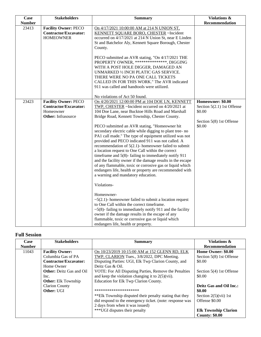| Case          | <b>Stakeholders</b>                                                                                   | <b>Summary</b>                                                                                                                                                                                                                                                                                                                                                                                                                                                                                                                                                                                                                                                                                                                                                                                                                                | <b>Violations &amp;</b>                                                                         |
|---------------|-------------------------------------------------------------------------------------------------------|-----------------------------------------------------------------------------------------------------------------------------------------------------------------------------------------------------------------------------------------------------------------------------------------------------------------------------------------------------------------------------------------------------------------------------------------------------------------------------------------------------------------------------------------------------------------------------------------------------------------------------------------------------------------------------------------------------------------------------------------------------------------------------------------------------------------------------------------------|-------------------------------------------------------------------------------------------------|
| <b>Number</b> |                                                                                                       |                                                                                                                                                                                                                                                                                                                                                                                                                                                                                                                                                                                                                                                                                                                                                                                                                                               | Recommendation                                                                                  |
| 23413         | <b>Facility Owner: PECO</b><br><b>Contractor/Excavator:</b><br><b>HOMEOWNER</b>                       | On 4/17/2021 10:00:00 AM at 214 N UNION ST,<br>KENNETT SQUARE BORO, CHESTER ~Incident<br>occurred on 4/17/2021 at 214 N Union St, near E Linden<br>St and Batchelor Aly, Kennett Square Borough, Chester<br>County.                                                                                                                                                                                                                                                                                                                                                                                                                                                                                                                                                                                                                           |                                                                                                 |
|               |                                                                                                       | PECO submitted an AVR stating, "On 4/17/2021 THE<br>PROPERTY OWNER, ***************, DIGGING<br>WITH A POST HOLE DIGGER, DAMAGED AN<br>UNMARKED 1/2 INCH PLATIC GAS SERVICE.<br>THERE WERE NO PA ONE CALL TICKETS<br>CALLED IN FOR THIS WORK." The AVR indicated<br>911 was called and handtools were utilized.                                                                                                                                                                                                                                                                                                                                                                                                                                                                                                                               |                                                                                                 |
|               |                                                                                                       | No violations of Act 50 found.                                                                                                                                                                                                                                                                                                                                                                                                                                                                                                                                                                                                                                                                                                                                                                                                                |                                                                                                 |
| 23423         | <b>Facility Owner: PECO</b><br><b>Contractor/Excavator:</b><br>Homeowner<br><b>Other:</b> Infrasource | On 4/20/2021 12:00:00 PM at 104 DOE LN, KENNETT<br>TWP, CHESTER ~Incident occurred on 4/20/2021 at<br>104 Doe Lane, near Bucktoe Hills Road and Marshall<br>Bridge Road, Kennett Township, Chester County.<br>PECO submitted an AVR stating, "Homeowner hit<br>secondary electric cable while digging to plant tree- no<br>PA1 call made." The type of equipment utilized was not<br>provided and PECO indicated 911 was not called. A<br>recommendation of $5(2.1)$ - homeowner failed to submit<br>a location request to One Call within the correct<br>timeframe and $5(8)$ - failing to immediately notify 911<br>and the facility owner if the damage results in the escape<br>of any flammable, toxic or corrosive gas or liquid which<br>endangers life, health or property are recommended with<br>a warning and mandatory education. | Homeowner: \$0.00<br>Section 5(2.1) 1st Offense<br>\$0.00<br>Section 5(8) 1st Offense<br>\$0.00 |
|               |                                                                                                       | Violations-<br>Homeowner-<br>$\sim$ 5(2.1)- homeowner failed to submit a location request<br>to One Call within the correct timeframe.<br>$\sim$ 5(8)-failing to immediately notify 911 and the facility<br>owner if the damage results in the escape of any<br>flammable, toxic or corrosive gas or liquid which<br>endangers life, health or property.                                                                                                                                                                                                                                                                                                                                                                                                                                                                                      |                                                                                                 |

### **Full Session**

| Case          | <b>Stakeholders</b>             | <b>Summary</b>                                             | Violations &                                               |
|---------------|---------------------------------|------------------------------------------------------------|------------------------------------------------------------|
| <b>Number</b> |                                 |                                                            | <b>Recommendation</b>                                      |
| 11043         | <b>Facility Owner:</b>          | On 10/23/2019 10:15:00 AM at 152 GLENN RD, ELK             | Home Owner: \$0.00                                         |
|               | Columbia Gas of PA              | TWP, CLARION Tues., 3/8/2022, DPC Meeting.                 | Section 5(8) 1st Offense                                   |
|               | <b>Contractor/Excavator:</b>    | Disputing Parties: UGI, Elk Twp Clarion County, and        | \$0.00                                                     |
|               | Home Owner                      | Deitz Gas & Oil.                                           |                                                            |
|               | <b>Other:</b> Deitz Gas and Oil | VOTE: For All Disputing Parties, Remove the Penalties      | Section $5(4)$ 1st Offense                                 |
|               | Inc.                            | and keep the violation changing it to $2(5)(\n{\rm vii}).$ | \$0.00                                                     |
|               | <b>Other:</b> Elk Township      | Education for Elk Twp Clarion County.                      |                                                            |
|               | <b>Clarion County</b>           |                                                            | Deitz Gas and Oil Inc.:                                    |
|               | Other: UGI                      | *********************                                      | \$0.00                                                     |
|               |                                 | **Elk Township disputed their penalty stating that they    | Section $2(5)(\n \n \tilde{\text{v}}\tilde{\text{u}})$ 1st |
|               |                                 | did respond to the emergency ticket. (note: response was   | Offense \$0.00                                             |
|               |                                 | 2 days from when it was issued)                            |                                                            |
|               |                                 | *** UGI disputes their penalty                             | <b>Elk Township Clarion</b>                                |
|               |                                 |                                                            | <b>County: \$0.00</b>                                      |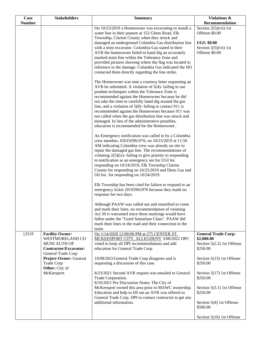| Case<br><b>Number</b> | <b>Stakeholders</b>                                                                                                                              | <b>Summary</b>                                                                                                                                                                                                                                                                                                                                                                                                                                                                                                                                                         | Violations &<br>Recommendation                                                                                  |
|-----------------------|--------------------------------------------------------------------------------------------------------------------------------------------------|------------------------------------------------------------------------------------------------------------------------------------------------------------------------------------------------------------------------------------------------------------------------------------------------------------------------------------------------------------------------------------------------------------------------------------------------------------------------------------------------------------------------------------------------------------------------|-----------------------------------------------------------------------------------------------------------------|
|                       |                                                                                                                                                  | On 10/23/2019 a Homeowner was excavating to install a<br>water line in their pasture at 152 Glenn Road, Elk<br>Township, Clarion County when they struck and<br>damaged an underground Columbia Gas distribution line<br>with a mini excavator. Columbia Gas stated in their<br>AVR the homeowner failed to hand dig an accurately<br>marked main line within the Tolerance Zone and<br>provided pictures showing where the flag was located in<br>reference to the damage. Columbia Gas indicated the HO<br>contacted them directly regarding the line strike.        | Section $2(5)(vii)$ 1st<br>Offense \$0.00<br><b>UGI: \$0.00</b><br>Section $2(5)(\n \n  1st)$<br>Offense \$0.00 |
|                       |                                                                                                                                                  | The Homeowner was sent a courtesy letter requesting an<br>AVR be submitted. A violation of $5(4)$ - failing to use<br>prudent techniques within the Tolerance Zone is<br>recommended against the Homeowner because he did<br>not take the time to carefully hand dig around the gas<br>line, and a violation of $5(8)$ -failing to contact 911 is<br>recommended against the Homeowner because 911 was<br>not called when the gas distribution line was struck and<br>damaged. In lieu of the administrative penalties,<br>education is recommended for the Homeowner. |                                                                                                                 |
|                       |                                                                                                                                                  | An Emergency notification was called in by a Columbia<br>crew member, #20192961976, on 10/23/2019 at 11:50<br>AM indicating Columbia crew was already on site to<br>repair the damaged gas line. The recommendations of<br>violating $2(5)(ix)$ - failing to give priority to responding<br>to notification as an emergency are for UGI for<br>responding on 10/24/2019, Elk Township Clarion<br>County for responding on 10/25/2019 and Dietz Gas and<br>Oil Inc. for responding on 10/24/2019.                                                                       |                                                                                                                 |
|                       |                                                                                                                                                  | Elk Township has been cited for failure to respond to an<br>emergency ticket 20192961976 because they made no<br>response for two days.                                                                                                                                                                                                                                                                                                                                                                                                                                |                                                                                                                 |
|                       |                                                                                                                                                  | Although PAAW was called out and renotified to come<br>and mark their lines, no recommendation of violating<br>Act 50 is warranted since these markings would have<br>fallen under the "Good Samaritan Claus". PAAW did<br>mark their lines in the road and their connection to the<br>main.                                                                                                                                                                                                                                                                           |                                                                                                                 |
| 12519                 | <b>Facility Owner:</b><br><b>WESTMORELAND CO</b><br>MUNI AUTH OF<br>Contractor/Excavator:<br>General Trade Corp<br><b>Project Owner: General</b> | On 1/14/2020 12:00:00 PM at 275 CENTER ST,<br>MCKEESPORT CITY, ALLEGHENY 3/08/2022 DPC<br>voted to keep all DPI recommendations and add<br>education for General Trade Corp.<br>10/08/2021General Trade Corp disagrees and is                                                                                                                                                                                                                                                                                                                                          | <b>General Trade Corp:</b><br>\$2,000.00<br>Section 5(2.2) 1st Offense<br>\$250.00<br>Section 5(13) 1st Offense |
|                       | <b>Trade Corp</b><br>Other: City of                                                                                                              | requesting a discussion of this case.                                                                                                                                                                                                                                                                                                                                                                                                                                                                                                                                  | \$250.00                                                                                                        |
|                       | McKeesport                                                                                                                                       | 8/23/2021 Second AVR request was emailed to General<br>Trade Corporation.<br>8/10/2021 Pre Discussion Notes: The City of<br>McKeesport owned this area prior to MAWC ownership.<br>Education and help to fill out an AVR was offered to<br>General Trade Corp. DPI to contact contractor to get any<br>additional information.                                                                                                                                                                                                                                         | Section 5(17) 1st Offense<br>\$250.00<br>Section 5(3.1) 1st Offense<br>\$250.00<br>Section 5(4) 1st Offense     |
|                       |                                                                                                                                                  |                                                                                                                                                                                                                                                                                                                                                                                                                                                                                                                                                                        | \$500.00<br>Section 5(16) 1st Offense                                                                           |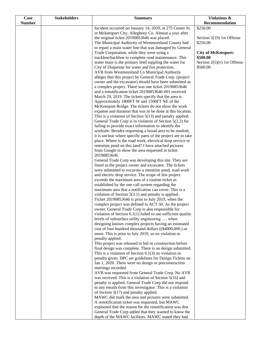| Case          | <b>Stakeholders</b> | <b>Summary</b>                                                                                                          | Violations &                          |
|---------------|---------------------|-------------------------------------------------------------------------------------------------------------------------|---------------------------------------|
| <b>Number</b> |                     |                                                                                                                         | Recommendation                        |
|               |                     | Incident occurred on January 14, 2020, at 275 Center St.                                                                | \$250.00                              |
|               |                     | in Mckeesport City, Allegheny Co. Almost a year after                                                                   |                                       |
|               |                     | the original ticket 20190853646 was placed.                                                                             | Section 5(19) 1st Offense<br>\$250.00 |
|               |                     | The Municipal Authority of Westmoreland County had<br>to repair a main water line that was damaged by General           |                                       |
|               |                     | Trade Corporation, while they were using a                                                                              | <b>City of McKeesport:</b>            |
|               |                     | trackhoe/backhoe to complete road maintenance. This                                                                     | \$500.00                              |
|               |                     | water main is the primary feed suppling the water for                                                                   | Section $2(5)(v)$ 1st Offense         |
|               |                     | City of Duquesne for water and fire protection.                                                                         | \$500.00                              |
|               |                     | AVR from Westmoreland Co Municipal Authority                                                                            |                                       |
|               |                     | alleges that this project by General Trade Corp. (project                                                               |                                       |
|               |                     | owner and the excavator) should have been submitted as                                                                  |                                       |
|               |                     | a complex project. There was one ticket 20190853646                                                                     |                                       |
|               |                     | and a renotification ticket 20190853646-001 received                                                                    |                                       |
|               |                     | March 29, 2019. The tickets specify that the area is                                                                    |                                       |
|               |                     | Approximately 1800FT W and 1500FT NE of the                                                                             |                                       |
|               |                     | McKeesport Bridge. The tickets do not show the work                                                                     |                                       |
|               |                     | expanse and duration that was to be done at this location.                                                              |                                       |
|               |                     | This is a violation of Section $5(13)$ and penalty applied.<br>General Trade Corp is in violation of Section 5(2.2) for |                                       |
|               |                     | failing to provide exact information to identify the                                                                    |                                       |
|               |                     | worksite. Besides requesting a broad area to be marked,                                                                 |                                       |
|               |                     | it is unclear where specific parts of the project are to take                                                           |                                       |
|               |                     | place. Where is the road work, electrical drop service or                                                               |                                       |
|               |                     | retention pond on this land? I have attached pictures                                                                   |                                       |
|               |                     | from Google to show the area requested in ticket                                                                        |                                       |
|               |                     | 20190853646.                                                                                                            |                                       |
|               |                     | General Trade Corp was developing this site. They are                                                                   |                                       |
|               |                     | listed as the project owner and excavator. The tickets                                                                  |                                       |
|               |                     | were submitted to excavate a retention pond, road work                                                                  |                                       |
|               |                     | and electric drop service. The scope of this project                                                                    |                                       |
|               |                     | exceeds the maximum area of a routine ticket as                                                                         |                                       |
|               |                     | established by the one call system regarding the<br>maximum area that a notification can cover. This is a               |                                       |
|               |                     | violation of Section $5(3.1)$ and penalty is applied.                                                                   |                                       |
|               |                     | Ticket 20190853646 is prior to July 2019, when the                                                                      |                                       |
|               |                     | complex project was defined in ACT 50. As the project                                                                   |                                       |
|               |                     | owner, General Trade Corp is also responsible for                                                                       |                                       |
|               |                     | violation of Section $6.1(1)$ failed to use sufficient quality                                                          |                                       |
|               |                     | levels of subsurface utility engineering  when                                                                          |                                       |
|               |                     | designing known complex projects having an estimated                                                                    |                                       |
|               |                     | cost of four hundred thousand dollars ((\$4000,000.) or                                                                 |                                       |
|               |                     | more. This is prior to July 2019, so no violation or                                                                    |                                       |
|               |                     | penalty applied.                                                                                                        |                                       |
|               |                     | This project was released to bid or construction before                                                                 |                                       |
|               |                     | final design was complete. There is no design submitted.<br>This is a violation of Section $6.1(3)$ no violation or     |                                       |
|               |                     | penalty given. DPC set guidelines for Design Tickets on                                                                 |                                       |
|               |                     | Jan 1, 2020. There were no design or preconstruction                                                                    |                                       |
|               |                     | meetings recorded.                                                                                                      |                                       |
|               |                     | AVR was requested from General Trade Corp. No AVR                                                                       |                                       |
|               |                     | was received. This is a violation of Section $5(16)$ and                                                                |                                       |
|               |                     | penalty is applied. General Trade Corp did not respond                                                                  |                                       |
|               |                     | to any emails from this investigator. This is a violation                                                               |                                       |
|               |                     | of Section $5(17)$ and penalty applied.                                                                                 |                                       |
|               |                     | MAWC did mark the area and pictures were submitted.                                                                     |                                       |
|               |                     | A renotification ticket was requested, but MAWC                                                                         |                                       |
|               |                     | explained that the reason for the renotification was that                                                               |                                       |
|               |                     | General Trade Corp added that they wanted to know the                                                                   |                                       |
|               |                     | depth of the MAWC facilities. MAWC stated they had                                                                      |                                       |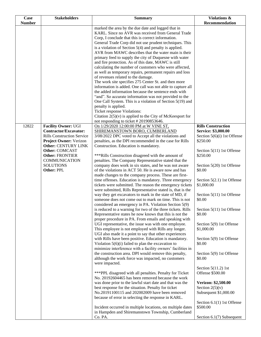| Case          | <b>Stakeholders</b>                                         | <b>Summary</b>                                                                                                     | <b>Violations &amp;</b>                  |
|---------------|-------------------------------------------------------------|--------------------------------------------------------------------------------------------------------------------|------------------------------------------|
| <b>Number</b> |                                                             |                                                                                                                    | Recommendation                           |
|               |                                                             | marked the area by the due date and logged that in                                                                 |                                          |
|               |                                                             | KARL. Since no AVR was received from General Trade<br>Corp, I conclude that this is correct information.           |                                          |
|               |                                                             | General Trade Corp did not use prudent techniques. This                                                            |                                          |
|               |                                                             | is a violation of Section $5(4)$ and penalty is applied.                                                           |                                          |
|               |                                                             | AVR from MAWC describes that the water main is their                                                               |                                          |
|               |                                                             | primary feed to supply the city of Duquesne with water                                                             |                                          |
|               |                                                             | and fire protection. As of this date, MAWC is still                                                                |                                          |
|               |                                                             | calculating the number of customers who were affected,                                                             |                                          |
|               |                                                             | as well as temporary repairs, permanent repairs and loss                                                           |                                          |
|               |                                                             | of revenues related to the damage.                                                                                 |                                          |
|               |                                                             | The work site specifies 275 Center St. and then more                                                               |                                          |
|               |                                                             | information is added. One call was not able to capture all                                                         |                                          |
|               |                                                             | the added information because the sentence ends with<br>"and". So accurate information was not provided to the     |                                          |
|               |                                                             | One Call System. This is a violation of Section 5(19) and                                                          |                                          |
|               |                                                             | penalty is applied.                                                                                                |                                          |
|               |                                                             | Ticket response Violations:                                                                                        |                                          |
|               |                                                             | Citation $2(5)(v)$ is applied to the City of McKeesport for                                                        |                                          |
|               |                                                             | not responding to ticket #20190853646.                                                                             |                                          |
| 12822         | <b>Facility Owner: UGI</b>                                  | On 1/29/2020 12:00:00 PM at W VINE ST,                                                                             | <b>Rills Construction</b>                |
|               | <b>Contractor/Excavator:</b>                                | SHIREMANSTOWN BORO, CUMBERLAND                                                                                     | Service: \$3,000.00                      |
|               | <b>Rills Construction Service</b>                           | 3/08/2022 DPC voted to Accept all the violations and                                                               | Section $5(6)(i)$ 1st Offense            |
|               | <b>Project Owner: Verizon</b><br><b>Other: CENTURY LINK</b> | penalties, as the DPI recommended in the case for Rills<br>Construction. Education is mandatory.                   | \$250.00                                 |
|               | <b>Other: COMCAST</b>                                       |                                                                                                                    | Section 5(11) 1st Offense                |
|               | <b>Other: FRONTIER</b>                                      | *** Rills Construction disagreed with the amount of                                                                | \$250.00                                 |
|               | <b>COMMUNICATION</b>                                        | penalties. The Company Representative stated that the                                                              |                                          |
|               | <b>SOLUTIONS</b>                                            | company does work in six states, and he was not aware                                                              | Section 5(20) 1st Offense                |
|               | Other: PPL                                                  | of the violations in ACT 50. He is aware now and has                                                               | \$0.00                                   |
|               |                                                             | made changes to the company process. These are first-                                                              |                                          |
|               |                                                             | time offenses. Education is mandatory. Three emergency<br>tickets were submitted. The reason the emergency tickets | Section 5(2.1) 1st Offense<br>\$1,000.00 |
|               |                                                             | were submitted, Rills Representative stated is, that is the                                                        |                                          |
|               |                                                             | way they get excavators to mark in the state of MD, if                                                             | Section 5(11) 1st Offense                |
|               |                                                             | someone does not come out to mark on time. This is not                                                             | \$0.00                                   |
|               |                                                             | considered an emergency in PA. Violation Section 5(9)                                                              |                                          |
|               |                                                             | is reduced to a warning for two of the three tickets. Rills                                                        | Section 5(11) 1st Offense                |
|               |                                                             | Representative states he now knows that this is not the                                                            | \$0.00                                   |
|               |                                                             | proper procedure in PA. From emails and speaking with                                                              |                                          |
|               |                                                             | UGI representative, the issue was with one employee.<br>This employee is not employed with Rills any longer.       | Section 5(9) 1st Offense<br>\$1,000.00   |
|               |                                                             | UGI also made it a point to say that other experiences                                                             |                                          |
|               |                                                             | with Rills have been positive. Education is mandatory.                                                             | Section 5(9) 1st Offense                 |
|               |                                                             | Violation $5(6)(i)$ failed to plan the excavation to                                                               | \$0.00                                   |
|               |                                                             | minimize interference with a facility owners' facilities in                                                        |                                          |
|               |                                                             | the construction area. DPI would remove this penalty,                                                              | Section 5(9) 1st Offense                 |
|               |                                                             | although the work force was impacted, no customers                                                                 | \$0.00                                   |
|               |                                                             | were impacted.                                                                                                     | Section $5(11.2)$ 1st                    |
|               |                                                             | *** PPL disagreed with all penalties. Penalty for Ticket                                                           | Offense \$500.00                         |
|               |                                                             | No. 20192604465 has been removed because the work                                                                  |                                          |
|               |                                                             | was done prior to the lawful start date and that was the                                                           | <b>Verizon: \$2,500.00</b>               |
|               |                                                             | best response for the situation. Penalty for ticket                                                                | Section $2(5)(v)$                        |
|               |                                                             | No.20191100115 and 202002009 have been removed                                                                     | Subsequent \$1,000.00                    |
|               |                                                             | because of error in selecting the response in KARL.                                                                |                                          |
|               |                                                             |                                                                                                                    | Section 6.1(1) 1st Offense               |
|               |                                                             | Incident occurred in multiple locations, on multiple dates<br>in Hampden and Shiremanstown Township, Cumberland    | \$500.00                                 |
|               |                                                             | Co. PA.                                                                                                            | Section 6.1(7) Subsequent                |
|               |                                                             |                                                                                                                    |                                          |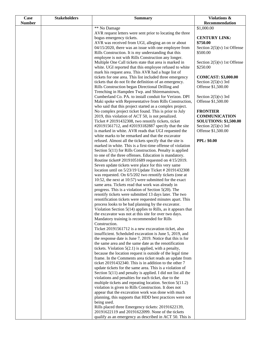| <b>Case</b>   | <b>Stakeholders</b> | <b>Summary</b>                                                                                                         | Violations &                              |
|---------------|---------------------|------------------------------------------------------------------------------------------------------------------------|-------------------------------------------|
| <b>Number</b> |                     |                                                                                                                        | Recommendation                            |
|               |                     | ** No Damage                                                                                                           | \$1,000.00                                |
|               |                     | AVR request letters were sent prior to locating the three                                                              |                                           |
|               |                     | bogus emergency tickets.                                                                                               | <b>CENTURY LINK:</b>                      |
|               |                     | AVR was received from UGI, alleging an on or about                                                                     | \$750.00                                  |
|               |                     | 04/15/2020, there was an issue with one employee from                                                                  | Section $2(5)(v)$ 1st Offense             |
|               |                     | Rills Construction. It is my understanding that this                                                                   | \$500.00                                  |
|               |                     | employee is not with Rills Construction any longer.                                                                    |                                           |
|               |                     | Multiple One Call tickets state that area is marked in<br>white. UGI reported that this employee refused to white      | Section $2(5)(v)$ 1st Offense<br>\$250.00 |
|               |                     | mark his request area. This AVR had a huge list of                                                                     |                                           |
|               |                     | tickets for one area. This list included three emergency                                                               | <b>COMCAST: \$3,000.00</b>                |
|               |                     | tickets that do not fit the definition of an emergency.                                                                | Section $2(5)(v)$ 3rd                     |
|               |                     | Rills Construction began Directional Drilling and                                                                      | Offense \$1,500.00                        |
|               |                     | Trenching in Hampden Twp. and Shiremanstown,                                                                           |                                           |
|               |                     | Cumberland Co. PA. to install conduit for Verizon. DPI                                                                 | Section $2(5)(v)$ 3rd                     |
|               |                     | Maki spoke with Representative from Rills Construction,                                                                | Offense \$1,500.00                        |
|               |                     | who said that this project started as a complex project.                                                               |                                           |
|               |                     | No complex project ticket found. This is prior to July                                                                 | <b>FRONTIER</b>                           |
|               |                     | 2019, this violation of ACT 50, is not penalized.                                                                      | <b>COMMUNICATION</b>                      |
|               |                     | Ticket #20191432308, two renotify tickets, ticket                                                                      | <b>SOLUTIONS: \$1,500.00</b>              |
|               |                     | #20191561712, and #20193182887 specify that the site                                                                   | Section $2(5)(v)$ 3rd                     |
|               |                     | is marked in white. AVR reads that UGI requested the                                                                   | Offense \$1,500.00                        |
|               |                     | white marks to be remarked and that the excavator                                                                      |                                           |
|               |                     | refused. Almost all the tickets specify that the site is                                                               | <b>PPL: \$0.00</b>                        |
|               |                     | marked in white. This is a first-time offense of violation<br>Section 5(11) for Rills Construction. Penalty is applied |                                           |
|               |                     | to one of the three offenses. Education is mandatory.                                                                  |                                           |
|               |                     | Routine ticket# 20191051689 requested on 4/15/2019.                                                                    |                                           |
|               |                     | Seven update tickets were place for this very same                                                                     |                                           |
|               |                     | location until on 5/23/19 Update Ticket # 20191432308                                                                  |                                           |
|               |                     | was requested. On 6/5/202 two renotify tickets (one at                                                                 |                                           |
|               |                     | 10:52, the next at 10:57) were submitted for the exact                                                                 |                                           |
|               |                     | same area. Tickets read that work was already in                                                                       |                                           |
|               |                     | progress. This is a violation of Section $5(20)$ . The                                                                 |                                           |
|               |                     | renotify tickets were submitted 13 days later. The two                                                                 |                                           |
|               |                     | renotification tickets were requested minutes apart. This                                                              |                                           |
|               |                     | process looks to be bad planning by the excavator.                                                                     |                                           |
|               |                     | Violation Section $5(14)$ applies to Rills, as it appears that                                                         |                                           |
|               |                     | the excavator was not at this site for over two days.                                                                  |                                           |
|               |                     | Mandatory training is recommended for Rills<br>Construction.                                                           |                                           |
|               |                     | Ticket 20191561712 is a new excavation ticket, also                                                                    |                                           |
|               |                     | insufficient. Scheduled excavation is June 5, 2019, and                                                                |                                           |
|               |                     | the response date is June 7, 2019. Notice that this is for                                                             |                                           |
|               |                     | the same area and the same date as the renotification                                                                  |                                           |
|               |                     | tickets. Violation $5(2.1)$ is applied, with a penalty,                                                                |                                           |
|               |                     | because the location request is outside of the legal time                                                              |                                           |
|               |                     | frame. In the Comments area ticket reads an update from                                                                |                                           |
|               |                     | ticket 20191432340. This is in addition to the other 7                                                                 |                                           |
|               |                     | update tickets for the same area. This is a violation of                                                               |                                           |
|               |                     | Section $5(11)$ and penalty is applied. I did not list all the                                                         |                                           |
|               |                     | violations and penalties for each ticket, due to the                                                                   |                                           |
|               |                     | multiple tickets and repeating location. Section $5(11.2)$<br>violation is given to Rills Construction. It does not    |                                           |
|               |                     | appear that the excavation work was done with much                                                                     |                                           |
|               |                     | planning, this supports that HDD best practices were not                                                               |                                           |
|               |                     | being used.                                                                                                            |                                           |
|               |                     | Rills placed three Emergency tickets: 20191622139,                                                                     |                                           |
|               |                     | 20191622119 and 20191622099. None of the tickets                                                                       |                                           |
|               |                     | qualify as an emergency as described in ACT 50. This is                                                                |                                           |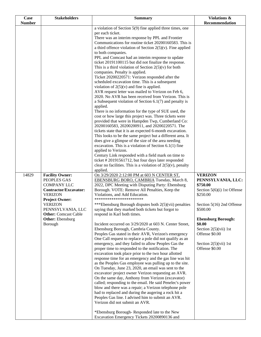| Case          | <b>Stakeholders</b>                                | <b>Summary</b>                                                                                                     | Violations &                              |
|---------------|----------------------------------------------------|--------------------------------------------------------------------------------------------------------------------|-------------------------------------------|
| <b>Number</b> |                                                    |                                                                                                                    | Recommendation                            |
|               |                                                    | a violation of Section $5(9)$ fine applied three times, one<br>per each ticket.                                    |                                           |
|               |                                                    | There was an interim response by PPL and Frontier                                                                  |                                           |
|               |                                                    | Communications for routine ticket 20200160583. This is                                                             |                                           |
|               |                                                    | a third offence violation of Section $2(5)(v)$ . Fine applied                                                      |                                           |
|               |                                                    | to both companies.                                                                                                 |                                           |
|               |                                                    | PPL and Comcast had an interim response to update                                                                  |                                           |
|               |                                                    | ticket 20191100115 but did not finalize the response.<br>This is a third violation of Section $2(5)(v)$ for both   |                                           |
|               |                                                    | companies. Penalty is applied.                                                                                     |                                           |
|               |                                                    | Ticket 20200220571: Verizon responded after the                                                                    |                                           |
|               |                                                    | scheduled excavation time. This is a subsequent                                                                    |                                           |
|               |                                                    | violation of $2(5)(v)$ and fine is applied.                                                                        |                                           |
|               |                                                    | AVR request letter was mailed to Verizon on Feb 6,                                                                 |                                           |
|               |                                                    | 2020. No AVR has been received from Verizon. This is                                                               |                                           |
|               |                                                    | a Subsequent violation of Section $6.1(7)$ and penalty is                                                          |                                           |
|               |                                                    | applied.<br>There is no information for the type of SUE used, the                                                  |                                           |
|               |                                                    | cost or how large this project was. Three tickets were                                                             |                                           |
|               |                                                    | provided that were in Hampden Twp, Cumberland Co:                                                                  |                                           |
|               |                                                    | 20200160583, 20200200911, and 20200220571. The                                                                     |                                           |
|               |                                                    | tickets state that it is an expected 6-month excavation.                                                           |                                           |
|               |                                                    | This looks to be the same project but a different area. It                                                         |                                           |
|               |                                                    | does give a glimpse of the size of the area needing                                                                |                                           |
|               |                                                    | excavation. This is a violation of Section $6.1(1)$ fine<br>applied to Verizon.                                    |                                           |
|               |                                                    | Century Link responded with a field mark on time to                                                                |                                           |
|               |                                                    | ticket #20191561712, but four days later responded                                                                 |                                           |
|               |                                                    | clear no facilities. This is a violation of $2(5)(v)$ , penalty<br>applied.                                        |                                           |
| 14829         | <b>Facility Owner:</b>                             | On 3/29/2020 2:12:00 PM at 603 N CENTER ST,                                                                        | <b>VERIZON</b>                            |
|               | PEOPLES GAS                                        | EBENSBURG BORO, CAMBRIA Tuesday, March 8,                                                                          | PENNSYLVANIA, LLC:                        |
|               | <b>COMPANY LLC</b><br><b>Contractor/Excavator:</b> | 2022, DPC Meeting with Disputing Party: Ebensburg<br>Borough. VOTE: Remove All Penalties, Keep the                 | \$750.00<br>Section $5(6)(i)$ 1st Offense |
|               | <b>VERIZON</b>                                     | Violations, and Add Education.                                                                                     | \$250.00                                  |
|               | <b>Project Owner:</b>                              | ***********************                                                                                            |                                           |
|               | <b>VERIZON</b>                                     | ***Ebensburg Borough disputes both 2(5)(vii) penalties                                                             | Section $5(16)$ 2nd Offense               |
|               | PENNSYLVANIA, LLC                                  | saying that they marked both tickets but forgot to                                                                 | \$500.00                                  |
|               | <b>Other:</b> Comcast Cable                        | respond in Karl both times.                                                                                        |                                           |
|               | <b>Other:</b> Ebensburg<br>Borough                 | Incident occurred on 3/29/2020 at 603 N. Center Street,                                                            | <b>Ebensburg Borough:</b><br>\$0.00       |
|               |                                                    | Ebensburg Borough, Cambria County.                                                                                 | Section $2(5)(vii)$ 1st                   |
|               |                                                    | Peoples Gas stated in their AVR, Verizon's emergency                                                               | Offense \$0.00                            |
|               |                                                    | One Call request to replace a pole did not qualify as an                                                           |                                           |
|               |                                                    | emergency, and they failed to allow Peoples Gas the                                                                | Section $2(5)(vii)$ 1st                   |
|               |                                                    | proper time to responded to the notification. The                                                                  | Offense \$0.00                            |
|               |                                                    | excavation took place prior to the two hour allotted                                                               |                                           |
|               |                                                    | response time for an emergency and the gas line was hit<br>as the Peoples Gas employee was pulling up to the site. |                                           |
|               |                                                    | On Tuesday, June 23, 2020, an email was sent to the                                                                |                                           |
|               |                                                    | excavator/ project owner Verizon requesting an AVR.                                                                |                                           |
|               |                                                    | On the same day, Anthony from Verizon (excavator)                                                                  |                                           |
|               |                                                    | called; responding to the email. He said Penelec's power                                                           |                                           |
|               |                                                    | blow and there was a repair; a Verizon telephone pole                                                              |                                           |
|               |                                                    | had to replaced and during the augering a rock hit a                                                               |                                           |
|               |                                                    | Peoples Gas line. I advised him to submit an AVR.<br>Verizon did not submit an AVR.                                |                                           |
|               |                                                    |                                                                                                                    |                                           |
|               |                                                    | *Ebensburg Borough-Responded late to the New                                                                       |                                           |
|               |                                                    | Excavation Emergency Tickets 20200890136 and                                                                       |                                           |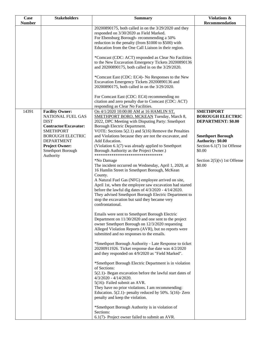| Case          | <b>Stakeholders</b>                                                                                                                | <b>Summary</b>                                                                                                                                                                                                                                                                                                                                                                                                                            | Violations &                                                                                 |
|---------------|------------------------------------------------------------------------------------------------------------------------------------|-------------------------------------------------------------------------------------------------------------------------------------------------------------------------------------------------------------------------------------------------------------------------------------------------------------------------------------------------------------------------------------------------------------------------------------------|----------------------------------------------------------------------------------------------|
| <b>Number</b> |                                                                                                                                    |                                                                                                                                                                                                                                                                                                                                                                                                                                           | Recommendation                                                                               |
|               |                                                                                                                                    | 20200890175, both called in on the 3/29/2020 and they<br>responded on 3/30/2020 as Field Marked.<br>For Ebensburg Borough-recommending a 50%<br>reduction in the penalty (from \$1000 to \$500) with<br>Education from the One Call Liaison in their region.                                                                                                                                                                              |                                                                                              |
|               |                                                                                                                                    | *Comcast (CDC: ACT) responded as Clear No Facilities<br>to the New Excavation Emergency Tickets 20200890136<br>and 20200890175, both called in on the 3/29/2020.                                                                                                                                                                                                                                                                          |                                                                                              |
|               |                                                                                                                                    | *Comcast East (CDC: EC4)- No Responses to the New<br>Excavation Emergency Tickets 20200890136 and<br>20200890175, both called in on the 3/29/2020.                                                                                                                                                                                                                                                                                        |                                                                                              |
|               |                                                                                                                                    | For Comcast East (CDC: EC4) recommending no<br>citation and zero penalty due to Comcast (CDC: ACT)<br>responding as Clear No Facilities.                                                                                                                                                                                                                                                                                                  |                                                                                              |
| 14391         | <b>Facility Owner:</b><br>NATIONAL FUEL GAS<br><b>DIST</b><br><b>Contractor/Excavator:</b>                                         | On 4/1/2020 10:00:00 AM at 16 HAMLIN ST,<br>SMETHPORT BORO, MCKEAN Tuesday, March 8,<br>2022, DPC Meeting with Disputing Party: Smethport<br>Borough Electric Department.                                                                                                                                                                                                                                                                 | <b>SMETHPORT</b><br><b>BOROUGH ELECTRIC</b><br><b>DEPARTMENT: \$0.00</b>                     |
|               | <b>SMETHPORT</b><br><b>BOROUGH ELECTRIC</b><br><b>DEPARTMENT</b><br><b>Project Owner:</b><br><b>Smethport Borough</b><br>Authority | VOTE: Sections $5(2.1)$ and $5(16)$ Remove the Penalties<br>and Violations because they are not the excavator, and<br>Add Education.<br>(Violation $6.1(7)$ was already applied to Smethport<br>Borough Authority as the Project Owner.)<br>********************************                                                                                                                                                              | <b>Smethport Borough</b><br><b>Authority: \$0.00</b><br>Section 6.1(7) 1st Offense<br>\$0.00 |
|               |                                                                                                                                    | *No Damage<br>The incident occurred on Wednesday, April 1, 2020, at<br>16 Hamlin Street in Smethport Borough, McKean<br>County.<br>A Natural Fuel Gas (NFG) employee arrived on site,<br>April 1st, when the employee saw excavation had started<br>before the lawful dig dates of $4/3/2020 - 4/14/2020$ .<br>They advised Smethport Borough Electric Department to<br>stop the excavation but said they became very<br>confrontational. | Section $2(5)(v)$ 1st Offense<br>\$0.00                                                      |
|               |                                                                                                                                    | Emails were sent to Smethport Borough Electric<br>Department on 11/30/2020 and one sent to the project<br>owner Smethport Borough on 12/3/2020 requesting<br>Alleged Violation Reports (AVR), but no reports were<br>submitted and no responses to the emails.                                                                                                                                                                            |                                                                                              |
|               |                                                                                                                                    | *Smethport Borough Authority - Late Response to ticket<br>20200911926. Ticket response due date was 4/2/2020<br>and they responded on 4/9/2020 as "Field Marked".                                                                                                                                                                                                                                                                         |                                                                                              |
|               |                                                                                                                                    | *Smethport Borough Electric Department is in violation<br>of Sections:<br>$5(2.1)$ - Began excavation before the lawful start dates of                                                                                                                                                                                                                                                                                                    |                                                                                              |
|               |                                                                                                                                    | $4/3/2020 - 4/14/2020$ .<br>5(16)- Failed submit an AVR.<br>They have no prior violations. I am recommending:<br>Education. $5(2.1)$ - penalty reduced by $50\%$ . $5(16)$ - Zero<br>penalty and keep the violation.                                                                                                                                                                                                                      |                                                                                              |
|               |                                                                                                                                    | *Smethport Borough Authority is in violation of<br>Sections:<br>$6.1(7)$ - Project owner failed to submit an AVR.                                                                                                                                                                                                                                                                                                                         |                                                                                              |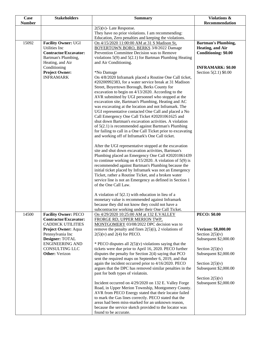| Case          | <b>Stakeholders</b>          | <b>Summary</b>                                                                                                   | Violations &                               |
|---------------|------------------------------|------------------------------------------------------------------------------------------------------------------|--------------------------------------------|
| <b>Number</b> |                              |                                                                                                                  | Recommendation                             |
|               |                              | $2(5)(v)$ - Late Response.                                                                                       |                                            |
|               |                              | They have no prior violations. I am recommending:                                                                |                                            |
|               |                              | Education, Zero penalties and keeping the violations.                                                            |                                            |
| 15092         | <b>Facility Owner: UGI</b>   | On 4/15/2020 11:00:00 AM at 31 S Madison St,                                                                     | <b>Bartman's Plumbing,</b>                 |
|               | <b>Utilities Inc</b>         | BOYERTOWN BORO, BERKS 3/8/2022 Damage                                                                            | Heating, and Air                           |
|               | <b>Contractor/Excavator:</b> | Prevention Committee Decision was to Remove                                                                      | Conditioning: \$0.00                       |
|               | Bartman's Plumbing,          | violations $5(9)$ and $5(2.1)$ for Bartman Plumbing Heating                                                      |                                            |
|               | Heating, and Air             | and Air Conditioning.                                                                                            |                                            |
|               | Conditioning                 |                                                                                                                  | <b>INFRAMARK: \$0.00</b>                   |
|               | <b>Project Owner:</b>        | *No Damage                                                                                                       | Section $5(2.1)$ \$0.00                    |
|               | <b>INFRAMARK</b>             | On 4/8/2020 Inframark placed a Routine One Call ticket,                                                          |                                            |
|               |                              | #20200992383, for a water service break at 31 Madison                                                            |                                            |
|               |                              | Street, Boyertown Borough, Berks County for                                                                      |                                            |
|               |                              | excavation to begin on 4/13/2020. According to the<br>AVR submitted by UGI personnel who stopped at the          |                                            |
|               |                              | excavation site, Bartman's Plumbing, Heating and AC                                                              |                                            |
|               |                              | was excavating at the location and not Inframark. The                                                            |                                            |
|               |                              | UGI representative contacted One Call and placed a No                                                            |                                            |
|               |                              | Call Emergency One Call Ticket #20201061625 and                                                                  |                                            |
|               |                              | shut down Bartman's excavation activities. A violation                                                           |                                            |
|               |                              | of $5(2.1)$ is recommended against Bartman's Plumbing                                                            |                                            |
|               |                              | for failing to call in a One Call Ticket prior to excavating                                                     |                                            |
|               |                              | and working off of Inframark's One Call ticket.                                                                  |                                            |
|               |                              |                                                                                                                  |                                            |
|               |                              | After the UGI representative stopped at the excavation                                                           |                                            |
|               |                              | site and shut down excavation activities, Bartman's                                                              |                                            |
|               |                              | Plumbing placed an Emergency One Call #20201061439                                                               |                                            |
|               |                              | to continue working on $4/15/2020$ . A violation of $5(9)$ is                                                    |                                            |
|               |                              | recommended against Bartman's Plumbing because the                                                               |                                            |
|               |                              | initial ticket placed by Inframark was not an Emergency                                                          |                                            |
|               |                              | Ticket, rather a Routine Ticket, and a broken water                                                              |                                            |
|               |                              | service line is not an Emergency as defined in Section 1<br>of the One Call Law.                                 |                                            |
|               |                              |                                                                                                                  |                                            |
|               |                              | A violation of $5(2.1)$ with education in lieu of a                                                              |                                            |
|               |                              | monetary value is recommended against Inframark                                                                  |                                            |
|               |                              | because they did not know they could not have a                                                                  |                                            |
|               |                              | subcontractor working under their One Call Ticket.                                                               |                                            |
| 14500         | <b>Facility Owner: PECO</b>  | On 4/29/2020 10:25:00 AM at 132 E.VALLEY                                                                         | <b>PECO: \$0.00</b>                        |
|               | <b>Contractor/Excavator:</b> | FRORGE RD, UPPER MERION TWP,                                                                                     |                                            |
|               | <b>CADDICK UTILITIES</b>     | MONTGOMERY 03/08/2022 DPC decision was to                                                                        |                                            |
|               | Project Owner: Aqua          | remove the penalty and fines $2(5)(i)$ , 2 violations of                                                         | Verizon: \$8,000.00                        |
|               | Pennsylvania Inc             | $2(5)(v)$ and $2(4)$ for PECO.                                                                                   | Section $2(5)(v)$                          |
|               | Designer: TOTAL              |                                                                                                                  | Subsequent \$2,000.00                      |
|               | <b>ENGINEERING AND</b>       | * PECO disputes all $2(5)(v)$ violations saying that the                                                         |                                            |
|               | <b>CONSULTING LLC</b>        | tickets were due prior to April 16, 2020. PECO further                                                           | Section $2(5)(v)$                          |
|               | <b>Other:</b> Verizon        | disputes the penalty for Section $2(4)$ saying that PCO                                                          | Subsequent \$2,000.00                      |
|               |                              | sent the required maps on September 6, 2019, and that                                                            |                                            |
|               |                              | again the incident occurred prior to 4/16/2020. PECO<br>argues that the DPC has removed similar penalties in the | Section $2(5)(v)$<br>Subsequent \$2,000.00 |
|               |                              | past for both types of violatoin.                                                                                |                                            |
|               |                              |                                                                                                                  | Section $2(5)(v)$                          |
|               |                              | Incident occurred on 4/29/2020 on 132 E. Valley Forge                                                            | Subsequent \$2,000.00                      |
|               |                              | Road, in Upper Merion Township, Montgomery County.                                                               |                                            |
|               |                              | AVR from PECO Energy stated that their locator failed                                                            |                                            |
|               |                              | to mark the Gas lines correctly. PECO stated that the                                                            |                                            |
|               |                              | areas had been miss-marked for an unknown reason,                                                                |                                            |
|               |                              | because the service sketch provided to the locator was                                                           |                                            |
|               |                              | found to be accurate.                                                                                            |                                            |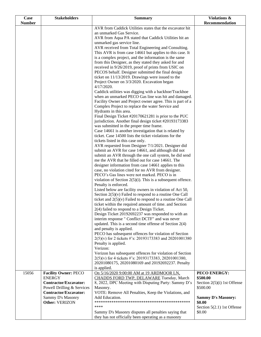| Case          | <b>Stakeholders</b>                           | <b>Summary</b>                                                                                                | Violations &                              |
|---------------|-----------------------------------------------|---------------------------------------------------------------------------------------------------------------|-------------------------------------------|
| <b>Number</b> |                                               |                                                                                                               | Recommendation                            |
|               |                                               | AVR from Caddick Utilities states that the excavator hit                                                      |                                           |
|               |                                               | an unmarked Gas Service.<br>AVR from Aqua PA stated that Caddick Utilities hit an                             |                                           |
|               |                                               | unmarked gas service line.                                                                                    |                                           |
|               |                                               | AVR received from Total Engineering and Consulting.                                                           |                                           |
|               |                                               | This AVR is from case 14661 but applies to this case. It                                                      |                                           |
|               |                                               | is a complex project, and the information is the same                                                         |                                           |
|               |                                               | from this Designer, as they stated they asked for and                                                         |                                           |
|               |                                               | received in 9/26/2019, proof of prints from USIC on                                                           |                                           |
|               |                                               | PECOS behalf. Designer submitted the final design                                                             |                                           |
|               |                                               | ticket on 11/13/2019. Drawings were issued to the<br>Project Owner on 3/3/2020. Excavation began              |                                           |
|               |                                               | 4/17/2020.                                                                                                    |                                           |
|               |                                               | Caddick utilities was digging with a backhoe/Trackhoe                                                         |                                           |
|               |                                               | when an unmarked PECO Gas line was hit and damaged.                                                           |                                           |
|               |                                               | Facility Owner and Project owner agree. This is part of a<br>Complex Project to replace the water Service and |                                           |
|               |                                               | Hydrants in this area.                                                                                        |                                           |
|               |                                               | Final Design Ticket #20170621281 is prior to the PUC                                                          |                                           |
|               |                                               | jurisdiction. Another final design ticket #20193173383                                                        |                                           |
|               |                                               | was submitted in the proper time frame.                                                                       |                                           |
|               |                                               | Case 14661 is another investigation that is related by                                                        |                                           |
|               |                                               | ticket. Case 14500 lists the ticket violations for the                                                        |                                           |
|               |                                               | tickets listed in this case only.<br>AVR requested from Designer 7/1/2021. Designer did                       |                                           |
|               |                                               | submit an AVR for case 14661, and although did not                                                            |                                           |
|               |                                               | submit an AVR through the one call system, he did send                                                        |                                           |
|               |                                               | me the AVR that he filled out for case 14661. The                                                             |                                           |
|               |                                               | designer information from case 14661 applies to this                                                          |                                           |
|               |                                               | case, no violation cited for no AVR from designer.<br>PECO's Gas lines were not marked. PECO is in            |                                           |
|               |                                               | violation of Section $2(5)(i)$ . This is a subsequent offence.                                                |                                           |
|               |                                               | Penalty is enforced.                                                                                          |                                           |
|               |                                               | Listed below are facility owners in violation of Act 50,                                                      |                                           |
|               |                                               | Section $2(5)(v)$ Failed to respond to a routine One Call                                                     |                                           |
|               |                                               | ticket and $2(5)(v)$ Failed to respond to a routine One Call                                                  |                                           |
|               |                                               | ticket within the required amount of time, and Section                                                        |                                           |
|               |                                               | 2(4) failed to respond to a Design Ticket.<br>Design Ticket 20192692237 was responded to with an              |                                           |
|               |                                               | interim response " Conflict DCTF" and was never                                                               |                                           |
|               |                                               | updated. This is a second time offense of Section $2(4)$                                                      |                                           |
|               |                                               | and penalty is applied.                                                                                       |                                           |
|               |                                               | PECO has subsequent offences for violation of Section                                                         |                                           |
|               |                                               | 2(5)(v) for 2 tickets #'s: 20193173383 and 20201001380                                                        |                                           |
|               |                                               | Penalty is applied.<br>Verizon:                                                                               |                                           |
|               |                                               | Verizon has subsequent offences for violation of Section                                                      |                                           |
|               |                                               | 2(5)(v) for 4 tickets #'s: 20193173383, 20201001380,                                                          |                                           |
|               |                                               | 20201080175, 20201080169 and 20192692237. Penalty                                                             |                                           |
|               |                                               | is applied.                                                                                                   |                                           |
| 15056         | <b>Facility Owner: PECO</b>                   | On 5/16/2020 9:00:00 AM at 19 ARDMOOR LN,                                                                     | PECO ENERGY:                              |
|               | <b>ENERGY</b><br><b>Contractor/Excavator:</b> | CHADDS FORD TWP, DELAWARE Tuesday, March<br>8, 2022, DPC Meeting with Disputing Party: Sammy D's              | \$500.00                                  |
|               | Powell Drilling & Services                    | Masonry.                                                                                                      | Section $2(5)(i)$ 1st Offense<br>\$500.00 |
|               | <b>Contractor/Excavator:</b>                  | VOTE: Remove All Penalties, Keep the Violations, and                                                          |                                           |
|               | Sammy D's Masonry                             | Add Education.                                                                                                | <b>Sammy D's Masonry:</b>                 |
|               | Other: VERIZON                                |                                                                                                               | \$0.00                                    |
|               |                                               | ****                                                                                                          | Section $5(2.1)$ 1st Offense              |
|               |                                               | Sammy D's Masonry disputes all penalties saying that                                                          | \$0.00                                    |
|               |                                               | they has not officially been operating as a masonry                                                           |                                           |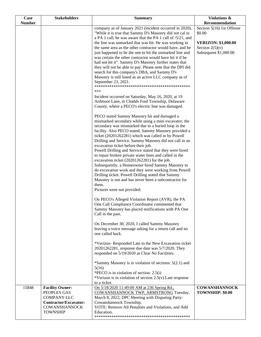| Case          | <b>Stakeholders</b>                           | <b>Summary</b>                                                                                                                                                                   | Violations &                               |
|---------------|-----------------------------------------------|----------------------------------------------------------------------------------------------------------------------------------------------------------------------------------|--------------------------------------------|
| <b>Number</b> |                                               |                                                                                                                                                                                  | Recommendation                             |
|               |                                               | company as of January 2021 (incident occurred in 2020),<br>"While it is true that Sammy D's Masonry did not cal in<br>a PA 1 call, he was aware that the PA 1 call of /5/21, and | Section 5(16) 1st Offense<br>\$0.00        |
|               |                                               | the line was unmarked that was hit. He was working in                                                                                                                            | <b>VERIZON: \$1,000.00</b>                 |
|               |                                               | the same area as the other contractor would have, and he<br>just happened to be the one to hit the unmarked line and                                                             | Section $2(5)(v)$<br>Subsequent \$1,000.00 |
|               |                                               | was certain the other contractor would have hit it if he                                                                                                                         |                                            |
|               |                                               | had not hit it". Sammy D's Masonry further states that<br>they will not be able to pay. Please note that the DPI did                                                             |                                            |
|               |                                               | search for this company's DBA, and Sammy D's<br>Masonry is still listed as an active LLC company as of                                                                           |                                            |
|               |                                               | September 23, 2021.<br>***                                                                                                                                                       |                                            |
|               |                                               | Incident occurred on Saturday, May 16, 2020, at 19                                                                                                                               |                                            |
|               |                                               | Ardmoor Lane, in Chadds Ford Township, Delaware                                                                                                                                  |                                            |
|               |                                               | County, where a PECO's electric line was damaged.                                                                                                                                |                                            |
|               |                                               | PECO stated Sammy Masonry hit and damaged a<br>mismarked secondary while using a mini excavator; the                                                                             |                                            |
|               |                                               | secondary was mismarked due to a buried loop in the                                                                                                                              |                                            |
|               |                                               | facility. Also PECO stated, Sammy Masonry provided a                                                                                                                             |                                            |
|               |                                               | ticket (20201262281) which was called in by Powell<br>Drilling and Service. Sammy Masonry did not call in an                                                                     |                                            |
|               |                                               | excavation ticket before their job.                                                                                                                                              |                                            |
|               |                                               | Powell Drilling and Service stated that they were hired                                                                                                                          |                                            |
|               |                                               | to repair broken private water lines and called in the<br>excavation ticket (20201262281) for the job.                                                                           |                                            |
|               |                                               | Subsequently, a Homeowner hired Sammy Masonry to                                                                                                                                 |                                            |
|               |                                               | do excavation work and they were working from Powell                                                                                                                             |                                            |
|               |                                               | Drilling ticket. Powell Drilling stated that Sammy<br>Masonry is not and has never been a subcontractor for                                                                      |                                            |
|               |                                               | them.                                                                                                                                                                            |                                            |
|               |                                               | Pictures were not provided.                                                                                                                                                      |                                            |
|               |                                               | On PECO's Alleged Violation Report (AVR), the PA                                                                                                                                 |                                            |
|               |                                               | One Call Compliance Coordinator commented that<br>Sammy Masonry has placed notifications with PA One                                                                             |                                            |
|               |                                               | Call in the past.                                                                                                                                                                |                                            |
|               |                                               | On December 30, 2020, I called Sammy Masonry                                                                                                                                     |                                            |
|               |                                               | leaving a voice message asking for a return call and no<br>one called back.                                                                                                      |                                            |
|               |                                               | *Verizon-Responded Late to the New Excavation ticket                                                                                                                             |                                            |
|               |                                               | 20201262281, response due date was 5/7/2020. They<br>responded on 5/19/2020 as Clear No Facilities.                                                                              |                                            |
|               |                                               |                                                                                                                                                                                  |                                            |
|               |                                               | *Sammy Masonry is in violation of sections: 5(2.1) and<br>5(16)                                                                                                                  |                                            |
|               |                                               | *PECO is in violation of section: $2.5(i)$                                                                                                                                       |                                            |
|               |                                               | *Verizon is in violation of section $2.5(v)$ Late response<br>to a ticket.                                                                                                       |                                            |
| 15848         | <b>Facility Owner:</b>                        | On 5/18/2020 11:49:00 AM at 236 Spring Rd.,                                                                                                                                      | <b>COWANSHANNOCK</b>                       |
|               | PEOPLES GAS                                   | COWANSHANNOCK TWP, ARMSTRONG Tuesday,                                                                                                                                            | TOWNSHIP: \$0.00                           |
|               | <b>COMPANY LLC</b>                            | March 8, 2022, DPC Meeting with Disputing Party:                                                                                                                                 |                                            |
|               | Contractor/Excavator:<br><b>COWANSHANNOCK</b> | Cowanshannock Township.<br>VOTE: Remove All Penalties and Violations, and Add                                                                                                    |                                            |
|               | <b>TOWNSHIP</b>                               | Education.                                                                                                                                                                       |                                            |
|               |                                               |                                                                                                                                                                                  |                                            |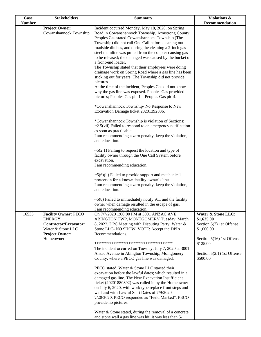| <b>Case</b>   | <b>Stakeholders</b>                                                                                                              | <b>Summary</b>                                                                                                                                                                                                                                                                                                                                                                                                                                                                                                                                                                                                                                                                                                                                                                                                                                                                                                                                                                                                                                                                                                                                                                                                                                                                                                                                                                                                                               | Violations &                                                                                                                                                  |
|---------------|----------------------------------------------------------------------------------------------------------------------------------|----------------------------------------------------------------------------------------------------------------------------------------------------------------------------------------------------------------------------------------------------------------------------------------------------------------------------------------------------------------------------------------------------------------------------------------------------------------------------------------------------------------------------------------------------------------------------------------------------------------------------------------------------------------------------------------------------------------------------------------------------------------------------------------------------------------------------------------------------------------------------------------------------------------------------------------------------------------------------------------------------------------------------------------------------------------------------------------------------------------------------------------------------------------------------------------------------------------------------------------------------------------------------------------------------------------------------------------------------------------------------------------------------------------------------------------------|---------------------------------------------------------------------------------------------------------------------------------------------------------------|
|               |                                                                                                                                  |                                                                                                                                                                                                                                                                                                                                                                                                                                                                                                                                                                                                                                                                                                                                                                                                                                                                                                                                                                                                                                                                                                                                                                                                                                                                                                                                                                                                                                              |                                                                                                                                                               |
| <b>Number</b> | <b>Project Owner:</b><br>Cowanshannock Township                                                                                  | Incident occurred Monday, May 18, 2020, on Spring<br>Road in Cowanshannock Township, Armstrong County.<br>Peoples Gas stated Cowanshannock Township (The<br>Township) did not call One Call before cleaning out<br>roadside ditches, and during the cleaning a 2-inch gas<br>steel mainline was pulled from the coupler causing gas<br>to be released; the damaged was caused by the bucket of<br>a front-end loader.<br>The Township stated that their employees were doing<br>drainage work on Spring Road where a gas line has been<br>sticking out for years. The Township did not provide<br>pictures.<br>At the time of the incident, Peoples Gas did not know<br>why the gas line was exposed. Peoples Gas provided<br>pictures; Peoples Gas pic $1 -$ Peoples Gas pic 4.<br>*Cowanshannock Township- No Response to New<br>Excavation Damage ticket 20201392836.<br>*Cowanshannock Township is violation of Sections:<br>$\sim$ 2.5(vii) Failed to respond to an emergency notification<br>as soon as practicable.<br>I am recommending a zero penalty, keep the violation,<br>and education.<br>$\sim$ 5(2.1) Failing to request the location and type of<br>facility owner through the One Call System before<br>excavation.<br>I am recommending education.<br>$\sim$ 5(6)(ii) Failed to provide support and mechanical<br>protection for a known facility owner's line.<br>I am recommending a zero penalty, keep the violation, | Recommendation                                                                                                                                                |
|               |                                                                                                                                  | and education.<br>$\sim$ 5(8) Failed to immediately notify 911 and the facility<br>owner when damage resulted in the escape of gas.                                                                                                                                                                                                                                                                                                                                                                                                                                                                                                                                                                                                                                                                                                                                                                                                                                                                                                                                                                                                                                                                                                                                                                                                                                                                                                          |                                                                                                                                                               |
| 16535         | <b>Facility Owner: PECO</b><br><b>ENERGY</b><br>Contractor/Excavator:<br>Water & Stone LLC<br><b>Project Owner:</b><br>Homeowner | I am recommending education.<br>On 7/7/2020 1:00:00 PM at 3001 ANZAC AVE,<br>ABINGTON TWP, MONTGOMERY Tuesday, March<br>8, 2022, DPC Meeting with Disputing Party: Water &<br>Stone LLC- NO SHOW. VOTE: Accept the DPI's<br>Recommendations.<br>*************************************<br>The incident occurred on Tuesday, July 7, 2020 at 3001<br>Anzac Avenue in Abington Township, Montgomery<br>County, where a PECO gas line was damaged.<br>PECO stated, Water & Stone LLC started their<br>excavation before the lawful dates; which resulted in a<br>damaged gas line. The New Excavation Insufficient<br>ticket (20201880892) was called in by the Homeowner<br>on July 6, 2020, with work type replace front steps and<br>wall and with Lawful Start Dates of 7/9/2020 -<br>7/20/2020. PECO responded as "Field Marked". PECO<br>provide no pictures.<br>Water & Stone stated, during the removal of a concrete<br>and stone wall a gas line was hit; it was less than 5-                                                                                                                                                                                                                                                                                                                                                                                                                                                          | Water & Stone LLC:<br>\$1,625.00<br>Section 5(7) 1st Offense<br>\$1,000.00<br>Section 5(16) 1st Offense<br>\$125.00<br>Section 5(2.1) 1st Offense<br>\$500.00 |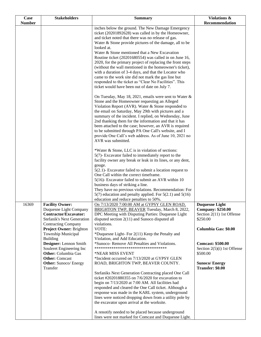| <b>Case</b>   | <b>Stakeholders</b>                                                                                                | <b>Summary</b>                                                                                                                                                                                                                                                                                                                                                                                                                                                                                                                           | Violations &                                                                               |
|---------------|--------------------------------------------------------------------------------------------------------------------|------------------------------------------------------------------------------------------------------------------------------------------------------------------------------------------------------------------------------------------------------------------------------------------------------------------------------------------------------------------------------------------------------------------------------------------------------------------------------------------------------------------------------------------|--------------------------------------------------------------------------------------------|
| <b>Number</b> |                                                                                                                    |                                                                                                                                                                                                                                                                                                                                                                                                                                                                                                                                          | Recommendation                                                                             |
|               |                                                                                                                    | inches below the ground. The New Damage Emergency<br>ticket (20201892628) was called in by the Homeowner,                                                                                                                                                                                                                                                                                                                                                                                                                                |                                                                                            |
|               |                                                                                                                    | and ticket noted that there was no release of gas.<br>Water & Stone provide pictures of the damage, all to be                                                                                                                                                                                                                                                                                                                                                                                                                            |                                                                                            |
|               |                                                                                                                    | looked at.                                                                                                                                                                                                                                                                                                                                                                                                                                                                                                                               |                                                                                            |
|               |                                                                                                                    | Water & Stone mentioned that a New Excavation                                                                                                                                                                                                                                                                                                                                                                                                                                                                                            |                                                                                            |
|               |                                                                                                                    | Routine ticket (20201680554) was called in on June 16,                                                                                                                                                                                                                                                                                                                                                                                                                                                                                   |                                                                                            |
|               |                                                                                                                    | 2020, for the primary project of replacing the front steps<br>(without the wall mentioned in the homeowner's ticket),<br>with a duration of 3-4 days, and that the Locator who<br>came to the work site did not mark the gas line but<br>responded to the ticket as "Clear No Facilities". This                                                                                                                                                                                                                                          |                                                                                            |
|               |                                                                                                                    | ticket would have been out of date on July 7.                                                                                                                                                                                                                                                                                                                                                                                                                                                                                            |                                                                                            |
|               |                                                                                                                    | On Tuesday, May 18, 2021, emails were sent to Water &<br>Stone and the Homeowner requesting an Alleged<br>Violation Report (AVR). Water & Stone responded to<br>the email on Saturday, May 29th with pictures and a<br>summary of the incident. I replied, on Wednesday, June<br>2nd thanking them for the information and that it has<br>been attached to the case; however, an AVR is required<br>to be submitted through PA One Call's website, and I<br>provide One Call's web address. As of June 10, 2021 no<br>AVR was submitted. |                                                                                            |
|               |                                                                                                                    |                                                                                                                                                                                                                                                                                                                                                                                                                                                                                                                                          |                                                                                            |
|               |                                                                                                                    | *Water & Stone, LLC is in violation of sections:<br>5(7)- Excavator failed to immediately report to the                                                                                                                                                                                                                                                                                                                                                                                                                                  |                                                                                            |
|               |                                                                                                                    | facility owner any break or leak in its lines, or any dent,                                                                                                                                                                                                                                                                                                                                                                                                                                                                              |                                                                                            |
|               |                                                                                                                    | gouge.                                                                                                                                                                                                                                                                                                                                                                                                                                                                                                                                   |                                                                                            |
|               |                                                                                                                    | $5(2.1)$ - Excavator failed to submit a location request to                                                                                                                                                                                                                                                                                                                                                                                                                                                                              |                                                                                            |
|               |                                                                                                                    | One Call within the correct timeframe.<br>5(16)- Excavator failed to submit an AVR within 10                                                                                                                                                                                                                                                                                                                                                                                                                                             |                                                                                            |
|               |                                                                                                                    | business days of striking a line.                                                                                                                                                                                                                                                                                                                                                                                                                                                                                                        |                                                                                            |
|               |                                                                                                                    | They have no previous violations. Recommendation: For                                                                                                                                                                                                                                                                                                                                                                                                                                                                                    |                                                                                            |
|               |                                                                                                                    | $5(7)$ education and penalty applied. For $5(2.1)$ and $5(16)$                                                                                                                                                                                                                                                                                                                                                                                                                                                                           |                                                                                            |
| 16369         | <b>Facility Owner:</b>                                                                                             | education and reduce penalties to 50%.<br>On 7/13/2020 7:00:00 AM at GYPSY GLEN ROAD.                                                                                                                                                                                                                                                                                                                                                                                                                                                    |                                                                                            |
|               | Duquesne Light Company<br>Contractor/Excavator:<br><b>Stefanik's Next Generation</b><br><b>Contracting Company</b> | BRIGHTON TWP, BEAVER Tuesday, March 8, 2022,<br>DPC Meeting with Disputing Parties: Duquesne Light<br>disputed section $2(11)$ and Sunoco disputed all<br>violations.                                                                                                                                                                                                                                                                                                                                                                    | <b>Duquesne Light</b><br><b>Company: \$250.00</b><br>Section 2(11) 1st Offense<br>\$250.00 |
|               | Project Owner: Brighton                                                                                            | VOTE:                                                                                                                                                                                                                                                                                                                                                                                                                                                                                                                                    | Columbia Gas: \$0.00                                                                       |
|               | Township Municipal                                                                                                 | *Duquesne Light-For 2(11) Keep the Penalty and                                                                                                                                                                                                                                                                                                                                                                                                                                                                                           |                                                                                            |
|               | <b>Building</b><br>Designer: Lennon Smith<br>Souleret Engineering Inc                                              | Violation, and Add Education.<br>*Sunoco- Remove All Penalties and Violations.<br>**********************************                                                                                                                                                                                                                                                                                                                                                                                                                     | <b>Comcast: \$500.00</b><br>Section $2(5)(i)$ 1st Offense                                  |
|               | <b>Other:</b> Columbia Gas                                                                                         | *NEAR MISS EVENT                                                                                                                                                                                                                                                                                                                                                                                                                                                                                                                         | \$500.00                                                                                   |
|               | <b>Other:</b> Comcast<br><b>Other:</b> Sunoco/ Energy<br>Transfer                                                  | *Incident occurred on 7/13/2020 at GYPSY GLEN<br>ROAD, BRIGHTON TWP, BEAVER COUNTY.                                                                                                                                                                                                                                                                                                                                                                                                                                                      | <b>Sunoco/Energy</b><br>Transfer: \$0.00                                                   |
|               |                                                                                                                    | Stefaniks Next Generation Contracting placed One Call<br>ticket #20201880355 on $7/6/2020$ for excavation to<br>begin on 7/13/2020 at 7:00 AM. All facilities had<br>responded and cleared the One Call ticket. Although a<br>response was made in the KARL system, underground<br>lines were noticed dropping down from a utility pole by<br>the excavator upon arrival at the worksite.                                                                                                                                                |                                                                                            |
|               |                                                                                                                    | A renotify needed to be placed because underground<br>lines were not marked for Comcast and Duquesne Light.                                                                                                                                                                                                                                                                                                                                                                                                                              |                                                                                            |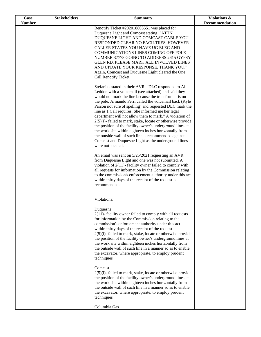| Case          | <b>Stakeholders</b> | <b>Summary</b>                                                                                                      | Violations &   |
|---------------|---------------------|---------------------------------------------------------------------------------------------------------------------|----------------|
| <b>Number</b> |                     |                                                                                                                     | Recommendation |
|               |                     | Renotify Ticket #202018803551 was placed for<br>Duquesne Light and Comcast stating, "ATTN                           |                |
|               |                     | DUQUESNE LIGHT AND COMCAST CABLE YOU                                                                                |                |
|               |                     | RESPONDED CLEAR NO FACILTIIES. HOWEVER                                                                              |                |
|               |                     | CALLER STATES YOU HAVE UG ELEC AND                                                                                  |                |
|               |                     | COMMUNICATIONS LINES COMING OFF POLE                                                                                |                |
|               |                     | NUMBER 37778 GOING TO ADDRESS 2615 GYPSY<br>GLEN RD. PLEASE MARK ALL INVOLVED LINES                                 |                |
|               |                     | AND UPDATE YOUR RESPONSE. THANK YOU."                                                                               |                |
|               |                     | Again, Comcast and Duquesne Light cleared the One                                                                   |                |
|               |                     | Call Renotify Ticket.                                                                                               |                |
|               |                     |                                                                                                                     |                |
|               |                     | Stefaniks stated in their AVR, "DLC responded to Al<br>Leddon with a voicemail (see attached) and said they         |                |
|               |                     | would not mark the line because the transformer is on                                                               |                |
|               |                     | the pole. Armando Ferri called the voicemail back (Kyle                                                             |                |
|               |                     | Parson not sure of spelling) and requested DLC mark the                                                             |                |
|               |                     | line as 1 Call requires. She informed me her legal<br>department will not allow them to mark." A violation of       |                |
|               |                     | $2(5)(i)$ - failed to mark, stake, locate or otherwise provide                                                      |                |
|               |                     | the position of the facility owner's underground lines at                                                           |                |
|               |                     | the work site within eighteen inches horizontally from                                                              |                |
|               |                     | the outside wall of such line is recommended against<br>Comcast and Duquesne Light as the underground lines         |                |
|               |                     | were not located.                                                                                                   |                |
|               |                     |                                                                                                                     |                |
|               |                     | An email was sent on 5/25/2021 requesting an AVR                                                                    |                |
|               |                     | from Duquesne Light and one was not submitted. A<br>violation of $2(11)$ - facility owner failed to comply with     |                |
|               |                     | all requests for information by the Commission relating                                                             |                |
|               |                     | to the commission's enforcement authority under this act                                                            |                |
|               |                     | within thirty days of the receipt of the request is                                                                 |                |
|               |                     | recommended.                                                                                                        |                |
|               |                     |                                                                                                                     |                |
|               |                     | Violations:                                                                                                         |                |
|               |                     | Duquesne                                                                                                            |                |
|               |                     | $2(11)$ - facility owner failed to comply with all requests                                                         |                |
|               |                     | for information by the Commission relating to the<br>commission's enforcement authority under this act              |                |
|               |                     | within thirty days of the receipt of the request.                                                                   |                |
|               |                     | $2(5)(i)$ - failed to mark, stake, locate or otherwise provide                                                      |                |
|               |                     | the position of the facility owner's underground lines at                                                           |                |
|               |                     | the work site within eighteen inches horizontally from<br>the outside wall of such line in a manner so as to enable |                |
|               |                     | the excavator, where appropriate, to employ prudent                                                                 |                |
|               |                     | techniques                                                                                                          |                |
|               |                     | Comcast                                                                                                             |                |
|               |                     | $2(5)(i)$ - failed to mark, stake, locate or otherwise provide                                                      |                |
|               |                     | the position of the facility owner's underground lines at                                                           |                |
|               |                     | the work site within eighteen inches horizontally from                                                              |                |
|               |                     | the outside wall of such line in a manner so as to enable<br>the excavator, where appropriate, to employ prudent    |                |
|               |                     | techniques                                                                                                          |                |
|               |                     | Columbia Gas                                                                                                        |                |
|               |                     |                                                                                                                     |                |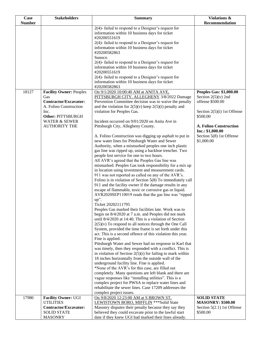| Case          | <b>Stakeholders</b>              | <b>Summary</b>                                                                                                      | <b>Violations &amp;</b>                   |
|---------------|----------------------------------|---------------------------------------------------------------------------------------------------------------------|-------------------------------------------|
| <b>Number</b> |                                  |                                                                                                                     | Recommendation                            |
|               |                                  | 2(4)- failed to respond to a Designer's request for                                                                 |                                           |
|               |                                  | information within 10 business days for ticket<br>#20200551619                                                      |                                           |
|               |                                  | 2(4)- failed to respond to a Designer's request for                                                                 |                                           |
|               |                                  | information within 10 business days for ticket                                                                      |                                           |
|               |                                  | #20200582863                                                                                                        |                                           |
|               |                                  | Sunoco                                                                                                              |                                           |
|               |                                  | $2(4)$ - failed to respond to a Designer's request for                                                              |                                           |
|               |                                  | information within 10 business days for ticket                                                                      |                                           |
|               |                                  | #20200551619                                                                                                        |                                           |
|               |                                  | $2(4)$ - failed to respond to a Designer's request for<br>information within 10 business days for ticket            |                                           |
|               |                                  | #20200582863                                                                                                        |                                           |
| 18127         | <b>Facility Owner: Peoples</b>   | On 9/1/2020 10:00:40 AM at ANITA AVE,                                                                               | <b>Peoples Gas: \$1,000.00</b>            |
|               | Gas                              | PITTSBURGH CITY, ALLEGHENY 3/8/2022 Damage                                                                          | Section $2(5)(v)$ 2nd                     |
|               | <b>Contractor/Excavator:</b>     | Prevention Committee decision was to waive the penalty                                                              | offense \$500.00                          |
|               | A. Folino Construction           | and the violation for $2(5)(v)$ keep $2(5)(i)$ penalty and                                                          |                                           |
|               | Inc.<br><b>Other: PITTSBURGH</b> | violation for Peoples Gas.                                                                                          | Section $2(5)(i)$ 1st Offense<br>\$500.00 |
|               | <b>WATER &amp; SEWER</b>         | Incident occurred on 9/01/2020 on Anita Ave in                                                                      |                                           |
|               | <b>AUTHORITY THE</b>             | Pittsburgh City, Allegheny County.                                                                                  | A. Folino Construction                    |
|               |                                  |                                                                                                                     | Inc.: \$1,000.00                          |
|               |                                  | A. Folino Construction was digging up asphalt to put in                                                             | Section 5(8) 1st Offense                  |
|               |                                  | new water lines for Pittsburgh Water and Sewer                                                                      | \$1,000.00                                |
|               |                                  | Authority, when a mismarked peoples one inch plastic                                                                |                                           |
|               |                                  | gas line was ripped up, using a backhoe trencher. Two<br>people lost service for one to two hours.                  |                                           |
|               |                                  | All AVR's agreed that the Peoples Gas line was                                                                      |                                           |
|               |                                  | mismarked. Peoples Gas took responsibility for a mix up                                                             |                                           |
|               |                                  | in location using investment and measurement cards.                                                                 |                                           |
|               |                                  | 911 was not reported as called on any of the AVR's.                                                                 |                                           |
|               |                                  | Folino is in violation of Section 5(8) To immediately call                                                          |                                           |
|               |                                  | 911 and the facility owner if the damage results in any                                                             |                                           |
|               |                                  | escape of flammable, toxic or corrosive gas or liquid.<br>AVR2020SEP110019 reads that the gas line was "ripped      |                                           |
|               |                                  | up".                                                                                                                |                                           |
|               |                                  | Ticket 20202111795                                                                                                  |                                           |
|               |                                  | Peoples Gas marked their facilities late. Work was to                                                               |                                           |
|               |                                  | begin on 8/4/2020 at 7 a.m. and Peoples did not mark                                                                |                                           |
|               |                                  | until $8/4/2020$ at 14:40. This is a violation of Section                                                           |                                           |
|               |                                  | $2(5)(v)$ To respond to all notices through the One Call<br>System, provided the time frame is set forth under this |                                           |
|               |                                  | act. This is a second offence of this violation this year.                                                          |                                           |
|               |                                  | Fine is applied.                                                                                                    |                                           |
|               |                                  | Pittsburgh Water and Sewer had no response in Karl that                                                             |                                           |
|               |                                  | was timely, then they responded with a conflict. This is                                                            |                                           |
|               |                                  | in violation of Section $2(5)(i)$ for failing to mark within                                                        |                                           |
|               |                                  | 18 inches horizontally from the outside wall of the<br>underground facility line. Fine is applied.                  |                                           |
|               |                                  | *None of the AVR's for this case, are filled out                                                                    |                                           |
|               |                                  | completely. Many questions are left blank and there are                                                             |                                           |
|               |                                  | vague responses like "installing utilities". This is a                                                              |                                           |
|               |                                  | complex project for PWSA to replace water lines and                                                                 |                                           |
|               |                                  | rehabilitate the sewer lines. Case 17209 addresses the                                                              |                                           |
| 17980         | <b>Facility Owner: UGI</b>       | complex project issues.<br>On 9/8/2020 12:23:00 AM at S BROWN ST,                                                   | <b>SOLID STATE</b>                        |
|               | <b>UTILITIES</b>                 | LEWISTOWN BORO, MIFFLIN *** Solid State                                                                             | <b>MASONRY: \$500.00</b>                  |
|               | Contractor/Excavator:            | Masonry disputes their penalty because they say they                                                                | Section $5(2.1)$ 1st Offense              |
|               | <b>SOLID STATE</b>               | believed they could excavate prior to the lawful start                                                              | \$500.00                                  |
|               | <b>MASONRY</b>                   | date if they knew UGI had marked their lines already.                                                               |                                           |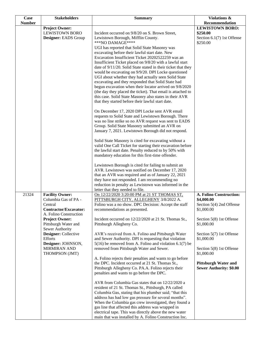| <b>Case</b>   | <b>Stakeholders</b>                                    | <b>Summary</b>                                                                                   | <b>Violations &amp;</b>                                       |
|---------------|--------------------------------------------------------|--------------------------------------------------------------------------------------------------|---------------------------------------------------------------|
| <b>Number</b> |                                                        |                                                                                                  | Recommendation                                                |
|               | <b>Project Owner:</b>                                  |                                                                                                  | <b>LEWISTOWN BORO:</b>                                        |
|               | <b>LEWISTOWN BORO</b>                                  | Incident occurred on 9/8/20 on S. Brown Street,                                                  | \$250.00                                                      |
|               | Designer: EADS Group                                   | Lewistown Borough, Mifflin County.                                                               | Section 6.1(7) 1st Offense                                    |
|               |                                                        | ***NO DAMAGE****                                                                                 | \$250.00                                                      |
|               |                                                        | UGI has reported that Solid State Masonry was<br>excavating before their lawful start date. New  |                                                               |
|               |                                                        | Excavation Insufficient Ticket 20202522259 was an                                                |                                                               |
|               |                                                        | Insufficient Ticket placed on 9/8/20 with a lawful start                                         |                                                               |
|               |                                                        | date of 9/11/20. Solid State stated in their ticket that they                                    |                                                               |
|               |                                                        | would be excavating on 9/9/20. DPI Locke questioned                                              |                                                               |
|               |                                                        | UGI about whether they had actually seen Solid State                                             |                                                               |
|               |                                                        | excavating and they responded that Solid State had                                               |                                                               |
|               |                                                        | begun excavation when their locator arrived on 9/8/2020                                          |                                                               |
|               |                                                        | (the day they placed the ticket). That email is attached to                                      |                                                               |
|               |                                                        | this case. Solid State Masonry also states in their AVR                                          |                                                               |
|               |                                                        | that they started before their lawful start date.                                                |                                                               |
|               |                                                        | On December 17, 2020 DPI Locke sent AVR email                                                    |                                                               |
|               |                                                        | requests to Solid State and Lewistown Borough. There                                             |                                                               |
|               |                                                        | was no line strike so no AVR request was sent to EADS                                            |                                                               |
|               |                                                        | Group. Solid State Masonry submitted an AVR on                                                   |                                                               |
|               |                                                        | January 7, 2021. Lewistown Borough did not respond.                                              |                                                               |
|               |                                                        |                                                                                                  |                                                               |
|               |                                                        | Solid State Masonry is cited for excavating without a                                            |                                                               |
|               |                                                        | valid One Call Ticket for starting their excavation before                                       |                                                               |
|               |                                                        | the lawful start date. Penalty reduced to by 50% with                                            |                                                               |
|               |                                                        | mandatory education for this first-time offender.                                                |                                                               |
|               |                                                        | Lewistown Borough is cited for failing to submit an                                              |                                                               |
|               |                                                        | AVR. Lewistown was notified on December 17, 2020                                                 |                                                               |
|               |                                                        | that an AVR was required and as of January 22, 2021                                              |                                                               |
|               |                                                        | they have not responded. I am recommending no                                                    |                                                               |
|               |                                                        | reduction in penalty as Lewistown was informed in the                                            |                                                               |
|               |                                                        | letter that they needed to file.                                                                 |                                                               |
| 21324         | <b>Facility Owner:</b>                                 | On 12/22/2020 3:20:00 PM at 21 ST THOMAS ST,                                                     | A. Folino Construction:                                       |
|               | Columbia Gas of PA -                                   | PITTSBURGH CITY, ALLEGHENY 3/8/2022 A.                                                           | \$4,000.00                                                    |
|               | Central                                                | Folino was a no show. DPC Decision: Accept the staff                                             | Section 5(4) 2nd Offense                                      |
|               | <b>Contractor/Excavator:</b><br>A. Folino Construction | recommendations as presented.                                                                    | \$1,000.00                                                    |
|               | <b>Project Owner:</b>                                  | Incident occurred on 12/22/2020 at 21 St. Thomas St.,                                            | Section 5(8) 1st Offense                                      |
|               | Pittsburgh Water and                                   | Pittsburgh Allegheny Co.                                                                         | \$1,000.00                                                    |
|               | Sewer Authority                                        |                                                                                                  |                                                               |
|               | Designer: Collective                                   | AVR's received from A. Folino and Pittsburgh Water                                               | Section 5(7) 1st Offense                                      |
|               | <b>Efforts</b>                                         | and Sewer Authority. DPI is requesting that violation                                            | \$1,000.00                                                    |
|               | Designer: JOHNSON,                                     | $5(16)$ be removed from A. Folino and violation 6.1(7) be                                        |                                                               |
|               | <b>MIRMIRAN AND</b>                                    | removed from Pittsburgh Water and Sewer.                                                         | Section 5(8) 1st Offense                                      |
|               | THOMPSON (JMT)                                         |                                                                                                  | \$1,000.00                                                    |
|               |                                                        | A. Folino rejects their penalties and wants to go before                                         |                                                               |
|               |                                                        | the DPC. Incident occurred at 21 St. Thomas St.,                                                 | <b>Pittsburgh Water and</b><br><b>Sewer Authority: \$0.00</b> |
|               |                                                        | Pittsburgh Allegheny Co. PA.A. Folino rejects their<br>penalties and wants to go before the DPC. |                                                               |
|               |                                                        |                                                                                                  |                                                               |
|               |                                                        | AVR from Columbia Gas states that on 12/22/2020 a                                                |                                                               |
|               |                                                        | resident of 21 St. Thomas St., Pittsburgh, PA called                                             |                                                               |
|               |                                                        | Columbia Gas, stating that his plumber said; "that this                                          |                                                               |
|               |                                                        | address has had low gas pressure for several months".                                            |                                                               |
|               |                                                        | When the Columbia gas crew investigated, they found a                                            |                                                               |
|               |                                                        | gas line that affected this address was wrapped in                                               |                                                               |
|               |                                                        | electrical tape. This was directly above the new water                                           |                                                               |
|               |                                                        | main that was installed by A. Folino Construction Inc.                                           |                                                               |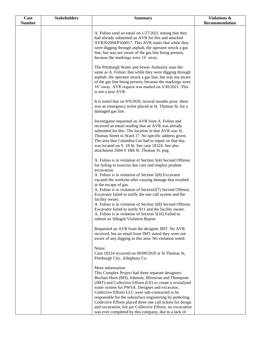| Case          | <b>Stakeholders</b> | <b>Summary</b>                                                                                                                                                                                                                                                                                                                                                                                                                                                                                                                                                                                                                           | Violations &   |
|---------------|---------------------|------------------------------------------------------------------------------------------------------------------------------------------------------------------------------------------------------------------------------------------------------------------------------------------------------------------------------------------------------------------------------------------------------------------------------------------------------------------------------------------------------------------------------------------------------------------------------------------------------------------------------------------|----------------|
| <b>Number</b> |                     |                                                                                                                                                                                                                                                                                                                                                                                                                                                                                                                                                                                                                                          | Recommendation |
|               |                     | A. Folino send an email on $1/27/2021$ stating that they<br>had already submitted an AVR for this and attached<br>AVR2020SEP160017. This AVR states that while they<br>were digging through asphalt, the operator struck a gas<br>line, but was not aware of the gas line being present,<br>because the markings were 16' away.                                                                                                                                                                                                                                                                                                          |                |
|               |                     | The Pittsburgh Water and Sewer Authority state the<br>same as A. Folino: that while they were digging through<br>asphalt, the operator struck a gas line, but was not aware<br>of the gas line being present, because the markings were<br>16' away. AVR request was mailed on 3/30/2021. This<br>is not a new AVR.                                                                                                                                                                                                                                                                                                                      |                |
|               |                     | It is noted that on 9/9/2020, several months prior, there<br>was an emergency ticket placed at St. Thomas St. for a<br>damaged gas line.                                                                                                                                                                                                                                                                                                                                                                                                                                                                                                 |                |
|               |                     | Investigator requested an AVR from A. Folino and<br>received an email reading that an AVR was already<br>submitted for this. The location in that AVR was St.<br>Thomas Street in Ward 17. No specific address given.<br>The area that Columbia Gas had to repair on that day,<br>was located on S. 18 St. See case 18324. See also<br>attachment 2604 S 18th St. Thomas St. png.                                                                                                                                                                                                                                                        |                |
|               |                     | A. Folino is in violation of Section 5(4) Second Offense<br>for failing to exercise due care and employ prudent<br>excavation.<br>A. Folino is in violation of Section 5(8) Excavator<br>vacated the worksite after causing damage that resulted<br>in the escape of gas.<br>A. Folino is in violation of Section5(7) Second Offense,<br>Excavator failed to notify the one call system and the<br>facility owner.<br>A. Folino is in violation of Section 5(8) Second Offense,<br>Excavator failed to notify 911 and the facility owner.<br>A. Folino is in violation of Section 5(16) Failed to<br>submit an Alleged Violation Report. |                |
|               |                     | Requested an AVR from the designer JMT. No AVR<br>received, but an email from JMT stated they were not<br>aware of any digging in this area. No violation noted.                                                                                                                                                                                                                                                                                                                                                                                                                                                                         |                |
|               |                     | Notes:<br>Case 18324 occurred on 09/09/2020 at St Thomas St,<br>Pittsburgh City, Allegheny Co.                                                                                                                                                                                                                                                                                                                                                                                                                                                                                                                                           |                |
|               |                     | More information:<br>This Complex Project had three separate designers:<br>Buchart Horn (BH), Johnson, Mirmiran and Thompson<br>(JMT) and Collective Efforts (CE) to create a revitalized<br>water system for PWSA. Designer and excavator,<br>Collective Efforts LLC were sub-contracted to be<br>responsible for the subsurface engineering by potholing.<br>Collective Efforts placed three one call tickets for design<br>and excavation, but per Collective Efforts, no excavation<br>was ever completed by this company, due to a lack of                                                                                          |                |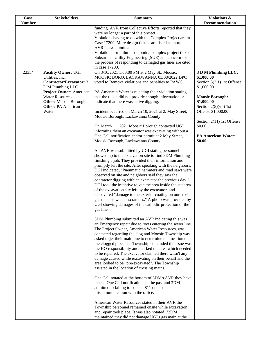| Case          | <b>Stakeholders</b>                                    | <b>Summary</b>                                                                                                      | Violations &                             |
|---------------|--------------------------------------------------------|---------------------------------------------------------------------------------------------------------------------|------------------------------------------|
| <b>Number</b> |                                                        |                                                                                                                     | Recommendation                           |
|               |                                                        | funding. AVR from Collective Efforts reported that they                                                             |                                          |
|               |                                                        | were no longer a part of this project.<br>Violations having to do with the Complex Project are in                   |                                          |
|               |                                                        | Case 17209. More design tickets are listed as more                                                                  |                                          |
|               |                                                        | AVR's are submitted.                                                                                                |                                          |
|               |                                                        | Violations for failure to submit a complex project ticket,                                                          |                                          |
|               |                                                        | Subsurface Utility Engineering (SUE) and concern for                                                                |                                          |
|               |                                                        | the process of responding to damaged gas lines are cited<br>in case 17209.                                          |                                          |
| 22354         | <b>Facility Owner: UGI</b><br>Utilities, Inc.          | On 3/10/2021 1:00:00 PM at 2 May St., Moosic,<br>MOOSIC BORO, LACKAWANNA 03/08/2022 DPC                             | 3 D M Plumbing LLC:<br>\$1,000.00        |
|               | <b>Contractor/Excavator: 3</b><br>D M Plumbing LLC     | voted to Remove violations and penalties to PAWC.                                                                   | Section 5(2.1) 1st Offense<br>\$1,000.00 |
|               | <b>Project Owner: American</b>                         | PA American Water is rejecting their violation stating                                                              |                                          |
|               | <b>Water Resources</b><br><b>Other:</b> Moosic Borough | that the ticket did not provide enough information or<br>indicate that there was active digging.                    | <b>Moosic Borough:</b><br>\$1,000.00     |
|               | <b>Other: PA American</b>                              |                                                                                                                     | Section $2(5)(vii)$ 1st                  |
|               | Water                                                  | Incident occurred on March 10, 2021 at 2. May Street,                                                               | Offense \$1,000.00                       |
|               |                                                        | Moosic Borough, Lackawanna County.                                                                                  | Section 2(11) 1st Offense                |
|               |                                                        | On March 11, 2021 Moosic Borough contacted UGI<br>informing them an excavator was excavating without a              | \$0.00                                   |
|               |                                                        | One Call notification and/or permit at 2 May Street,                                                                | <b>PA American Water:</b>                |
|               |                                                        | Moosic Borough, Lackawanna County.                                                                                  | \$0.00                                   |
|               |                                                        | An AVR was submitted by UGI stating personnel                                                                       |                                          |
|               |                                                        | showed up to the excavation site to find 3DM Plumbing                                                               |                                          |
|               |                                                        | finishing a job. They provided their information and                                                                |                                          |
|               |                                                        | promptly left the site. After speaking with the neighbors,<br>UGI indicated, "Pneumatic hammers and road saws were  |                                          |
|               |                                                        | observed on site and neighbors said they saw the                                                                    |                                          |
|               |                                                        | contractor digging with an excavator the previous day."                                                             |                                          |
|               |                                                        | UGI took the initiative to vac the area inside the cut area                                                         |                                          |
|               |                                                        | of the excavation site left by the excavator, and                                                                   |                                          |
|               |                                                        | discovered "damage to the exterior coating on our steel<br>gas main as well as scratches." A photo was provided by  |                                          |
|               |                                                        | UGI showing damages of the cathodic protection of the                                                               |                                          |
|               |                                                        | gas line.                                                                                                           |                                          |
|               |                                                        | 3DM Plumbing submitted an AVR indicating this was                                                                   |                                          |
|               |                                                        | an Emergency repair due to roots entering the sewer line.                                                           |                                          |
|               |                                                        | The Project Owner, American Water Resources, was                                                                    |                                          |
|               |                                                        | contacted regarding the clog and Moosic Township was                                                                |                                          |
|               |                                                        | asked to jet their main line to determine the location of<br>the clogged pipe. The Township concluded the issue was |                                          |
|               |                                                        | the HO responsibility and marked the area which needed                                                              |                                          |
|               |                                                        | to be repaired. The excavator claimed there wasn't any                                                              |                                          |
|               |                                                        | damage caused while excavating on their behalf and the                                                              |                                          |
|               |                                                        | area looked to be "pre-excavated". The Township                                                                     |                                          |
|               |                                                        | assisted in the location of crossing mains.                                                                         |                                          |
|               |                                                        | One Call notated at the bottom of 3DM's AVR they have<br>placed One Call notifications in the past and 3DM          |                                          |
|               |                                                        | admitted to failing to contact 811 due to                                                                           |                                          |
|               |                                                        | miscommunication with the office.                                                                                   |                                          |
|               |                                                        | American Water Resources stated in their AVR the                                                                    |                                          |
|               |                                                        | Township personnel remained onsite while excavation                                                                 |                                          |
|               |                                                        | and repair took place. It was also notated, "3DM<br>maintained they did not damage UGI's gas main at the            |                                          |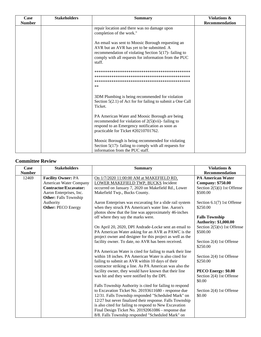| Case          | <b>Stakeholders</b> | <b>Summary</b>                                                                                                                                                                                                               | Violations &   |
|---------------|---------------------|------------------------------------------------------------------------------------------------------------------------------------------------------------------------------------------------------------------------------|----------------|
| <b>Number</b> |                     |                                                                                                                                                                                                                              | Recommendation |
|               |                     | repair location and there was no damage upon<br>completion of the work."                                                                                                                                                     |                |
|               |                     | An email was sent to Moosic Borough requesting an<br>AVR but an AVR has yet to be submitted. A<br>recommendation of violating Section $5(17)$ -failing to<br>comply with all requests for information from the PUC<br>staff. |                |
|               |                     | $**$                                                                                                                                                                                                                         |                |
|               |                     | 3DM Plumbing is being recommended for violation<br>Section $5(2.1)$ of Act for for failing to submit a One Call<br>Ticket.                                                                                                   |                |
|               |                     | PA American Water and Moosic Borough are being<br>recommended for violation of $2(5)(\n\tiii)$ - failing to<br>respond to an Emergency notification as soon as<br>practicable for Ticket #20210701762.                       |                |
|               |                     | Moosic Borough is being recommended for violating<br>Section $5(17)$ - failing to comply with all requests for<br>information from the PUC staff.                                                                            |                |

#### **Committee Review**

| Case<br><b>Number</b> | <b>Stakeholders</b>          | <b>Summary</b>                                             | Violations &<br>Recommendation |
|-----------------------|------------------------------|------------------------------------------------------------|--------------------------------|
| 12469                 | <b>Facility Owner: PA</b>    | On 1/7/2020 11:00:00 AM at MAKEFIELD RD,                   | <b>PA American Water</b>       |
|                       | American Water Company       | LOWER MAKEFIELD TWP, BUCKS Incident                        | <b>Company: \$750.00</b>       |
|                       | <b>Contractor/Excavator:</b> | occurred on January 7, 2020 on Makefield Rd., Lower        | Section 2(5)(i) 1st Offense    |
|                       | Aaron Enterprises, Inc.      | Makefield Twp., Bucks County.                              | \$500.00                       |
|                       | <b>Other:</b> Falls Township |                                                            |                                |
|                       | Authority                    | Aaron Enterprises was excavating for a slide rail system   | Section $6.1(7)$ 1st Offense   |
|                       | <b>Other: PECO Energy</b>    | when they struck PA American's water line. Aaron's         | \$250.00                       |
|                       |                              | photos show that the line was approximately 46-inches      |                                |
|                       |                              | off where they say the marks were.                         | <b>Falls Township</b>          |
|                       |                              |                                                            | <b>Authority: \$1,000.00</b>   |
|                       |                              | On April 20, 2020, DPI Andrade-Locke sent an email to      | Section $2(5)(v)$ 1st Offense  |
|                       |                              | PA American Water asking for an AVR as PAWC is the         | \$500.00                       |
|                       |                              | project owner and designer for this project as well as the |                                |
|                       |                              | facility owner. To date, no AVR has been received.         | Section 2(4) 1st Offense       |
|                       |                              |                                                            | \$250.00                       |
|                       |                              | PA American Water is cited for failing to mark their line  |                                |
|                       |                              | within 18 inches. PA American Water is also cited for      | Section 2(4) 1st Offense       |
|                       |                              | failing to submit an AVR within 10 days of their           | \$250.00                       |
|                       |                              | contractor striking a line. As PA American was also the    |                                |
|                       |                              | facility owner, they would have known that their line      | PECO Energy: \$0.00            |
|                       |                              | was hit and they were notified by the DPI.                 | Section 2(4) 1st Offense       |
|                       |                              |                                                            | \$0.00                         |
|                       |                              | Falls Township Authority is cited for failing to respond   |                                |
|                       |                              | to Excavation Ticket No. 20193611680 - response due        | Section 2(4) 1st Offense       |
|                       |                              | 12/31. Falls Township responded "Scheduled Mark" on        | \$0.00                         |
|                       |                              | 12/27 but never finalized their response. Falls Township   |                                |
|                       |                              | is also cited for failing to respond to New Excavation     |                                |
|                       |                              | Final Design Ticket No. 20192061086 - response due         |                                |
|                       |                              | 8/8. Falls Township responded "Scheduled Mark" on          |                                |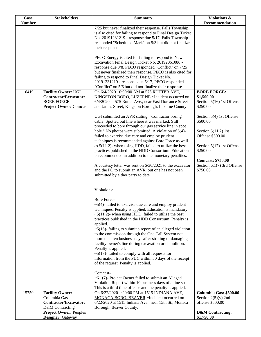| <b>Case</b>   | <b>Stakeholders</b>                                                                                              | <b>Summary</b>                                                                                                                                                                                                                                                                                                                                                                                                                                                                                                                                                                                                                                                                                                                                                                                                                                                                                                     | Violations &                                                                                                                                                                                     |
|---------------|------------------------------------------------------------------------------------------------------------------|--------------------------------------------------------------------------------------------------------------------------------------------------------------------------------------------------------------------------------------------------------------------------------------------------------------------------------------------------------------------------------------------------------------------------------------------------------------------------------------------------------------------------------------------------------------------------------------------------------------------------------------------------------------------------------------------------------------------------------------------------------------------------------------------------------------------------------------------------------------------------------------------------------------------|--------------------------------------------------------------------------------------------------------------------------------------------------------------------------------------------------|
| <b>Number</b> |                                                                                                                  |                                                                                                                                                                                                                                                                                                                                                                                                                                                                                                                                                                                                                                                                                                                                                                                                                                                                                                                    | Recommendation                                                                                                                                                                                   |
|               |                                                                                                                  | 7/25 but never finalized their response. Falls Township<br>is also cited for failing to respond to Final Design Ticket<br>No. 20191231219 - response due 5/17, Falls Township<br>responded "Scheduled Mark" on 5/3 but did not finalize<br>their response                                                                                                                                                                                                                                                                                                                                                                                                                                                                                                                                                                                                                                                          |                                                                                                                                                                                                  |
|               |                                                                                                                  | PECO Energy is cited for failing to respond to New<br>Excavation Final Design Ticket No. 20192061086 -<br>response due 8/8. PECO responded "Conflict" on 7/25<br>but never finalized their response. PECO is also cited for<br>failing to respond to Final Design Ticket No.<br>20191231219 - response due 5/17, PECO responded<br>"Conflict" on 5/6 but did not finalize their response.                                                                                                                                                                                                                                                                                                                                                                                                                                                                                                                          |                                                                                                                                                                                                  |
| 16419         | <b>Facility Owner: UGI</b><br><b>Contractor/Excavator:</b><br><b>BORE FORCE</b><br><b>Project Owner: Comcast</b> | On 6/4/2020 10:00:00 AM at 575 RUTTER AVE,<br>KINGSTON BORO, LUZERNE ~Incident occurred on<br>6/4/2020 at 575 Rutter Ave., near East Dorrance Street<br>and James Street, Kingston Borough, Luzerne County.                                                                                                                                                                                                                                                                                                                                                                                                                                                                                                                                                                                                                                                                                                        | <b>BORE FORCE:</b><br>\$1,500.00<br>Section 5(16) 1st Offense<br>\$250.00                                                                                                                        |
|               |                                                                                                                  | UGI submitted an AVR stating, "Contractor boring<br>cable. Spotted out line where it was marked. Still<br>proceeded to bore through our gas service line in spot<br>hole." No photos were submitted. A violation of $5(4)$ -<br>failed to exercise due care and employ prudent<br>techniques is recommended against Bore Force as well<br>as $5(11.2)$ - when using HDD, failed to utilize the best<br>practices published in the HDD Consortium. Education<br>is recommended in addition to the monetary penalties.<br>A courtesy letter was sent on 6/30/2021 to the excavator<br>and the PO to submit an AVR, but one has not been<br>submitted by either party to date.                                                                                                                                                                                                                                        | Section 5(4) 1st Offense<br>\$500.00<br>Section $5(11.2)$ 1st<br>Offense \$500.00<br>Section 5(17) 1st Offense<br>\$250.00<br><b>Comcast: \$750.00</b><br>Section 6.1(7) 3rd Offense<br>\$750.00 |
|               |                                                                                                                  | Violations:<br>Bore Force-<br>$\sim$ 5(4)-failed to exercise due care and employ prudent<br>techniques. Penalty is applied. Education is mandatory.<br>$\sim$ 5(11.2)- when using HDD, failed to utilize the best<br>practices published in the HDD Consortium. Penalty is<br>applied.<br>$\sim$ 5(16)-failing to submit a report of an alleged violation<br>to the commission through the One Call System not<br>more than ten business days after striking or damaging a<br>facility owner's line during excavation or demolition.<br>Penalty is applied.<br>$\sim$ 5(17)-failed to comply with all requests for<br>information from the PUC within 30 days of the receipt<br>of the request. Penalty is applied.<br>Comcast-<br>$~6.1(7)$ - Project Owner failed to submit an Alleged<br>Violation Report within 10 business days of a line strike.<br>This is a third time offense and the penalty is applied. |                                                                                                                                                                                                  |
| 15750         | <b>Facility Owner:</b>                                                                                           | On 6/22/2020 1:20:00 PM at 1515 INDIANA AVE.                                                                                                                                                                                                                                                                                                                                                                                                                                                                                                                                                                                                                                                                                                                                                                                                                                                                       | Columbia Gas: \$500.00                                                                                                                                                                           |
|               | Columbia Gas<br>Contractor/Excavator:<br>D&M Contracting                                                         | MONACA BORO, BEAVER ~Incident occurred on<br>6/22/2020 at 1515 Indiana Ave., near 15th St., Monaca<br>Borough, Beaver County.                                                                                                                                                                                                                                                                                                                                                                                                                                                                                                                                                                                                                                                                                                                                                                                      | Section $2(5)(v)$ 2nd<br>offense \$500.00                                                                                                                                                        |
|               | <b>Project Owner: Peoples</b><br>Designer: Gateway                                                               |                                                                                                                                                                                                                                                                                                                                                                                                                                                                                                                                                                                                                                                                                                                                                                                                                                                                                                                    | <b>D&amp;M</b> Contracting:<br>\$1,750.00                                                                                                                                                        |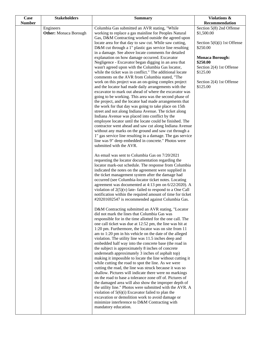| Case          | <b>Stakeholders</b>                       | <b>Summary</b>                                                                                                                                                                                                                                                                                                                                                                                                                                                                                                                                                                                                                                                                                                                                                                                                                                                                                                                                                                                                                                                                                                                                                                                                                                                                                                                                                                                                                                                                                                                                                                                                                                                                                                                                                                                                                                                                                                                                        | <b>Violations &amp;</b>                                                                                                                                                                                                     |
|---------------|-------------------------------------------|-------------------------------------------------------------------------------------------------------------------------------------------------------------------------------------------------------------------------------------------------------------------------------------------------------------------------------------------------------------------------------------------------------------------------------------------------------------------------------------------------------------------------------------------------------------------------------------------------------------------------------------------------------------------------------------------------------------------------------------------------------------------------------------------------------------------------------------------------------------------------------------------------------------------------------------------------------------------------------------------------------------------------------------------------------------------------------------------------------------------------------------------------------------------------------------------------------------------------------------------------------------------------------------------------------------------------------------------------------------------------------------------------------------------------------------------------------------------------------------------------------------------------------------------------------------------------------------------------------------------------------------------------------------------------------------------------------------------------------------------------------------------------------------------------------------------------------------------------------------------------------------------------------------------------------------------------------|-----------------------------------------------------------------------------------------------------------------------------------------------------------------------------------------------------------------------------|
| <b>Number</b> | Engineers<br><b>Other:</b> Monaca Borough | Columbia Gas submitted an AVR stating, "While<br>working to replace a gas mainline for Peoples Natural<br>Gas, D&M Contracting worked outside the agreed upon<br>locate area for that day to saw cut. While saw cutting,<br>D&M cut through a 1" plastic gas service line resulting<br>in a damage. See above locate comments for detailed<br>explanation on how damage occurred. Excavator<br>Negligence - Excavator began digging in an area that<br>wasn't agreed upon with the Columbia Gas locator,<br>while the ticket was in conflict." The additional locate<br>comments on the AVR from Columbia stated, "The<br>work on this project was an on-going complex project<br>and the locator had made daily arrangements with the<br>excavator to mark out ahead of where the excavator was<br>going to be working. This area was the second phase of<br>the project, and the locator had made arrangements that<br>the work for that day was going to take place on 15th<br>street and not along Indiana Avenue. The ticket along<br>Indiana Avenue was placed into conflict by the<br>employee locator until the locate could be finished. The<br>contractor went ahead and saw cut along Indiana Avenue<br>without any marks on the ground and saw cut through a<br>1" gas service line resulting in a damage. The gas service<br>line was 9" deep embedded in concrete." Photos were<br>submitted with the AVR.<br>An email was sent to Columbia Gas on 7/20/2021<br>requesting the locator documentation regarding the<br>locator mark-out schedule. The response from Columbia<br>indicated the notes on the agreement were supplied in<br>the ticket management system after the damage had<br>occurred (see Columbia-locator ticket notes. Locating<br>agreement was documented at 4:13 pm on 6/22/2020). A<br>violation of $2(5)(v)$ late-failed to respond to a One Call<br>notification within the required amount of time for ticket | Recommendation<br>Section 5(8) 2nd Offense<br>\$1,500.00<br>Section $5(6)(i)$ 1st Offense<br>\$250.00<br><b>Monaca Borough:</b><br>\$250.00<br>Section 2(4) 1st Offense<br>\$125.00<br>Section 2(4) 1st Offense<br>\$125.00 |
|               |                                           | #20201692547 is recommended against Columbia Gas.<br>D&M Contracting submitted an AVR stating, "Locator<br>did not mark the lines that Columbia Gas was<br>responsible for in the time allotted for the one call. The<br>one call ticket was due at 12:52 pm, the line was hit at<br>1:20 pm. Furthermore, the locator was on site from 11<br>am to 1:20 pm in his vehicle on the date of the alleged<br>violation. The utility line was 11.5 inches deep and<br>embedded half way into the concrete base (the road in<br>the subject is approximately 8 inches of concrete<br>underneath approximately 3 inches of asphalt top)<br>making it impossible to locate the line without cutting it<br>while cutting the road to spot the line. As we were<br>cutting the road, the line was struck because it was so<br>shallow. Pictures will indicate there were no markings<br>on the road to base a tolerance zone off of. Pictures of<br>the damaged area will also show the improper depth of<br>the utility line." Photos were submitted with the AVR. A<br>violation of $5(6)(i)$ Excavator failed to plan the<br>excavation or demolition work to avoid damage or<br>minimize interference to D&M Contracting with<br>mandatory education.                                                                                                                                                                                                                                                                                                                                                                                                                                                                                                                                                                                                                                                                                                       |                                                                                                                                                                                                                             |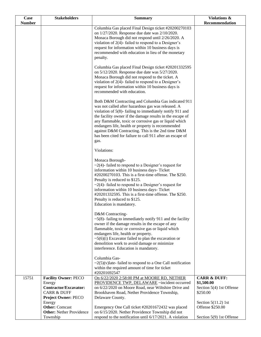| Case          | <b>Stakeholders</b>                                      | <b>Summary</b>                                                                                             | Violations &                           |
|---------------|----------------------------------------------------------|------------------------------------------------------------------------------------------------------------|----------------------------------------|
| <b>Number</b> |                                                          |                                                                                                            | Recommendation                         |
|               |                                                          | Columbia Gas placed Final Design ticket #20200270103<br>on 1/27/2020. Response due date was 2/10/2020.     |                                        |
|               |                                                          | Monaca Borough did not respond until 2/26/2020. A                                                          |                                        |
|               |                                                          | violation of $2(4)$ - failed to respond to a Designer's                                                    |                                        |
|               |                                                          | request for information within 10 business days is                                                         |                                        |
|               |                                                          | recommended with education in lieu of the monetary<br>penalty.                                             |                                        |
|               |                                                          |                                                                                                            |                                        |
|               |                                                          | Columbia Gas placed Final Design ticket #20201332595                                                       |                                        |
|               |                                                          | on 5/12/2020. Response due date was 5/27/2020.                                                             |                                        |
|               |                                                          | Monaca Borough did not respond to the ticket. A<br>violation of $2(4)$ - failed to respond to a Designer's |                                        |
|               |                                                          | request for information within 10 business days is                                                         |                                        |
|               |                                                          | recommended with education.                                                                                |                                        |
|               |                                                          |                                                                                                            |                                        |
|               |                                                          | Both D&M Contracting and Columbia Gas indicated 911<br>was not called after hazardous gas was released. A  |                                        |
|               |                                                          | violation of 5(8)-failing to immediately notify 911 and                                                    |                                        |
|               |                                                          | the facility owner if the damage results in the escape of                                                  |                                        |
|               |                                                          | any flammable, toxic or corrosive gas or liquid which<br>endangers life, health or property is recommended |                                        |
|               |                                                          | against D&M Contracting. This is the 2nd time D&M                                                          |                                        |
|               |                                                          | has been cited for failure to call 911 after an escape of                                                  |                                        |
|               |                                                          | gas.                                                                                                       |                                        |
|               |                                                          | Violations:                                                                                                |                                        |
|               |                                                          |                                                                                                            |                                        |
|               |                                                          | Monaca Borough-                                                                                            |                                        |
|               |                                                          | $\sim$ 2(4)-failed to respond to a Designer's request for<br>information within 10 business days- Ticket   |                                        |
|               |                                                          | #20200270103. This is a first-time offense. The \$250.                                                     |                                        |
|               |                                                          | Penalty is reduced to \$125.                                                                               |                                        |
|               |                                                          | $\sim$ 2(4)-failed to respond to a Designer's request for                                                  |                                        |
|               |                                                          | information within 10 business days- Ticket<br>#20201332595. This is a first-time offense. The \$250.      |                                        |
|               |                                                          | Penalty is reduced to \$125.                                                                               |                                        |
|               |                                                          | Education is mandatory.                                                                                    |                                        |
|               |                                                          |                                                                                                            |                                        |
|               |                                                          | D&M Contracting-<br>$\sim$ 5(8)-failing to immediately notify 911 and the facility                         |                                        |
|               |                                                          | owner if the damage results in the escape of any                                                           |                                        |
|               |                                                          | flammable, toxic or corrosive gas or liquid which                                                          |                                        |
|               |                                                          | endangers life, health or property.                                                                        |                                        |
|               |                                                          | $\sim$ 5(6)(i) Excavator failed to plan the excavation or<br>demolition work to avoid damage or minimize   |                                        |
|               |                                                          | interference. Education is mandatory.                                                                      |                                        |
|               |                                                          |                                                                                                            |                                        |
|               |                                                          | Columbia Gas-<br>$\sim$ 2(5)(v) late-failed to respond to a One Call notification                          |                                        |
|               |                                                          | within the required amount of time for ticket                                                              |                                        |
|               |                                                          | #20201692547                                                                                               |                                        |
| 15751         | <b>Facility Owner: PECO</b>                              | On 6/22/2020 2:58:00 PM at MOORE RD, NETHER                                                                | <b>CARR &amp; DUFF:</b>                |
|               | Energy<br><b>Contractor/Excavator:</b>                   | PROVIDENCE TWP, DELAWARE ~incident occurred<br>on 6/22/2020 on Moore Road, near Wiltshire Drive and        | \$1,500.00<br>Section 5(4) 1st Offense |
|               | <b>CARR &amp; DUFF</b>                                   | Brookhaven Road, Nether Providence Township,                                                               | \$250.00                               |
|               | <b>Project Owner: PECO</b>                               | Delaware County.                                                                                           |                                        |
|               | Energy                                                   |                                                                                                            | Section $5(11.2)$ 1st                  |
|               | <b>Other:</b> Comcast<br><b>Other:</b> Nether Providence | Emergency One Call ticket #20201672432 was placed<br>on 6/15/2020. Nether Providence Township did not      | Offense \$250.00                       |
|               | Township                                                 | respond to the notification until 6/17/2021. A violation                                                   | Section 5(9) 1st Offense               |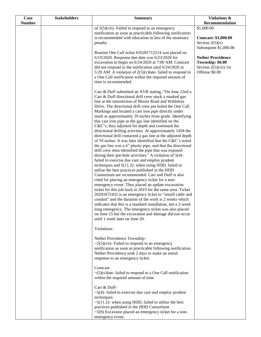| Case<br><b>Number</b> | <b>Stakeholders</b> | <b>Summary</b>                                                                                                                                                                                                                                                                                                                                                                                                                                                                                                                                                                                                                                                                                                                                                                                                                                                                                                                                                                                                                                                                                                                                                                                                                                                                                                                                                                                                                                                                                                                                                                       | Violations &<br>Recommendation                                                                                                                                                         |
|-----------------------|---------------------|--------------------------------------------------------------------------------------------------------------------------------------------------------------------------------------------------------------------------------------------------------------------------------------------------------------------------------------------------------------------------------------------------------------------------------------------------------------------------------------------------------------------------------------------------------------------------------------------------------------------------------------------------------------------------------------------------------------------------------------------------------------------------------------------------------------------------------------------------------------------------------------------------------------------------------------------------------------------------------------------------------------------------------------------------------------------------------------------------------------------------------------------------------------------------------------------------------------------------------------------------------------------------------------------------------------------------------------------------------------------------------------------------------------------------------------------------------------------------------------------------------------------------------------------------------------------------------------|----------------------------------------------------------------------------------------------------------------------------------------------------------------------------------------|
|                       |                     | of $2(5)$ (vii)- Failed to respond to an emergency<br>notification as soon as practicable following notification<br>is recommended with education in lieu of the monetary<br>penalty.<br>Routine One Call ticket #20201712514 was placed on<br>$6/19/2020$ . Response due date was $6/23/2020$ for<br>excavation to begin on 6/24/2020 at 7:00 AM. Comcast<br>did not respond to the notification until 6/24/2020 at<br>5:20 AM. A violation of $2(5)(v)$ late-failed to respond to<br>a One Call notification within the required amount of<br>time is recommended.                                                                                                                                                                                                                                                                                                                                                                                                                                                                                                                                                                                                                                                                                                                                                                                                                                                                                                                                                                                                                 | \$1,000.00<br><b>Comcast: \$1,000.00</b><br>Section $2(5)(v)$<br>Subsequent \$1,000.00<br><b>Nether Providence</b><br>Township: \$0.00<br>Section $2(5)(\n \n  1st)$<br>Offense \$0.00 |
|                       |                     | Carr & Duff submitted an AVR stating, "On June 22nd a<br>Carr & Duff directional drill crew stuck a marked gas<br>line at the intersection of Moore Road and Wildshire<br>Drive. The directional drill crew pot holed the One Call<br>Markings and located a cast iron pipe directly under<br>mark at approximately 39 inches from grade. Identifying<br>this cast iron pipe as the gas line identified on the<br>C&C's, they adjusted for depth and continued the<br>directional drilling activities. At approximately 1458 the<br>directional drill contacted a gas line at the adjusted depth<br>of 50 inches. It was later identified that the C&C's noted<br>the gas line was a 6" plastic pipe, and that the directional<br>drill crew miss-identified the pipe that was exposed<br>during their pot-hole activities." A violation of 5(4)-<br>failed to exercise due care and employ prudent<br>techniques and $5(11.2)$ - when using HDD, failed to<br>utilize the best practices published in the HDD<br>Consortium are recommended. Carr and Duff is also<br>cited for placing an emergency ticket for a non-<br>emergency event. They placed an update excavation<br>ticket for this job back in 2019 for the same area. Ticket<br>20201672432 is an emergency ticket to "install cable and<br>conduit" and the duration of the work is 2 weeks which<br>indicates that this is a standard installation, not a 2-week<br>long emergency. The emergency ticket was also placed<br>on June 15 but the excavation and damage did not occur<br>until 1 week later on June 20. |                                                                                                                                                                                        |
|                       |                     | Violations:<br>Nether Providence Township-<br>$\sim$ 2(5)(vii)- Failed to respond to an emergency<br>notification as soon as practicable following notification.<br>Nether Providence took 2 days to make an initial<br>response to an emergency ticket.                                                                                                                                                                                                                                                                                                                                                                                                                                                                                                                                                                                                                                                                                                                                                                                                                                                                                                                                                                                                                                                                                                                                                                                                                                                                                                                             |                                                                                                                                                                                        |
|                       |                     | Comcast-<br>$\sim (5)(v)$ late-failed to respond to a One Call notification<br>within the required amount of time<br>Carr & Duff-<br>$\sim$ 5(4)-failed to exercise due care and employ prudent<br>techniques<br>$\sim$ 5(11.2)- when using HDD, failed to utilize the best<br>practices published in the HDD Consortium<br>$\sim$ 5(9) Excavator placed an emergency ticket for a non-<br>emergency event.                                                                                                                                                                                                                                                                                                                                                                                                                                                                                                                                                                                                                                                                                                                                                                                                                                                                                                                                                                                                                                                                                                                                                                          |                                                                                                                                                                                        |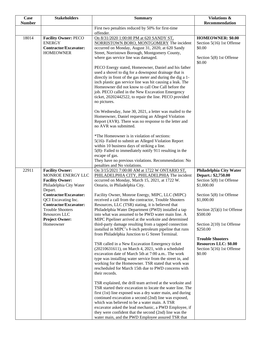| Case          | <b>Stakeholders</b>                                                                                                                                                                                                                                                    | <b>Summary</b>                                                                                                                                                                                                                                                                                                                                                                                                                                                                                                                                                                                                                                                                                                                                                                                                                                                                                                                                                                                                                                                                                                                                                                                                                                                                                                                                                                                                                                                                 | <b>Violations &amp;</b>                                                                                                                                                                                                                                                                                                  |
|---------------|------------------------------------------------------------------------------------------------------------------------------------------------------------------------------------------------------------------------------------------------------------------------|--------------------------------------------------------------------------------------------------------------------------------------------------------------------------------------------------------------------------------------------------------------------------------------------------------------------------------------------------------------------------------------------------------------------------------------------------------------------------------------------------------------------------------------------------------------------------------------------------------------------------------------------------------------------------------------------------------------------------------------------------------------------------------------------------------------------------------------------------------------------------------------------------------------------------------------------------------------------------------------------------------------------------------------------------------------------------------------------------------------------------------------------------------------------------------------------------------------------------------------------------------------------------------------------------------------------------------------------------------------------------------------------------------------------------------------------------------------------------------|--------------------------------------------------------------------------------------------------------------------------------------------------------------------------------------------------------------------------------------------------------------------------------------------------------------------------|
| <b>Number</b> |                                                                                                                                                                                                                                                                        |                                                                                                                                                                                                                                                                                                                                                                                                                                                                                                                                                                                                                                                                                                                                                                                                                                                                                                                                                                                                                                                                                                                                                                                                                                                                                                                                                                                                                                                                                | Recommendation                                                                                                                                                                                                                                                                                                           |
|               |                                                                                                                                                                                                                                                                        | First two penalties reduced by 50% for first-time<br>offender.                                                                                                                                                                                                                                                                                                                                                                                                                                                                                                                                                                                                                                                                                                                                                                                                                                                                                                                                                                                                                                                                                                                                                                                                                                                                                                                                                                                                                 |                                                                                                                                                                                                                                                                                                                          |
| 18014         | <b>Facility Owner: PECO</b><br><b>ENERGY</b><br><b>Contractor/Excavator:</b><br><b>HOMEOWNER</b>                                                                                                                                                                       | On 8/31/2020 1:00:00 PM at 620 SANDY ST,<br>NORRISTOWN BORO, MONTGOMERY The incident<br>occurred on Monday, August 31, 2020, at 620 Sandy<br>Street, Norristown Borough, Montgomery County,<br>where gas service line was damaged.<br>PECO Energy stated, Homeowner, Daniel and his father<br>used a shovel to dig for a downspout drainage that is<br>directly in front of the gas meter and during the dig a 1-<br>inch plastic gas service line was hit causing a leak. The<br>Homeowner did not know to call One Call before the<br>job. PECO called in the New Excavation Emergency<br>ticket, 20202442522, to repair the line. PECO provided<br>no pictures.<br>On Wednesday, June 30, 2021, a letter was mailed to the<br>Homeowner, Daniel requesting an Alleged Violation<br>Report (AVR). There was no response to the letter and<br>no AVR was submitted.                                                                                                                                                                                                                                                                                                                                                                                                                                                                                                                                                                                                           | HOMEOWNER: \$0.00<br>Section 5(16) 1st Offense<br>\$0.00<br>Section 5(8) 1st Offense<br>\$0.00                                                                                                                                                                                                                           |
|               |                                                                                                                                                                                                                                                                        | *The Homeowner is in violation of sections:<br>5(16)- Failed to submit an Alleged Violation Report<br>within 10 business days of striking a line.<br>5(8)- Failed to immediately notify 911 resulting in the<br>escape of gas.<br>They have no previous violations. Recommendation: No<br>penalties and No violations.                                                                                                                                                                                                                                                                                                                                                                                                                                                                                                                                                                                                                                                                                                                                                                                                                                                                                                                                                                                                                                                                                                                                                         |                                                                                                                                                                                                                                                                                                                          |
| 22911         | <b>Facility Owner:</b><br>MONROE ENERGY LLC<br><b>Facility Owner:</b><br>Philadelphia City Water<br>Depart.<br>Contractor/Excavator:<br>QCI Excavating Inc.<br>Contractor/Excavator:<br><b>Trouble Shooters</b><br>Resources LLC<br><b>Project Owner:</b><br>Homeowner | On 3/15/2021 7:00:00 AM at 1722 W ONTARIO ST,<br>PHILADELPHIA CITY, PHILADELPHIA The incident<br>occurred on Monday, March 15, 2021, at 1722 W.<br>Ontario, in Philadelphia City.<br>Facility Owner, Monroe Energy, MIPC, LLC (MIPC)<br>received a call from the contractor, Trouble Shooters<br>Resources, LLC (TSR) stating, it is believed that<br>Philadelphia Water Department (PWD) installed a tap<br>into what was assumed to be PWD water main line. A<br>MIPC Pipeliner arrived at the worksite and determined<br>third-party damage resulting from a tapped connection<br>installed in MIPC's 8-inch petroleum pipeline that runs<br>from Philadelphia Junction to G Street Terminal.<br>TSR called in a New Excavation Emergency ticket<br>(20210631611), on March 4, 2021, with a scheduled<br>excavation date of March 5th at 7:00 a.m The work<br>type was installing water service from the street in, and<br>working for the Homeowner. TSR stated that work was<br>rescheduled for March 15th due to PWD concerns with<br>their records.<br>TSR explained, the drill team arrived at the worksite and<br>TSR started their excavation to locate the water line. The<br>first (1st) line exposed was a dry water main, and during<br>continued excavation a second (2nd) line was exposed,<br>which was believed to be a water main. A TSR<br>excavator asked the lead mechanic, a PWD Employee, if<br>they were confident that the second (2nd) line was the | Philadelphia City Water<br>Depart.: \$2,750.00<br>Section 5(8) 1st Offense<br>\$1,000.00<br>Section 5(8) 1st Offense<br>\$1,000.00<br>Section 2(5)(i) 1st Offense<br>\$500.00<br>Section 2(10) 1st Offense<br>\$250.00<br><b>Trouble Shooters</b><br><b>Resources LLC: \$0.00</b><br>Section 5(16) 1st Offense<br>\$0.00 |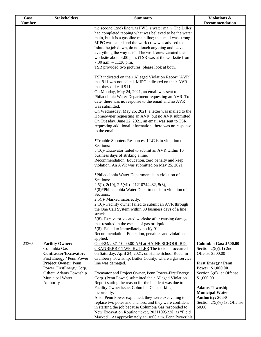| Case          | <b>Stakeholders</b>                                                                                                        | <b>Summary</b>                                                                                                                                                                                                                                                                                                                                                                                                                                                                                                                                        | Violations &                                                                                                                                                                          |
|---------------|----------------------------------------------------------------------------------------------------------------------------|-------------------------------------------------------------------------------------------------------------------------------------------------------------------------------------------------------------------------------------------------------------------------------------------------------------------------------------------------------------------------------------------------------------------------------------------------------------------------------------------------------------------------------------------------------|---------------------------------------------------------------------------------------------------------------------------------------------------------------------------------------|
| <b>Number</b> |                                                                                                                            |                                                                                                                                                                                                                                                                                                                                                                                                                                                                                                                                                       | Recommendation                                                                                                                                                                        |
|               |                                                                                                                            | the second (2nd) line was PWD's water main. The Diller<br>had completed tapping what was believed to be the water<br>main, but it is a gasoline main line; the smell was strong.<br>MIPC was called and the work crew was advised to<br>"shut the job down, do not touch anything and leave<br>everything the way it is". The work crew vacated the<br>worksite about 4:00 p.m. (TSR was at the worksite from<br>7:30 a.m. $-11:30$ p.m.)<br>TSR provided two pictures; please look at both.<br>TSR indicated on their Alleged Violation Report (AVR) |                                                                                                                                                                                       |
|               |                                                                                                                            | that 911 was not called. MIPC indicated on their AVR<br>that they did call 911.<br>On Monday, May 24, 2021, an email was sent to<br>Philadelphia Water Department requesting an AVR. To<br>date, there was no response to the email and no AVR<br>was submitted.<br>On Wednesday, May 26, 2021, a letter was mailed to the<br>Homeowner requesting an AVR, but no AVR submitted<br>On Tuesday, June 22, 2021, an email was sent to TSR<br>requesting additional information; there was no response<br>to the email.                                   |                                                                                                                                                                                       |
|               |                                                                                                                            | *Trouble Shooters Resources, LLC is in violation of<br>Sections:<br>5(16)- Excavator failed to submit an AVR within 10<br>business days of striking a line.<br>Recommendation: Education, zero penalty and keep<br>violation. An AVR was submitted on May 25, 2021                                                                                                                                                                                                                                                                                    |                                                                                                                                                                                       |
|               |                                                                                                                            | *Philadelphia Water Department is in violation of<br>Sections:<br>2.5(i), 2(10), 2.5(vii) - 21210744432, 5(8),<br>5(8)*Philadelphia Water Department is in violation of<br>Sections:<br>2.5(i)- Marked incorrectly.                                                                                                                                                                                                                                                                                                                                   |                                                                                                                                                                                       |
|               |                                                                                                                            | 2(10)- Facility owner failed to submit an AVR through<br>the One Call System within 30 business days of a line<br>struck.<br>5(8)- Excavator vacated worksite after causing damage<br>that resulted in the escape of gas or liquid<br>5(8)- Failed to immediately notify 911<br>Recommendation: Education, penalties and violations                                                                                                                                                                                                                   |                                                                                                                                                                                       |
| 23365         | <b>Facility Owner:</b><br>Columbia Gas<br>Contractor/Excavator:<br>First Energy / Penn Power<br><b>Project Owner: Penn</b> | applied.<br>On 4/24/2021 10:00:00 AM at HAINE SCHOOL RD,<br>CRANBERRY TWP, BUTLER The incident occurred<br>on Saturday, April 24, 2021, on Haine School Road, in<br>Cranberry Township, Butler County, where a gas service<br>line was damaged.                                                                                                                                                                                                                                                                                                       | Columbia Gas: \$500.00<br>Section $2(5)(i.1)$ 2nd<br>Offense \$500.00<br><b>First Energy / Penn</b>                                                                                   |
|               | Power, FirstEnergy Corp.<br><b>Other:</b> Adams Township<br>Municipal Water<br>Authority                                   | Excavator and Project Owner, Penn Power-FirstEnergy<br>Corp. (Penn Power) submitted their Alleged Violation<br>Report stating the reason for the incident was due to<br>Facility Owner issue, Columbia Gas marking<br>incorrectly.<br>Also, Penn Power explained, they were excavating to<br>replace two poles and anchors, and they were confident<br>in starting the job because Columbia Gas responded to<br>New Excavation Routine ticket, 20211093228, as "Field<br>Marked". At approximately at 10:00 a.m. Penn Power hit                       | Power: \$1,000.00<br>Section 5(8) 1st Offense<br>\$1,000.00<br><b>Adams Township</b><br><b>Municipal Water</b><br><b>Authority: \$0.00</b><br>Section $2(5)(v)$ 1st Offense<br>\$0.00 |